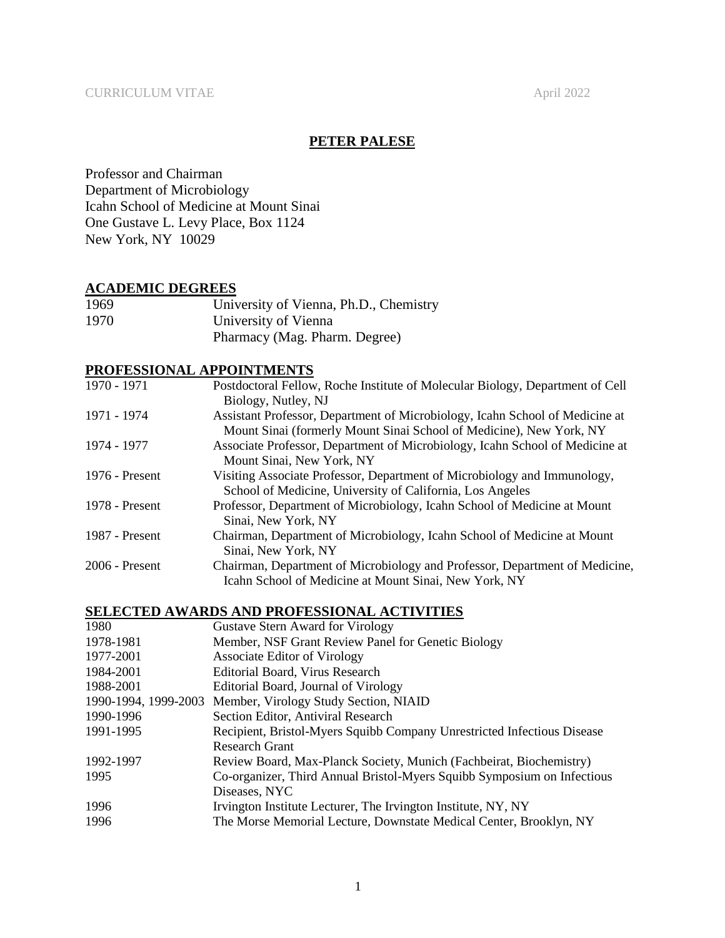# **PETER PALESE**

Professor and Chairman Department of Microbiology Icahn School of Medicine at Mount Sinai One Gustave L. Levy Place, Box 1124 New York, NY 10029

# **ACADEMIC DEGREES**

| 1969 | University of Vienna, Ph.D., Chemistry |
|------|----------------------------------------|
| 1970 | University of Vienna                   |
|      | Pharmacy (Mag. Pharm. Degree)          |

## **PROFESSIONAL APPOINTMENTS**

| 1970 - 1971      | Postdoctoral Fellow, Roche Institute of Molecular Biology, Department of Cell |
|------------------|-------------------------------------------------------------------------------|
|                  | Biology, Nutley, NJ                                                           |
| 1971 - 1974      | Assistant Professor, Department of Microbiology, Icahn School of Medicine at  |
|                  | Mount Sinai (formerly Mount Sinai School of Medicine), New York, NY           |
| 1974 - 1977      | Associate Professor, Department of Microbiology, Icahn School of Medicine at  |
|                  | Mount Sinai, New York, NY                                                     |
| 1976 - Present   | Visiting Associate Professor, Department of Microbiology and Immunology,      |
|                  | School of Medicine, University of California, Los Angeles                     |
| 1978 - Present   | Professor, Department of Microbiology, Icahn School of Medicine at Mount      |
|                  | Sinai, New York, NY                                                           |
| 1987 - Present   | Chairman, Department of Microbiology, Icahn School of Medicine at Mount       |
|                  | Sinai, New York, NY                                                           |
| $2006$ - Present | Chairman, Department of Microbiology and Professor, Department of Medicine,   |
|                  | Icahn School of Medicine at Mount Sinai, New York, NY                         |

## **SELECTED AWARDS AND PROFESSIONAL ACTIVITIES**

| 1980      | <b>Gustave Stern Award for Virology</b>                                 |
|-----------|-------------------------------------------------------------------------|
| 1978-1981 | Member, NSF Grant Review Panel for Genetic Biology                      |
| 1977-2001 | <b>Associate Editor of Virology</b>                                     |
| 1984-2001 | Editorial Board, Virus Research                                         |
| 1988-2001 | Editorial Board, Journal of Virology                                    |
|           | 1990-1994, 1999-2003 Member, Virology Study Section, NIAID              |
| 1990-1996 | Section Editor, Antiviral Research                                      |
| 1991-1995 | Recipient, Bristol-Myers Squibb Company Unrestricted Infectious Disease |
|           | <b>Research Grant</b>                                                   |
| 1992-1997 | Review Board, Max-Planck Society, Munich (Fachbeirat, Biochemistry)     |
| 1995      | Co-organizer, Third Annual Bristol-Myers Squibb Symposium on Infectious |
|           | Diseases, NYC                                                           |
| 1996      | Irvington Institute Lecturer, The Irvington Institute, NY, NY           |
| 1996      | The Morse Memorial Lecture, Downstate Medical Center, Brooklyn, NY      |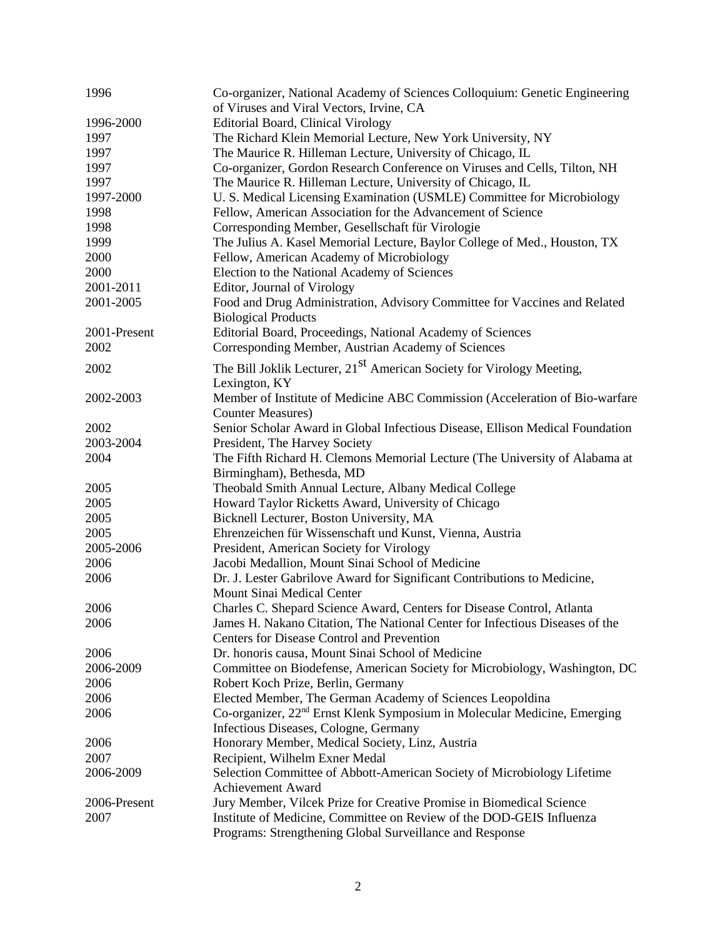| 1996         | Co-organizer, National Academy of Sciences Colloquium: Genetic Engineering<br>of Viruses and Viral Vectors, Irvine, CA           |
|--------------|----------------------------------------------------------------------------------------------------------------------------------|
| 1996-2000    | <b>Editorial Board, Clinical Virology</b>                                                                                        |
| 1997         | The Richard Klein Memorial Lecture, New York University, NY                                                                      |
| 1997         | The Maurice R. Hilleman Lecture, University of Chicago, IL                                                                       |
| 1997         | Co-organizer, Gordon Research Conference on Viruses and Cells, Tilton, NH                                                        |
| 1997         | The Maurice R. Hilleman Lecture, University of Chicago, IL                                                                       |
| 1997-2000    | U. S. Medical Licensing Examination (USMLE) Committee for Microbiology                                                           |
| 1998         | Fellow, American Association for the Advancement of Science                                                                      |
| 1998         | Corresponding Member, Gesellschaft für Virologie                                                                                 |
| 1999         | The Julius A. Kasel Memorial Lecture, Baylor College of Med., Houston, TX                                                        |
| 2000         | Fellow, American Academy of Microbiology                                                                                         |
| 2000         | Election to the National Academy of Sciences                                                                                     |
|              |                                                                                                                                  |
| 2001-2011    | Editor, Journal of Virology                                                                                                      |
| 2001-2005    | Food and Drug Administration, Advisory Committee for Vaccines and Related                                                        |
|              | <b>Biological Products</b>                                                                                                       |
| 2001-Present | Editorial Board, Proceedings, National Academy of Sciences                                                                       |
| 2002         | Corresponding Member, Austrian Academy of Sciences                                                                               |
| 2002         | The Bill Joklik Lecturer, 21 <sup>st</sup> American Society for Virology Meeting,<br>Lexington, KY                               |
| 2002-2003    | Member of Institute of Medicine ABC Commission (Acceleration of Bio-warfare                                                      |
|              | <b>Counter Measures</b> )                                                                                                        |
| 2002         | Senior Scholar Award in Global Infectious Disease, Ellison Medical Foundation                                                    |
| 2003-2004    | President, The Harvey Society                                                                                                    |
| 2004         | The Fifth Richard H. Clemons Memorial Lecture (The University of Alabama at                                                      |
|              | Birmingham), Bethesda, MD                                                                                                        |
| 2005         | Theobald Smith Annual Lecture, Albany Medical College                                                                            |
| 2005         | Howard Taylor Ricketts Award, University of Chicago                                                                              |
| 2005         | Bicknell Lecturer, Boston University, MA                                                                                         |
| 2005         | Ehrenzeichen für Wissenschaft und Kunst, Vienna, Austria                                                                         |
| 2005-2006    | President, American Society for Virology                                                                                         |
| 2006         | Jacobi Medallion, Mount Sinai School of Medicine                                                                                 |
| 2006         | Dr. J. Lester Gabrilove Award for Significant Contributions to Medicine,<br>Mount Sinai Medical Center                           |
| 2006         | Charles C. Shepard Science Award, Centers for Disease Control, Atlanta                                                           |
| 2006         | James H. Nakano Citation, The National Center for Infectious Diseases of the                                                     |
|              | <b>Centers for Disease Control and Prevention</b>                                                                                |
| 2006         | Dr. honoris causa, Mount Sinai School of Medicine                                                                                |
| 2006-2009    | Committee on Biodefense, American Society for Microbiology, Washington, DC                                                       |
| 2006         | Robert Koch Prize, Berlin, Germany                                                                                               |
| 2006         | Elected Member, The German Academy of Sciences Leopoldina                                                                        |
|              |                                                                                                                                  |
| 2006         | Co-organizer, 22 <sup>nd</sup> Ernst Klenk Symposium in Molecular Medicine, Emerging                                             |
|              | Infectious Diseases, Cologne, Germany                                                                                            |
| 2006         | Honorary Member, Medical Society, Linz, Austria                                                                                  |
| 2007         | Recipient, Wilhelm Exner Medal                                                                                                   |
| 2006-2009    | Selection Committee of Abbott-American Society of Microbiology Lifetime                                                          |
|              | <b>Achievement Award</b>                                                                                                         |
| 2006-Present | Jury Member, Vilcek Prize for Creative Promise in Biomedical Science                                                             |
| 2007         | Institute of Medicine, Committee on Review of the DOD-GEIS Influenza<br>Programs: Strengthening Global Surveillance and Response |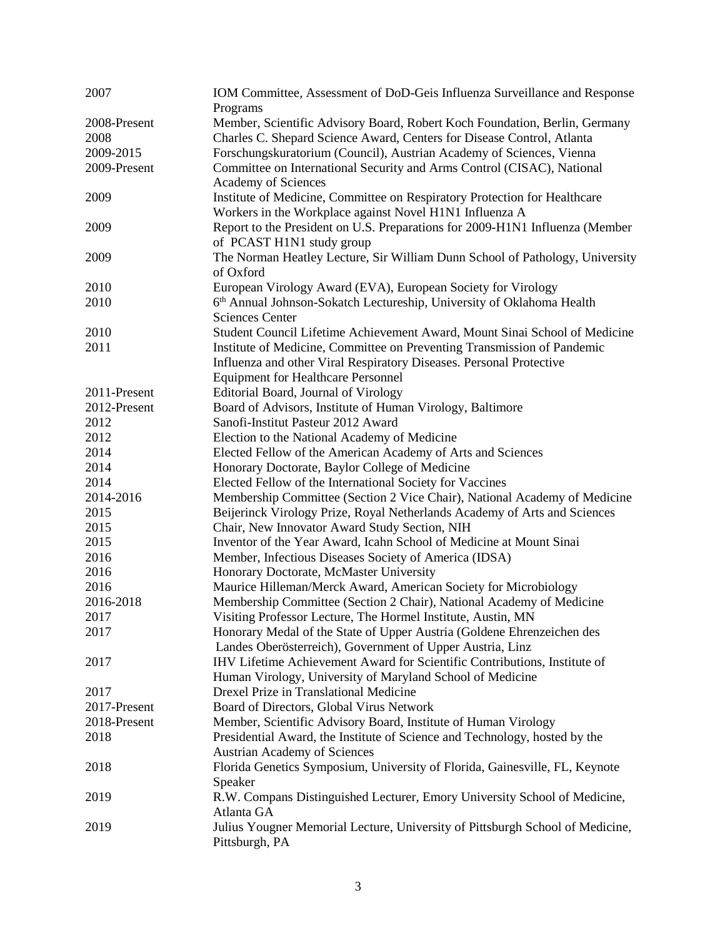| 2007         | IOM Committee, Assessment of DoD-Geis Influenza Surveillance and Response<br>Programs           |
|--------------|-------------------------------------------------------------------------------------------------|
| 2008-Present | Member, Scientific Advisory Board, Robert Koch Foundation, Berlin, Germany                      |
| 2008         | Charles C. Shepard Science Award, Centers for Disease Control, Atlanta                          |
| 2009-2015    | Forschungskuratorium (Council), Austrian Academy of Sciences, Vienna                            |
| 2009-Present | Committee on International Security and Arms Control (CISAC), National                          |
|              | Academy of Sciences                                                                             |
| 2009         | Institute of Medicine, Committee on Respiratory Protection for Healthcare                       |
|              | Workers in the Workplace against Novel H1N1 Influenza A                                         |
| 2009         | Report to the President on U.S. Preparations for 2009-H1N1 Influenza (Member                    |
|              | of PCAST H1N1 study group                                                                       |
| 2009         | The Norman Heatley Lecture, Sir William Dunn School of Pathology, University                    |
|              | of Oxford                                                                                       |
| 2010         | European Virology Award (EVA), European Society for Virology                                    |
| 2010         | 6 <sup>th</sup> Annual Johnson-Sokatch Lectureship, University of Oklahoma Health               |
|              | <b>Sciences Center</b>                                                                          |
| 2010         | Student Council Lifetime Achievement Award, Mount Sinai School of Medicine                      |
| 2011         | Institute of Medicine, Committee on Preventing Transmission of Pandemic                         |
|              | Influenza and other Viral Respiratory Diseases. Personal Protective                             |
|              | <b>Equipment for Healthcare Personnel</b>                                                       |
| 2011-Present | Editorial Board, Journal of Virology                                                            |
| 2012-Present | Board of Advisors, Institute of Human Virology, Baltimore                                       |
| 2012         | Sanofi-Institut Pasteur 2012 Award                                                              |
| 2012         | Election to the National Academy of Medicine                                                    |
| 2014         | Elected Fellow of the American Academy of Arts and Sciences                                     |
| 2014         | Honorary Doctorate, Baylor College of Medicine                                                  |
| 2014         | Elected Fellow of the International Society for Vaccines                                        |
| 2014-2016    | Membership Committee (Section 2 Vice Chair), National Academy of Medicine                       |
| 2015         | Beijerinck Virology Prize, Royal Netherlands Academy of Arts and Sciences                       |
| 2015         | Chair, New Innovator Award Study Section, NIH                                                   |
| 2015         | Inventor of the Year Award, Icahn School of Medicine at Mount Sinai                             |
| 2016         | Member, Infectious Diseases Society of America (IDSA)                                           |
| 2016         | Honorary Doctorate, McMaster University                                                         |
| 2016         | Maurice Hilleman/Merck Award, American Society for Microbiology                                 |
| 2016-2018    | Membership Committee (Section 2 Chair), National Academy of Medicine                            |
| 2017         | Visiting Professor Lecture, The Hormel Institute, Austin, MN                                    |
| 2017         | Honorary Medal of the State of Upper Austria (Goldene Ehrenzeichen des                          |
|              | Landes Oberösterreich), Government of Upper Austria, Linz                                       |
| 2017         | IHV Lifetime Achievement Award for Scientific Contributions, Institute of                       |
|              | Human Virology, University of Maryland School of Medicine                                       |
| 2017         | Drexel Prize in Translational Medicine                                                          |
| 2017-Present | Board of Directors, Global Virus Network                                                        |
| 2018-Present | Member, Scientific Advisory Board, Institute of Human Virology                                  |
| 2018         | Presidential Award, the Institute of Science and Technology, hosted by the                      |
|              | <b>Austrian Academy of Sciences</b>                                                             |
| 2018         | Florida Genetics Symposium, University of Florida, Gainesville, FL, Keynote                     |
|              | Speaker                                                                                         |
| 2019         | R.W. Compans Distinguished Lecturer, Emory University School of Medicine,                       |
|              | Atlanta GA                                                                                      |
| 2019         | Julius Yougner Memorial Lecture, University of Pittsburgh School of Medicine,<br>Pittsburgh, PA |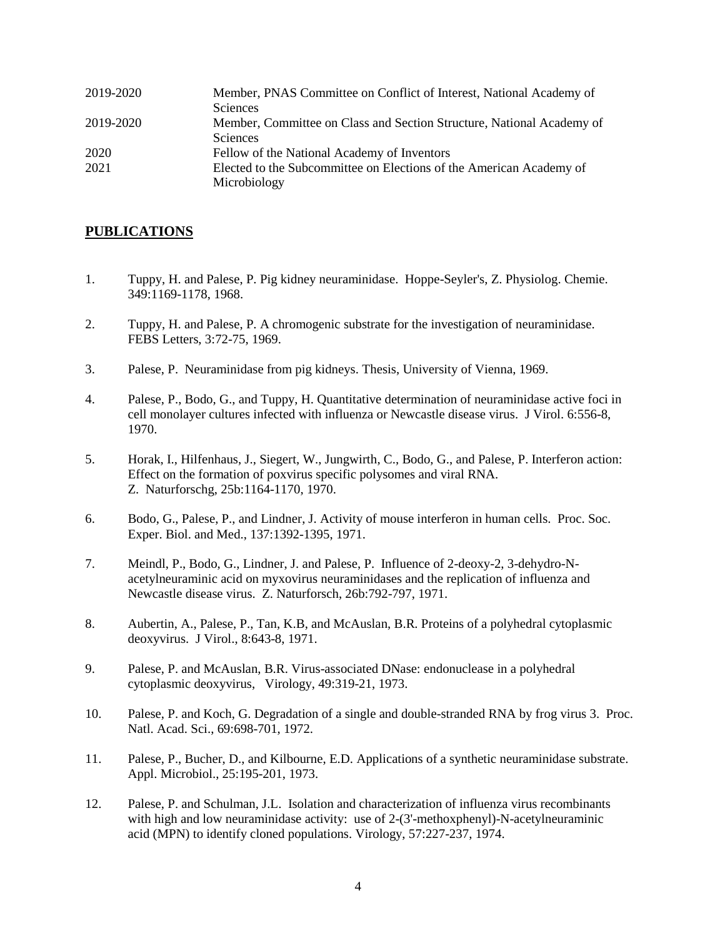| 2019-2020 | Member, PNAS Committee on Conflict of Interest, National Academy of   |
|-----------|-----------------------------------------------------------------------|
|           | <b>Sciences</b>                                                       |
| 2019-2020 | Member, Committee on Class and Section Structure, National Academy of |
|           | <b>Sciences</b>                                                       |
| 2020      | Fellow of the National Academy of Inventors                           |
| 2021      | Elected to the Subcommittee on Elections of the American Academy of   |
|           | Microbiology                                                          |

## **PUBLICATIONS**

- 1. Tuppy, H. and Palese, P. Pig kidney neuraminidase. Hoppe-Seyler's, Z. Physiolog. Chemie. 349:1169-1178, 1968.
- 2. Tuppy, H. and Palese, P. A chromogenic substrate for the investigation of neuraminidase. FEBS Letters, 3:72-75, 1969.
- 3. Palese, P. Neuraminidase from pig kidneys. Thesis, University of Vienna, 1969.
- 4. Palese, P., Bodo, G., and Tuppy, H. Quantitative determination of neuraminidase active foci in cell monolayer cultures infected with influenza or Newcastle disease virus. J Virol. 6:556-8, 1970.
- 5. Horak, I., Hilfenhaus, J., Siegert, W., Jungwirth, C., Bodo, G., and Palese, P. Interferon action: Effect on the formation of poxvirus specific polysomes and viral RNA. Z. Naturforschg, 25b:1164-1170, 1970.
- 6. Bodo, G., Palese, P., and Lindner, J. Activity of mouse interferon in human cells. Proc. Soc. Exper. Biol. and Med., 137:1392-1395, 1971.
- 7. Meindl, P., Bodo, G., Lindner, J. and Palese, P. Influence of 2-deoxy-2, 3-dehydro-Nacetylneuraminic acid on myxovirus neuraminidases and the replication of influenza and Newcastle disease virus. Z. Naturforsch, 26b:792-797, 1971.
- 8. Aubertin, A., Palese, P., Tan, K.B, and McAuslan, B.R. Proteins of a polyhedral cytoplasmic deoxyvirus. J Virol., 8:643-8, 1971.
- 9. Palese, P. and McAuslan, B.R. Virus-associated DNase: endonuclease in a polyhedral cytoplasmic deoxyvirus, Virology, 49:319-21, 1973.
- 10. Palese, P. and Koch, G. Degradation of a single and double-stranded RNA by frog virus 3. Proc. Natl. Acad. Sci., 69:698-701, 1972.
- 11. Palese, P., Bucher, D., and Kilbourne, E.D. Applications of a synthetic neuraminidase substrate. Appl. Microbiol., 25:195-201, 1973.
- 12. Palese, P. and Schulman, J.L. Isolation and characterization of influenza virus recombinants with high and low neuraminidase activity: use of 2-(3'-methoxphenyl)-N-acetylneuraminic acid (MPN) to identify cloned populations. Virology, 57:227-237, 1974.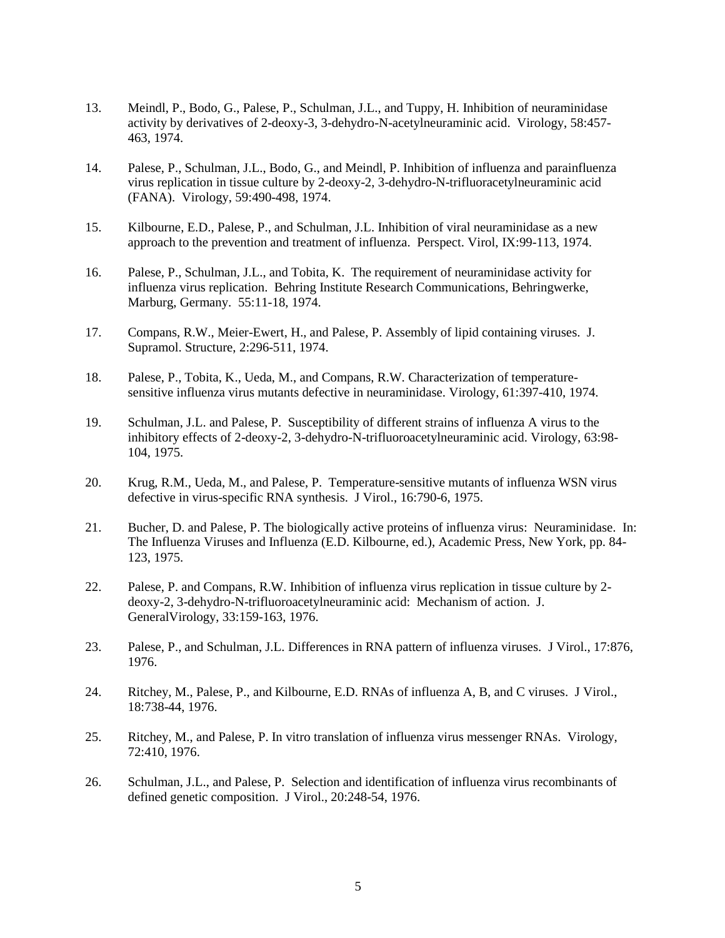- 13. Meindl, P., Bodo, G., Palese, P., Schulman, J.L., and Tuppy, H. Inhibition of neuraminidase activity by derivatives of 2-deoxy-3, 3-dehydro-N-acetylneuraminic acid. Virology, 58:457- 463, 1974.
- 14. Palese, P., Schulman, J.L., Bodo, G., and Meindl, P. Inhibition of influenza and parainfluenza virus replication in tissue culture by 2-deoxy-2, 3-dehydro-N-trifluoracetylneuraminic acid (FANA). Virology, 59:490-498, 1974.
- 15. Kilbourne, E.D., Palese, P., and Schulman, J.L. Inhibition of viral neuraminidase as a new approach to the prevention and treatment of influenza. Perspect. Virol, IX:99-113, 1974.
- 16. Palese, P., Schulman, J.L., and Tobita, K. The requirement of neuraminidase activity for influenza virus replication. Behring Institute Research Communications, Behringwerke, Marburg, Germany. 55:11-18, 1974.
- 17. Compans, R.W., Meier-Ewert, H., and Palese, P. Assembly of lipid containing viruses. J. Supramol. Structure, 2:296-511, 1974.
- 18. Palese, P., Tobita, K., Ueda, M., and Compans, R.W. Characterization of temperaturesensitive influenza virus mutants defective in neuraminidase. Virology, 61:397-410, 1974.
- 19. Schulman, J.L. and Palese, P. Susceptibility of different strains of influenza A virus to the inhibitory effects of 2-deoxy-2, 3-dehydro-N-trifluoroacetylneuraminic acid. Virology, 63:98- 104, 1975.
- 20. Krug, R.M., Ueda, M., and Palese, P. Temperature-sensitive mutants of influenza WSN virus defective in virus-specific RNA synthesis. J Virol., 16:790-6, 1975.
- 21. Bucher, D. and Palese, P. The biologically active proteins of influenza virus: Neuraminidase. In: The Influenza Viruses and Influenza (E.D. Kilbourne, ed.), Academic Press, New York, pp. 84- 123, 1975.
- 22. Palese, P. and Compans, R.W. Inhibition of influenza virus replication in tissue culture by 2 deoxy-2, 3-dehydro-N-trifluoroacetylneuraminic acid: Mechanism of action. J. GeneralVirology, 33:159-163, 1976.
- 23. Palese, P., and Schulman, J.L. Differences in RNA pattern of influenza viruses. J Virol., 17:876, 1976.
- 24. Ritchey, M., Palese, P., and Kilbourne, E.D. RNAs of influenza A, B, and C viruses. J Virol., 18:738-44, 1976.
- 25. Ritchey, M., and Palese, P. In vitro translation of influenza virus messenger RNAs. Virology, 72:410, 1976.
- 26. Schulman, J.L., and Palese, P. Selection and identification of influenza virus recombinants of defined genetic composition. J Virol., 20:248-54, 1976.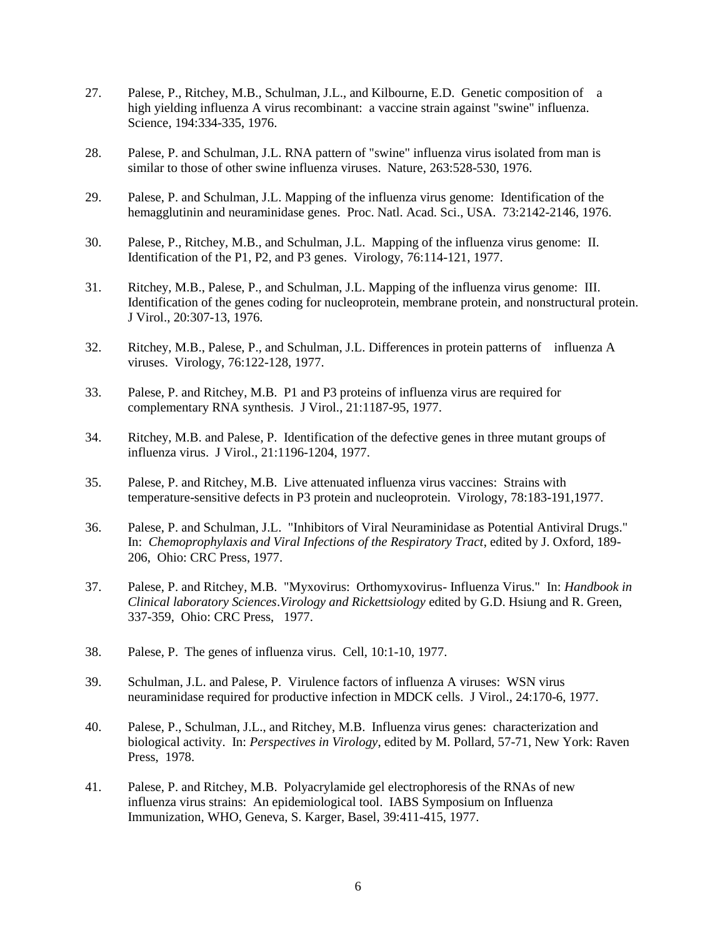- 27. Palese, P., Ritchey, M.B., Schulman, J.L., and Kilbourne, E.D. Genetic composition of a high yielding influenza A virus recombinant: a vaccine strain against "swine" influenza. Science, 194:334-335, 1976.
- 28. Palese, P. and Schulman, J.L. RNA pattern of "swine" influenza virus isolated from man is similar to those of other swine influenza viruses. Nature, 263:528-530, 1976.
- 29. Palese, P. and Schulman, J.L. Mapping of the influenza virus genome: Identification of the hemagglutinin and neuraminidase genes. Proc. Natl. Acad. Sci., USA. 73:2142-2146, 1976.
- 30. Palese, P., Ritchey, M.B., and Schulman, J.L. Mapping of the influenza virus genome: II. Identification of the P1, P2, and P3 genes. Virology, 76:114-121, 1977.
- 31. Ritchey, M.B., Palese, P., and Schulman, J.L. Mapping of the influenza virus genome: III. Identification of the genes coding for nucleoprotein, membrane protein, and nonstructural protein. J Virol., 20:307-13, 1976.
- 32. Ritchey, M.B., Palese, P., and Schulman, J.L. Differences in protein patterns of influenza A viruses. Virology, 76:122-128, 1977.
- 33. Palese, P. and Ritchey, M.B. P1 and P3 proteins of influenza virus are required for complementary RNA synthesis. J Virol., 21:1187-95, 1977.
- 34. Ritchey, M.B. and Palese, P. Identification of the defective genes in three mutant groups of influenza virus. J Virol., 21:1196-1204, 1977.
- 35. Palese, P. and Ritchey, M.B. Live attenuated influenza virus vaccines: Strains with temperature-sensitive defects in P3 protein and nucleoprotein. Virology, 78:183-191,1977.
- 36. Palese, P. and Schulman, J.L. "Inhibitors of Viral Neuraminidase as Potential Antiviral Drugs." In: *Chemoprophylaxis and Viral Infections of the Respiratory Tract*, edited by J. Oxford, 189- 206, Ohio: CRC Press, 1977.
- 37. Palese, P. and Ritchey, M.B. "Myxovirus: Orthomyxovirus- Influenza Virus." In: *Handbook in Clinical laboratory Sciences*.*Virology and Rickettsiology* edited by G.D. Hsiung and R. Green, 337-359, Ohio: CRC Press, 1977.
- 38. Palese, P. The genes of influenza virus. Cell, 10:1-10, 1977.
- 39. Schulman, J.L. and Palese, P. Virulence factors of influenza A viruses: WSN virus neuraminidase required for productive infection in MDCK cells. J Virol., 24:170-6, 1977.
- 40. Palese, P., Schulman, J.L., and Ritchey, M.B. Influenza virus genes: characterization and biological activity. In: *Perspectives in Virology*, edited by M. Pollard, 57-71, New York: Raven Press, 1978.
- 41. Palese, P. and Ritchey, M.B. Polyacrylamide gel electrophoresis of the RNAs of new influenza virus strains: An epidemiological tool. IABS Symposium on Influenza Immunization, WHO, Geneva, S. Karger, Basel, 39:411-415, 1977.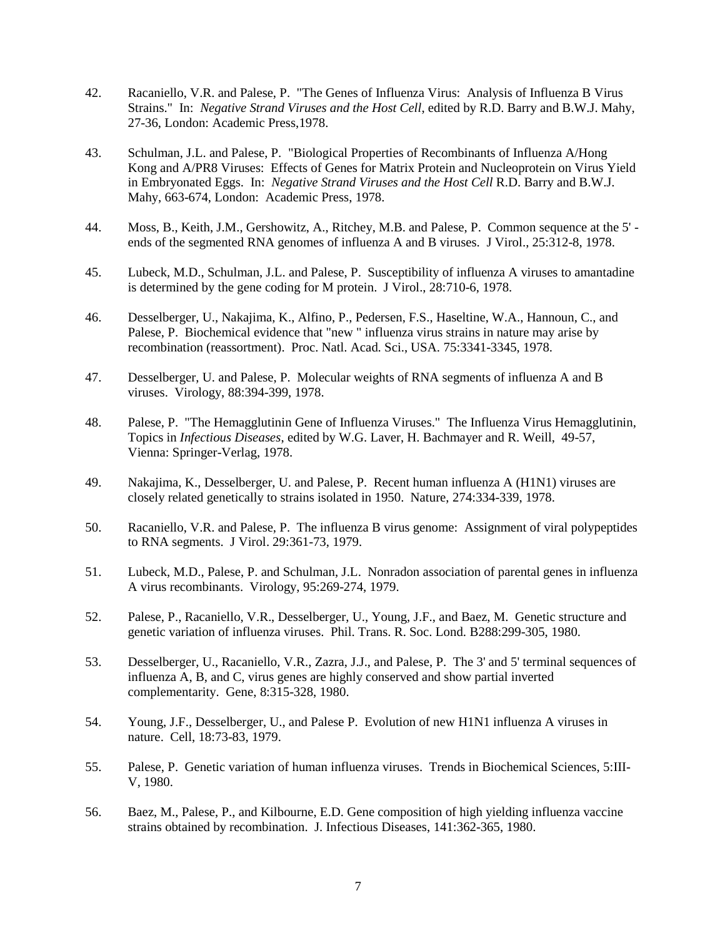- 42. Racaniello, V.R. and Palese, P. "The Genes of Influenza Virus: Analysis of Influenza B Virus Strains." In: *Negative Strand Viruses and the Host Cell*, edited by R.D. Barry and B.W.J. Mahy, 27-36, London: Academic Press,1978.
- 43. Schulman, J.L. and Palese, P. "Biological Properties of Recombinants of Influenza A/Hong Kong and A/PR8 Viruses: Effects of Genes for Matrix Protein and Nucleoprotein on Virus Yield in Embryonated Eggs. In: *Negative Strand Viruses and the Host Cell* R.D. Barry and B.W.J. Mahy, 663-674, London: Academic Press, 1978.
- 44. Moss, B., Keith, J.M., Gershowitz, A., Ritchey, M.B. and Palese, P. Common sequence at the 5' ends of the segmented RNA genomes of influenza A and B viruses. J Virol., 25:312-8, 1978.
- 45. Lubeck, M.D., Schulman, J.L. and Palese, P. Susceptibility of influenza A viruses to amantadine is determined by the gene coding for M protein. J Virol., 28:710-6, 1978.
- 46. Desselberger, U., Nakajima, K., Alfino, P., Pedersen, F.S., Haseltine, W.A., Hannoun, C., and Palese, P. Biochemical evidence that "new " influenza virus strains in nature may arise by recombination (reassortment). Proc. Natl. Acad. Sci., USA. 75:3341-3345, 1978.
- 47. Desselberger, U. and Palese, P. Molecular weights of RNA segments of influenza A and B viruses. Virology, 88:394-399, 1978.
- 48. Palese, P. "The Hemagglutinin Gene of Influenza Viruses." The Influenza Virus Hemagglutinin, Topics in *Infectious Diseases*, edited by W.G. Laver, H. Bachmayer and R. Weill, 49-57, Vienna: Springer-Verlag, 1978.
- 49. Nakajima, K., Desselberger, U. and Palese, P. Recent human influenza A (H1N1) viruses are closely related genetically to strains isolated in 1950. Nature, 274:334-339, 1978.
- 50. Racaniello, V.R. and Palese, P. The influenza B virus genome: Assignment of viral polypeptides to RNA segments. J Virol. 29:361-73, 1979.
- 51. Lubeck, M.D., Palese, P. and Schulman, J.L. Nonradon association of parental genes in influenza A virus recombinants. Virology, 95:269-274, 1979.
- 52. Palese, P., Racaniello, V.R., Desselberger, U., Young, J.F., and Baez, M. Genetic structure and genetic variation of influenza viruses. Phil. Trans. R. Soc. Lond. B288:299-305, 1980.
- 53. Desselberger, U., Racaniello, V.R., Zazra, J.J., and Palese, P. The 3' and 5' terminal sequences of influenza A, B, and C, virus genes are highly conserved and show partial inverted complementarity. Gene, 8:315-328, 1980.
- 54. Young, J.F., Desselberger, U., and Palese P. Evolution of new H1N1 influenza A viruses in nature. Cell, 18:73-83, 1979.
- 55. Palese, P. Genetic variation of human influenza viruses. Trends in Biochemical Sciences, 5:III-V, 1980.
- 56. Baez, M., Palese, P., and Kilbourne, E.D. Gene composition of high yielding influenza vaccine strains obtained by recombination. J. Infectious Diseases, 141:362-365, 1980.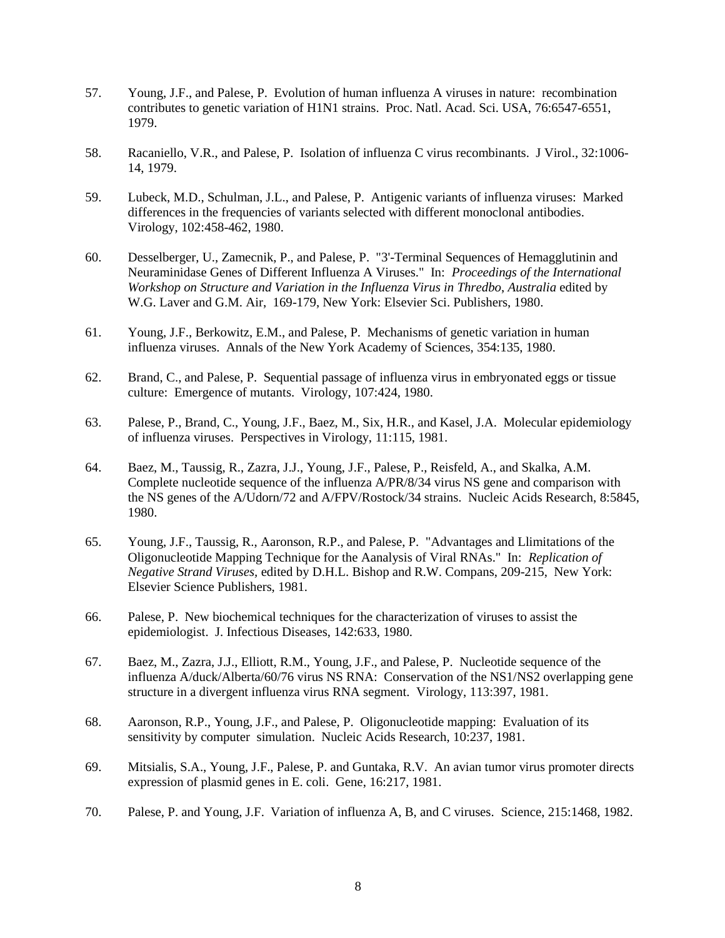- 57. Young, J.F., and Palese, P. Evolution of human influenza A viruses in nature: recombination contributes to genetic variation of H1N1 strains. Proc. Natl. Acad. Sci. USA, 76:6547-6551, 1979.
- 58. Racaniello, V.R., and Palese, P. Isolation of influenza C virus recombinants. J Virol., 32:1006- 14, 1979.
- 59. Lubeck, M.D., Schulman, J.L., and Palese, P. Antigenic variants of influenza viruses: Marked differences in the frequencies of variants selected with different monoclonal antibodies. Virology, 102:458-462, 1980.
- 60. Desselberger, U., Zamecnik, P., and Palese, P. "3'-Terminal Sequences of Hemagglutinin and Neuraminidase Genes of Different Influenza A Viruses." In: *Proceedings of the International Workshop on Structure and Variation in the Influenza Virus in Thredbo*, *Australia* edited by W.G. Laver and G.M. Air, 169-179, New York: Elsevier Sci. Publishers, 1980.
- 61. Young, J.F., Berkowitz, E.M., and Palese, P. Mechanisms of genetic variation in human influenza viruses. Annals of the New York Academy of Sciences, 354:135, 1980.
- 62. Brand, C., and Palese, P. Sequential passage of influenza virus in embryonated eggs or tissue culture: Emergence of mutants. Virology, 107:424, 1980.
- 63. Palese, P., Brand, C., Young, J.F., Baez, M., Six, H.R., and Kasel, J.A. Molecular epidemiology of influenza viruses. Perspectives in Virology, 11:115, 1981.
- 64. Baez, M., Taussig, R., Zazra, J.J., Young, J.F., Palese, P., Reisfeld, A., and Skalka, A.M. Complete nucleotide sequence of the influenza A/PR/8/34 virus NS gene and comparison with the NS genes of the A/Udorn/72 and A/FPV/Rostock/34 strains. Nucleic Acids Research, 8:5845, 1980.
- 65. Young, J.F., Taussig, R., Aaronson, R.P., and Palese, P. "Advantages and Llimitations of the Oligonucleotide Mapping Technique for the Aanalysis of Viral RNAs." In: *Replication of Negative Strand Viruses,* edited by D.H.L. Bishop and R.W. Compans, 209-215, New York: Elsevier Science Publishers, 1981.
- 66. Palese, P. New biochemical techniques for the characterization of viruses to assist the epidemiologist. J. Infectious Diseases, 142:633, 1980.
- 67. Baez, M., Zazra, J.J., Elliott, R.M., Young, J.F., and Palese, P. Nucleotide sequence of the influenza A/duck/Alberta/60/76 virus NS RNA: Conservation of the NS1/NS2 overlapping gene structure in a divergent influenza virus RNA segment. Virology, 113:397, 1981.
- 68. Aaronson, R.P., Young, J.F., and Palese, P. Oligonucleotide mapping: Evaluation of its sensitivity by computer simulation. Nucleic Acids Research, 10:237, 1981.
- 69. Mitsialis, S.A., Young, J.F., Palese, P. and Guntaka, R.V. An avian tumor virus promoter directs expression of plasmid genes in E. coli. Gene, 16:217, 1981.
- 70. Palese, P. and Young, J.F. Variation of influenza A, B, and C viruses. Science, 215:1468, 1982.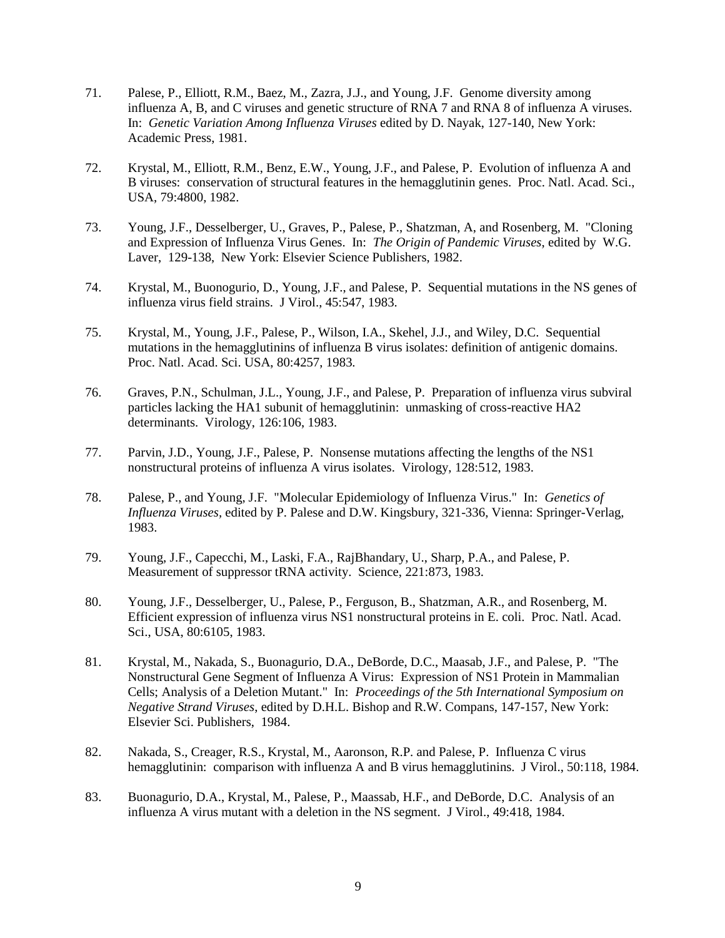- 71. Palese, P., Elliott, R.M., Baez, M., Zazra, J.J., and Young, J.F. Genome diversity among influenza A, B, and C viruses and genetic structure of RNA 7 and RNA 8 of influenza A viruses. In: *Genetic Variation Among Influenza Viruses* edited by D. Nayak, 127-140, New York: Academic Press, 1981.
- 72. Krystal, M., Elliott, R.M., Benz, E.W., Young, J.F., and Palese, P. Evolution of influenza A and B viruses: conservation of structural features in the hemagglutinin genes. Proc. Natl. Acad. Sci., USA, 79:4800, 1982.
- 73. Young, J.F., Desselberger, U., Graves, P., Palese, P., Shatzman, A, and Rosenberg, M. "Cloning and Expression of Influenza Virus Genes. In: *The Origin of Pandemic Viruses*, edited by W.G. Laver, 129-138, New York: Elsevier Science Publishers, 1982.
- 74. Krystal, M., Buonogurio, D., Young, J.F., and Palese, P. Sequential mutations in the NS genes of influenza virus field strains. J Virol., 45:547, 1983.
- 75. Krystal, M., Young, J.F., Palese, P., Wilson, I.A., Skehel, J.J., and Wiley, D.C. Sequential mutations in the hemagglutinins of influenza B virus isolates: definition of antigenic domains. Proc. Natl. Acad. Sci. USA, 80:4257, 1983.
- 76. Graves, P.N., Schulman, J.L., Young, J.F., and Palese, P. Preparation of influenza virus subviral particles lacking the HA1 subunit of hemagglutinin: unmasking of cross-reactive HA2 determinants. Virology, 126:106, 1983.
- 77. Parvin, J.D., Young, J.F., Palese, P. Nonsense mutations affecting the lengths of the NS1 nonstructural proteins of influenza A virus isolates. Virology, 128:512, 1983.
- 78. Palese, P., and Young, J.F. "Molecular Epidemiology of Influenza Virus." In: *Genetics of Influenza Viruses,* edited by P. Palese and D.W. Kingsbury, 321-336, Vienna: Springer-Verlag, 1983.
- 79. Young, J.F., Capecchi, M., Laski, F.A., RajBhandary, U., Sharp, P.A., and Palese, P. Measurement of suppressor tRNA activity. Science, 221:873, 1983.
- 80. Young, J.F., Desselberger, U., Palese, P., Ferguson, B., Shatzman, A.R., and Rosenberg, M. Efficient expression of influenza virus NS1 nonstructural proteins in E. coli. Proc. Natl. Acad. Sci., USA, 80:6105, 1983.
- 81. Krystal, M., Nakada, S., Buonagurio, D.A., DeBorde, D.C., Maasab, J.F., and Palese, P. "The Nonstructural Gene Segment of Influenza A Virus: Expression of NS1 Protein in Mammalian Cells; Analysis of a Deletion Mutant." In: *Proceedings of the 5th International Symposium on Negative Strand Viruses*, edited by D.H.L. Bishop and R.W. Compans, 147-157, New York: Elsevier Sci. Publishers, 1984.
- 82. Nakada, S., Creager, R.S., Krystal, M., Aaronson, R.P. and Palese, P. Influenza C virus hemagglutinin: comparison with influenza A and B virus hemagglutinins. J Virol., 50:118, 1984.
- 83. Buonagurio, D.A., Krystal, M., Palese, P., Maassab, H.F., and DeBorde, D.C. Analysis of an influenza A virus mutant with a deletion in the NS segment. J Virol., 49:418, 1984.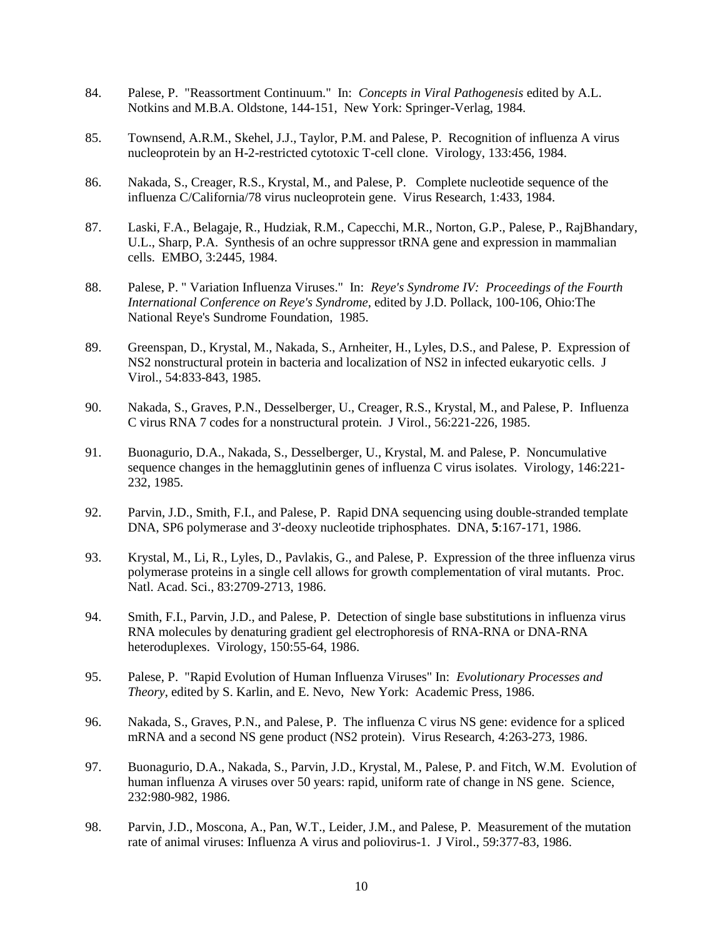- 84. Palese, P. "Reassortment Continuum." In: *Concepts in Viral Pathogenesis* edited by A.L. Notkins and M.B.A. Oldstone, 144-151, New York: Springer-Verlag, 1984.
- 85. Townsend, A.R.M., Skehel, J.J., Taylor, P.M. and Palese, P. Recognition of influenza A virus nucleoprotein by an H-2-restricted cytotoxic T-cell clone. Virology, 133:456, 1984.
- 86. Nakada, S., Creager, R.S., Krystal, M., and Palese, P. Complete nucleotide sequence of the influenza C/California/78 virus nucleoprotein gene. Virus Research, 1:433, 1984.
- 87. Laski, F.A., Belagaje, R., Hudziak, R.M., Capecchi, M.R., Norton, G.P., Palese, P., RajBhandary, U.L., Sharp, P.A. Synthesis of an ochre suppressor tRNA gene and expression in mammalian cells. EMBO, 3:2445, 1984.
- 88. Palese, P. " Variation Influenza Viruses." In: *Reye's Syndrome IV: Proceedings of the Fourth International Conference on Reye's Syndrome*, edited by J.D. Pollack, 100-106, Ohio:The National Reye's Sundrome Foundation, 1985.
- 89. Greenspan, D., Krystal, M., Nakada, S., Arnheiter, H., Lyles, D.S., and Palese, P. Expression of NS2 nonstructural protein in bacteria and localization of NS2 in infected eukaryotic cells. J Virol., 54:833-843, 1985.
- 90. Nakada, S., Graves, P.N., Desselberger, U., Creager, R.S., Krystal, M., and Palese, P. Influenza C virus RNA 7 codes for a nonstructural protein. J Virol., 56:221-226, 1985.
- 91. Buonagurio, D.A., Nakada, S., Desselberger, U., Krystal, M. and Palese, P. Noncumulative sequence changes in the hemagglutinin genes of influenza C virus isolates. Virology, 146:221- 232, 1985.
- 92. Parvin, J.D., Smith, F.I., and Palese, P. Rapid DNA sequencing using double-stranded template DNA, SP6 polymerase and 3'-deoxy nucleotide triphosphates. DNA, **5**:167-171, 1986.
- 93. Krystal, M., Li, R., Lyles, D., Pavlakis, G., and Palese, P. Expression of the three influenza virus polymerase proteins in a single cell allows for growth complementation of viral mutants. Proc. Natl. Acad. Sci., 83:2709-2713, 1986.
- 94. Smith, F.I., Parvin, J.D., and Palese, P. Detection of single base substitutions in influenza virus RNA molecules by denaturing gradient gel electrophoresis of RNA-RNA or DNA-RNA heteroduplexes. Virology, 150:55-64, 1986.
- 95. Palese, P. "Rapid Evolution of Human Influenza Viruses" In: *Evolutionary Processes and Theory*, edited by S. Karlin, and E. Nevo, New York: Academic Press, 1986.
- 96. Nakada, S., Graves, P.N., and Palese, P. The influenza C virus NS gene: evidence for a spliced mRNA and a second NS gene product (NS2 protein). Virus Research, 4:263-273, 1986.
- 97. Buonagurio, D.A., Nakada, S., Parvin, J.D., Krystal, M., Palese, P. and Fitch, W.M. Evolution of human influenza A viruses over 50 years: rapid, uniform rate of change in NS gene. Science, 232:980-982, 1986.
- 98. Parvin, J.D., Moscona, A., Pan, W.T., Leider, J.M., and Palese, P. Measurement of the mutation rate of animal viruses: Influenza A virus and poliovirus-1. J Virol., 59:377-83, 1986.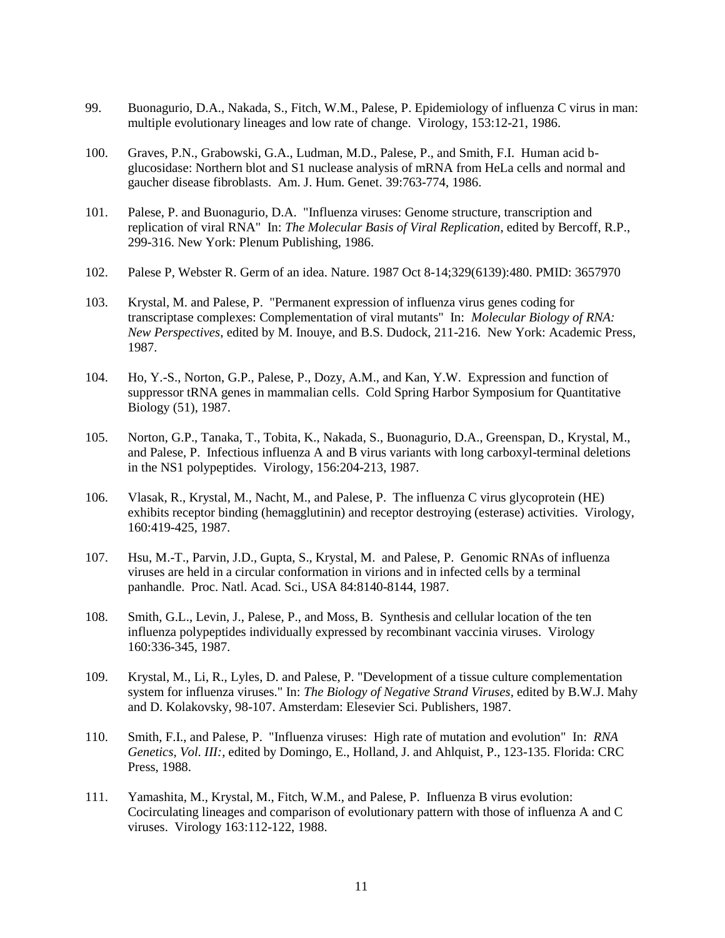- 99. Buonagurio, D.A., Nakada, S., Fitch, W.M., Palese, P. Epidemiology of influenza C virus in man: multiple evolutionary lineages and low rate of change. Virology, 153:12-21, 1986.
- 100. Graves, P.N., Grabowski, G.A., Ludman, M.D., Palese, P., and Smith, F.I. Human acid bglucosidase: Northern blot and S1 nuclease analysis of mRNA from HeLa cells and normal and gaucher disease fibroblasts. Am. J. Hum. Genet. 39:763-774, 1986.
- 101. Palese, P. and Buonagurio, D.A. "Influenza viruses: Genome structure, transcription and replication of viral RNA" In: *The Molecular Basis of Viral Replication*, edited by Bercoff, R.P., 299-316. New York: Plenum Publishing, 1986.
- 102. Palese P, Webster R. Germ of an idea. Nature. 1987 Oct 8-14;329(6139):480. PMID: 3657970
- 103. Krystal, M. and Palese, P. "Permanent expression of influenza virus genes coding for transcriptase complexes: Complementation of viral mutants" In: *Molecular Biology of RNA: New Perspectives*, edited by M. Inouye, and B.S. Dudock, 211-216. New York: Academic Press, 1987.
- 104. Ho, Y.-S., Norton, G.P., Palese, P., Dozy, A.M., and Kan, Y.W. Expression and function of suppressor tRNA genes in mammalian cells. Cold Spring Harbor Symposium for Quantitative Biology (51), 1987.
- 105. Norton, G.P., Tanaka, T., Tobita, K., Nakada, S., Buonagurio, D.A., Greenspan, D., Krystal, M., and Palese, P. Infectious influenza A and B virus variants with long carboxyl-terminal deletions in the NS1 polypeptides. Virology, 156:204-213, 1987.
- 106. Vlasak, R., Krystal, M., Nacht, M., and Palese, P. The influenza C virus glycoprotein (HE) exhibits receptor binding (hemagglutinin) and receptor destroying (esterase) activities. Virology, 160:419-425, 1987.
- 107. Hsu, M.-T., Parvin, J.D., Gupta, S., Krystal, M. and Palese, P. Genomic RNAs of influenza viruses are held in a circular conformation in virions and in infected cells by a terminal panhandle. Proc. Natl. Acad. Sci., USA 84:8140-8144, 1987.
- 108. Smith, G.L., Levin, J., Palese, P., and Moss, B. Synthesis and cellular location of the ten influenza polypeptides individually expressed by recombinant vaccinia viruses. Virology 160:336-345, 1987.
- 109. Krystal, M., Li, R., Lyles, D. and Palese, P. "Development of a tissue culture complementation system for influenza viruses." In: *The Biology of Negative Strand Viruses,* edited by B.W.J. Mahy and D. Kolakovsky, 98-107. Amsterdam: Elesevier Sci. Publishers, 1987.
- 110. Smith, F.I., and Palese, P. "Influenza viruses: High rate of mutation and evolution" In: *RNA Genetics, Vol. III:*, edited by Domingo, E., Holland, J. and Ahlquist, P., 123-135. Florida: CRC Press, 1988.
- 111. Yamashita, M., Krystal, M., Fitch, W.M., and Palese, P. Influenza B virus evolution: Cocirculating lineages and comparison of evolutionary pattern with those of influenza A and C viruses. Virology 163:112-122, 1988.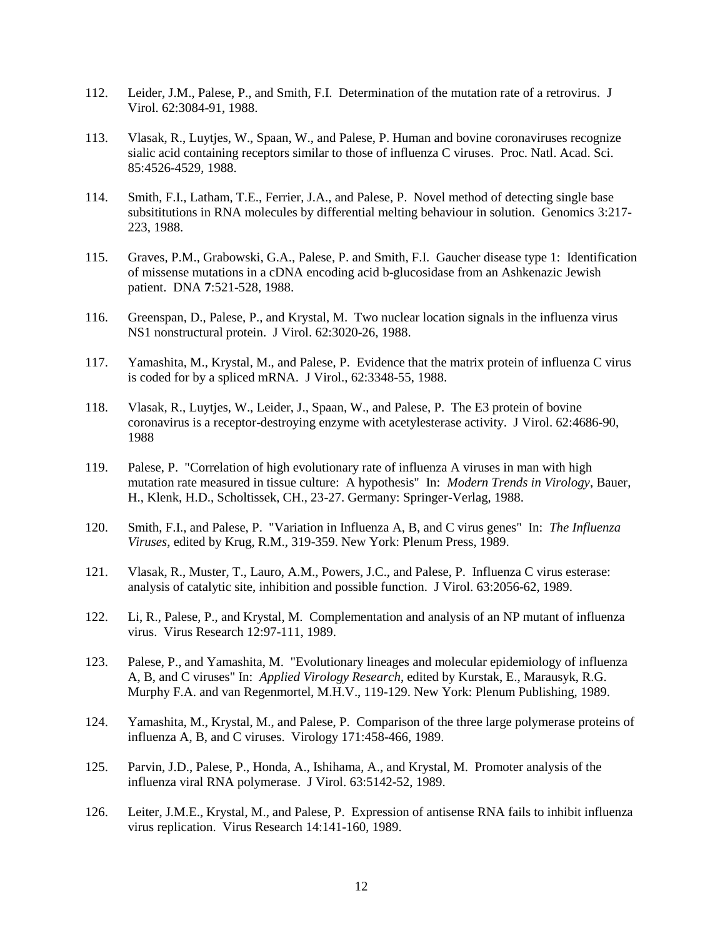- 112. Leider, J.M., Palese, P., and Smith, F.I. Determination of the mutation rate of a retrovirus. J Virol. 62:3084-91, 1988.
- 113. Vlasak, R., Luytjes, W., Spaan, W., and Palese, P. Human and bovine coronaviruses recognize sialic acid containing receptors similar to those of influenza C viruses. Proc. Natl. Acad. Sci. 85:4526-4529, 1988.
- 114. Smith, F.I., Latham, T.E., Ferrier, J.A., and Palese, P. Novel method of detecting single base subsititutions in RNA molecules by differential melting behaviour in solution. Genomics 3:217- 223, 1988.
- 115. Graves, P.M., Grabowski, G.A., Palese, P. and Smith, F.I. Gaucher disease type 1: Identification of missense mutations in a cDNA encoding acid b-glucosidase from an Ashkenazic Jewish patient. DNA **7**:521-528, 1988.
- 116. Greenspan, D., Palese, P., and Krystal, M. Two nuclear location signals in the influenza virus NS1 nonstructural protein. J Virol. 62:3020-26, 1988.
- 117. Yamashita, M., Krystal, M., and Palese, P. Evidence that the matrix protein of influenza C virus is coded for by a spliced mRNA. J Virol., 62:3348-55, 1988.
- 118. Vlasak, R., Luytjes, W., Leider, J., Spaan, W., and Palese, P. The E3 protein of bovine coronavirus is a receptor-destroying enzyme with acetylesterase activity. J Virol. 62:4686-90, 1988
- 119. Palese, P. "Correlation of high evolutionary rate of influenza A viruses in man with high mutation rate measured in tissue culture: A hypothesis" In: *Modern Trends in Virology*, Bauer, H., Klenk, H.D., Scholtissek, CH., 23-27. Germany: Springer-Verlag, 1988.
- 120. Smith, F.I., and Palese, P. "Variation in Influenza A, B, and C virus genes" In: *The Influenza Viruses*, edited by Krug, R.M., 319-359. New York: Plenum Press, 1989.
- 121. Vlasak, R., Muster, T., Lauro, A.M., Powers, J.C., and Palese, P. Influenza C virus esterase: analysis of catalytic site, inhibition and possible function. J Virol. 63:2056-62, 1989.
- 122. Li, R., Palese, P., and Krystal, M. Complementation and analysis of an NP mutant of influenza virus. Virus Research 12:97-111, 1989.
- 123. Palese, P., and Yamashita, M. "Evolutionary lineages and molecular epidemiology of influenza A, B, and C viruses" In: *Applied Virology Research*, edited by Kurstak, E., Marausyk, R.G. Murphy F.A. and van Regenmortel, M.H.V., 119-129. New York: Plenum Publishing, 1989.
- 124. Yamashita, M., Krystal, M., and Palese, P. Comparison of the three large polymerase proteins of influenza A, B, and C viruses. Virology 171:458-466, 1989.
- 125. Parvin, J.D., Palese, P., Honda, A., Ishihama, A., and Krystal, M. Promoter analysis of the influenza viral RNA polymerase. J Virol. 63:5142-52, 1989.
- 126. Leiter, J.M.E., Krystal, M., and Palese, P. Expression of antisense RNA fails to inhibit influenza virus replication. Virus Research 14:141-160, 1989.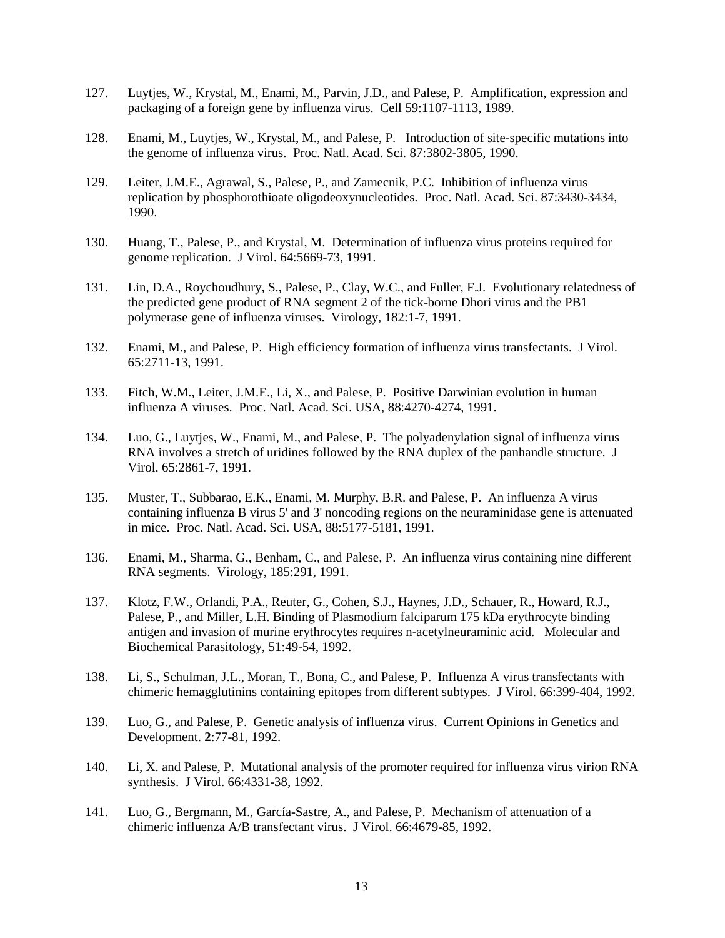- 127. Luytjes, W., Krystal, M., Enami, M., Parvin, J.D., and Palese, P. Amplification, expression and packaging of a foreign gene by influenza virus. Cell 59:1107-1113, 1989.
- 128. Enami, M., Luytjes, W., Krystal, M., and Palese, P. Introduction of site-specific mutations into the genome of influenza virus. Proc. Natl. Acad. Sci. 87:3802-3805, 1990.
- 129. Leiter, J.M.E., Agrawal, S., Palese, P., and Zamecnik, P.C. Inhibition of influenza virus replication by phosphorothioate oligodeoxynucleotides. Proc. Natl. Acad. Sci. 87:3430-3434, 1990.
- 130. Huang, T., Palese, P., and Krystal, M. Determination of influenza virus proteins required for genome replication. J Virol. 64:5669-73, 1991.
- 131. Lin, D.A., Roychoudhury, S., Palese, P., Clay, W.C., and Fuller, F.J. Evolutionary relatedness of the predicted gene product of RNA segment 2 of the tick-borne Dhori virus and the PB1 polymerase gene of influenza viruses. Virology, 182:1-7, 1991.
- 132. Enami, M., and Palese, P. High efficiency formation of influenza virus transfectants. J Virol. 65:2711-13, 1991.
- 133. Fitch, W.M., Leiter, J.M.E., Li, X., and Palese, P. Positive Darwinian evolution in human influenza A viruses. Proc. Natl. Acad. Sci. USA, 88:4270-4274, 1991.
- 134. Luo, G., Luytjes, W., Enami, M., and Palese, P. The polyadenylation signal of influenza virus RNA involves a stretch of uridines followed by the RNA duplex of the panhandle structure. J Virol. 65:2861-7, 1991.
- 135. Muster, T., Subbarao, E.K., Enami, M. Murphy, B.R. and Palese, P. An influenza A virus containing influenza B virus 5' and 3' noncoding regions on the neuraminidase gene is attenuated in mice. Proc. Natl. Acad. Sci. USA, 88:5177-5181, 1991.
- 136. Enami, M., Sharma, G., Benham, C., and Palese, P. An influenza virus containing nine different RNA segments. Virology, 185:291, 1991.
- 137. Klotz, F.W., Orlandi, P.A., Reuter, G., Cohen, S.J., Haynes, J.D., Schauer, R., Howard, R.J., Palese, P., and Miller, L.H. Binding of Plasmodium falciparum 175 kDa erythrocyte binding antigen and invasion of murine erythrocytes requires n-acetylneuraminic acid. Molecular and Biochemical Parasitology, 51:49-54, 1992.
- 138. Li, S., Schulman, J.L., Moran, T., Bona, C., and Palese, P. Influenza A virus transfectants with chimeric hemagglutinins containing epitopes from different subtypes. J Virol. 66:399-404, 1992.
- 139. Luo, G., and Palese, P. Genetic analysis of influenza virus. Current Opinions in Genetics and Development. **2**:77-81, 1992.
- 140. Li, X. and Palese, P. Mutational analysis of the promoter required for influenza virus virion RNA synthesis. J Virol. 66:4331-38, 1992.
- 141. Luo, G., Bergmann, M., García-Sastre, A., and Palese, P. Mechanism of attenuation of a chimeric influenza A/B transfectant virus. J Virol. 66:4679-85, 1992.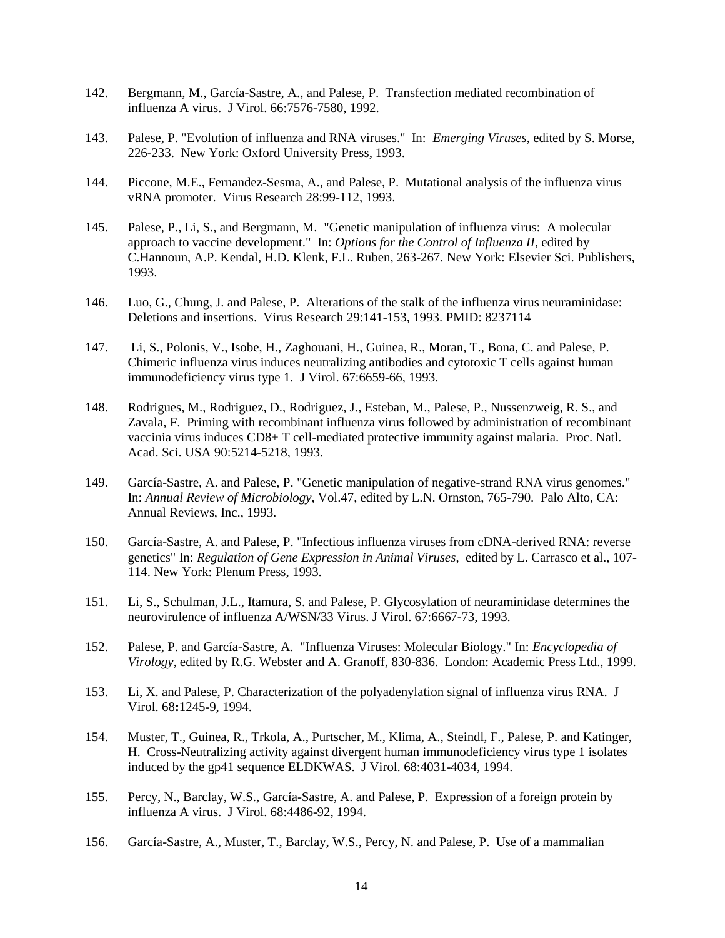- 142. Bergmann, M., García-Sastre, A., and Palese, P. Transfection mediated recombination of influenza A virus. J Virol. 66:7576-7580, 1992.
- 143. Palese, P. "Evolution of influenza and RNA viruses." In: *Emerging Viruses*, edited by S. Morse, 226-233. New York: Oxford University Press, 1993.
- 144. Piccone, M.E., Fernandez-Sesma, A., and Palese, P. Mutational analysis of the influenza virus vRNA promoter. Virus Research 28:99-112, 1993.
- 145. Palese, P., Li, S., and Bergmann, M. "Genetic manipulation of influenza virus: A molecular approach to vaccine development." In: *Options for the Control of Influenza II*, edited by C.Hannoun, A.P. Kendal, H.D. Klenk, F.L. Ruben, 263-267. New York: Elsevier Sci. Publishers, 1993.
- 146. Luo, G., Chung, J. and Palese, P. Alterations of the stalk of the influenza virus neuraminidase: Deletions and insertions. Virus Research 29:141-153, 1993. PMID: 8237114
- 147. Li, S., Polonis, V., Isobe, H., Zaghouani, H., Guinea, R., Moran, T., Bona, C. and Palese, P. Chimeric influenza virus induces neutralizing antibodies and cytotoxic T cells against human immunodeficiency virus type 1. J Virol. 67:6659-66, 1993.
- 148. Rodrigues, M., Rodriguez, D., Rodriguez, J., Esteban, M., Palese, P., Nussenzweig, R. S., and Zavala, F. Priming with recombinant influenza virus followed by administration of recombinant vaccinia virus induces CD8+ T cell-mediated protective immunity against malaria. Proc. Natl. Acad. Sci. USA 90:5214-5218, 1993.
- 149. García-Sastre, A. and Palese, P. "Genetic manipulation of negative-strand RNA virus genomes." In: *Annual Review of Microbiology*, Vol.47, edited by L.N. Ornston, 765-790. Palo Alto, CA: Annual Reviews, Inc., 1993.
- 150. García-Sastre, A. and Palese, P. "Infectious influenza viruses from cDNA-derived RNA: reverse genetics" In: *Regulation of Gene Expression in Animal Viruses*, edited by L. Carrasco et al., 107- 114. New York: Plenum Press, 1993.
- 151. Li, S., Schulman, J.L., Itamura, S. and Palese, P. Glycosylation of neuraminidase determines the neurovirulence of influenza A/WSN/33 Virus. J Virol. 67:6667-73, 1993.
- 152. Palese, P. and García-Sastre, A. "Influenza Viruses: Molecular Biology." In: *Encyclopedia of Virology*, edited by R.G. Webster and A. Granoff, 830-836. London: Academic Press Ltd., 1999.
- 153. Li, X. and Palese, P. Characterization of the polyadenylation signal of influenza virus RNA. J Virol. 68**:**1245-9, 1994.
- 154. Muster, T., Guinea, R., Trkola, A., Purtscher, M., Klima, A., Steindl, F., Palese, P. and Katinger, H. Cross-Neutralizing activity against divergent human immunodeficiency virus type 1 isolates induced by the gp41 sequence ELDKWAS. J Virol. 68:4031-4034, 1994.
- 155. Percy, N., Barclay, W.S., García-Sastre, A. and Palese, P. Expression of a foreign protein by influenza A virus. J Virol. 68:4486-92, 1994.
- 156. García-Sastre, A., Muster, T., Barclay, W.S., Percy, N. and Palese, P. Use of a mammalian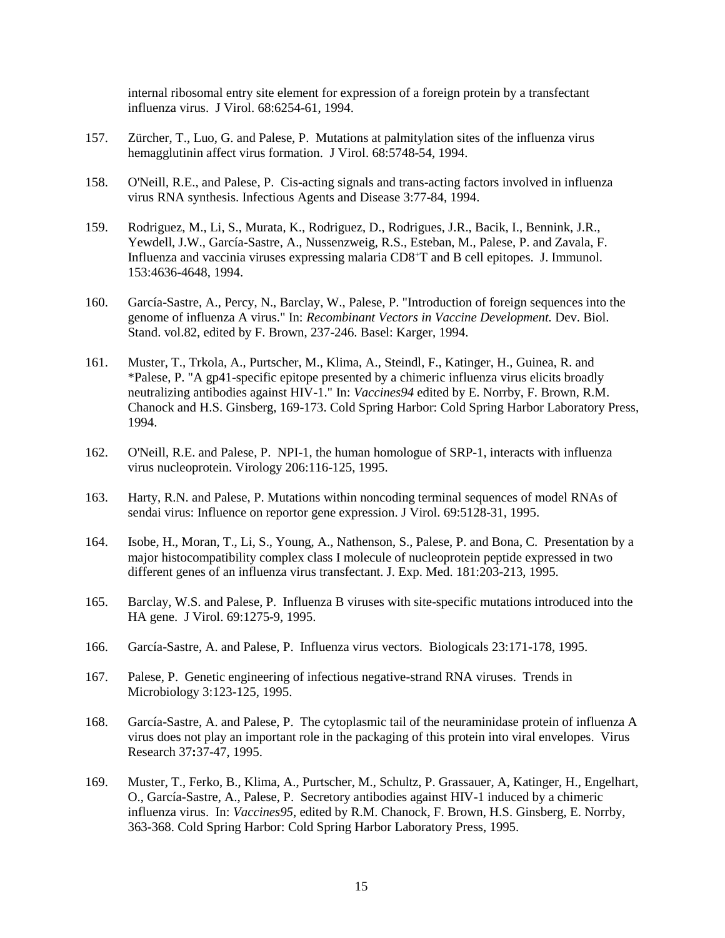internal ribosomal entry site element for expression of a foreign protein by a transfectant influenza virus. J Virol. 68:6254-61, 1994.

- 157. Zürcher, T., Luo, G. and Palese, P. Mutations at palmitylation sites of the influenza virus hemagglutinin affect virus formation. J Virol. 68:5748-54, 1994.
- 158. O'Neill, R.E., and Palese, P. Cis-acting signals and trans-acting factors involved in influenza virus RNA synthesis. Infectious Agents and Disease 3:77-84, 1994.
- 159. Rodriguez, M., Li, S., Murata, K., Rodriguez, D., Rodrigues, J.R., Bacik, I., Bennink, J.R., Yewdell, J.W., García-Sastre, A., Nussenzweig, R.S., Esteban, M., Palese, P. and Zavala, F. Influenza and vaccinia viruses expressing malaria CD8<sup>+</sup>T and B cell epitopes. J. Immunol. 153:4636-4648, 1994.
- 160. García-Sastre, A., Percy, N., Barclay, W., Palese, P. "Introduction of foreign sequences into the genome of influenza A virus." In: *Recombinant Vectors in Vaccine Development.* Dev. Biol. Stand. vol.82, edited by F. Brown, 237-246. Basel: Karger, 1994.
- 161. Muster, T., Trkola, A., Purtscher, M., Klima, A., Steindl, F., Katinger, H., Guinea, R. and \*Palese, P. "A gp41-specific epitope presented by a chimeric influenza virus elicits broadly neutralizing antibodies against HIV-1." In: *Vaccines94* edited by E. Norrby, F. Brown, R.M. Chanock and H.S. Ginsberg, 169-173. Cold Spring Harbor: Cold Spring Harbor Laboratory Press, 1994.
- 162. O'Neill, R.E. and Palese, P. NPI-1, the human homologue of SRP-1, interacts with influenza virus nucleoprotein. Virology 206:116-125, 1995.
- 163. Harty, R.N. and Palese, P. Mutations within noncoding terminal sequences of model RNAs of sendai virus: Influence on reportor gene expression. J Virol. 69:5128-31, 1995.
- 164. Isobe, H., Moran, T., Li, S., Young, A., Nathenson, S., Palese, P. and Bona, C. Presentation by a major histocompatibility complex class I molecule of nucleoprotein peptide expressed in two different genes of an influenza virus transfectant. J. Exp. Med. 181:203-213, 1995.
- 165. Barclay, W.S. and Palese, P. Influenza B viruses with site-specific mutations introduced into the HA gene. J Virol. 69:1275-9, 1995.
- 166. García-Sastre, A. and Palese, P. Influenza virus vectors. Biologicals 23:171-178, 1995.
- 167. Palese, P. Genetic engineering of infectious negative-strand RNA viruses. Trends in Microbiology 3:123-125, 1995.
- 168. García-Sastre, A. and Palese, P. The cytoplasmic tail of the neuraminidase protein of influenza A virus does not play an important role in the packaging of this protein into viral envelopes. Virus Research 37**:**37-47, 1995.
- 169. Muster, T., Ferko, B., Klima, A., Purtscher, M., Schultz, P. Grassauer, A, Katinger, H., Engelhart, O., García-Sastre, A., Palese, P. Secretory antibodies against HIV-1 induced by a chimeric influenza virus. In: *Vaccines95*, edited by R.M. Chanock, F. Brown, H.S. Ginsberg, E. Norrby, 363-368. Cold Spring Harbor: Cold Spring Harbor Laboratory Press, 1995.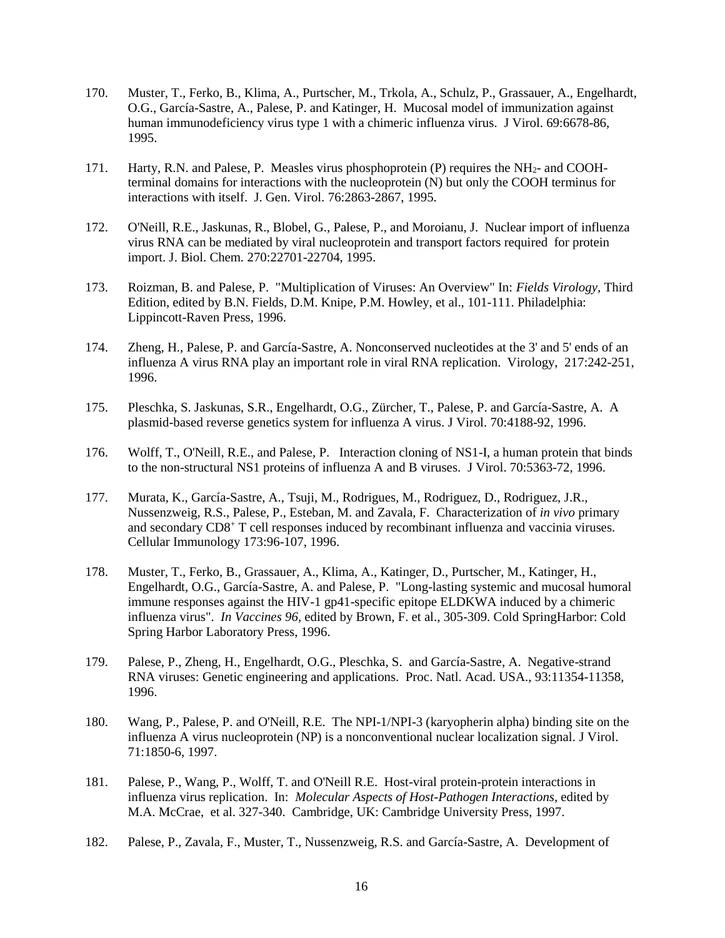- 170. Muster, T., Ferko, B., Klima, A., Purtscher, M., Trkola, A., Schulz, P., Grassauer, A., Engelhardt, O.G., García-Sastre, A., Palese, P. and Katinger, H. Mucosal model of immunization against human immunodeficiency virus type 1 with a chimeric influenza virus. J Virol. 69:6678-86, 1995.
- 171. Harty, R.N. and Palese, P. Measles virus phosphoprotein (P) requires the NH<sub>2</sub>- and COOHterminal domains for interactions with the nucleoprotein (N) but only the COOH terminus for interactions with itself. J. Gen. Virol. 76:2863-2867, 1995.
- 172. O'Neill, R.E., Jaskunas, R., Blobel, G., Palese, P., and Moroianu, J. Nuclear import of influenza virus RNA can be mediated by viral nucleoprotein and transport factors required for protein import. J. Biol. Chem. 270:22701-22704, 1995.
- 173. Roizman, B. and Palese, P. "Multiplication of Viruses: An Overview" In: *Fields Virology,* Third Edition, edited by B.N. Fields, D.M. Knipe, P.M. Howley, et al., 101-111. Philadelphia: Lippincott-Raven Press, 1996.
- 174. Zheng, H., Palese, P. and García-Sastre, A. Nonconserved nucleotides at the 3' and 5' ends of an influenza A virus RNA play an important role in viral RNA replication. Virology, 217:242-251, 1996.
- 175. Pleschka, S. Jaskunas, S.R., Engelhardt, O.G., Zürcher, T., Palese, P. and García-Sastre, A. A plasmid-based reverse genetics system for influenza A virus. J Virol. 70:4188-92, 1996.
- 176. Wolff, T., O'Neill, R.E., and Palese, P. Interaction cloning of NS1-I, a human protein that binds to the non-structural NS1 proteins of influenza A and B viruses. J Virol. 70:5363-72, 1996.
- 177. Murata, K., García-Sastre, A., Tsuji, M., Rodrigues, M., Rodriguez, D., Rodriguez, J.R., Nussenzweig, R.S., Palese, P., Esteban, M. and Zavala, F. Characterization of *in vivo* primary and secondary CD8<sup>+</sup> T cell responses induced by recombinant influenza and vaccinia viruses. Cellular Immunology 173:96-107, 1996.
- 178. Muster, T., Ferko, B., Grassauer, A., Klima, A., Katinger, D., Purtscher, M., Katinger, H., Engelhardt, O.G., García-Sastre, A. and Palese, P. "Long-lasting systemic and mucosal humoral immune responses against the HIV-1 gp41-specific epitope ELDKWA induced by a chimeric influenza virus". *In Vaccines 96,* edited by Brown, F. et al., 305-309. Cold SpringHarbor: Cold Spring Harbor Laboratory Press, 1996.
- 179. Palese, P., Zheng, H., Engelhardt, O.G., Pleschka, S. and García-Sastre, A. Negative-strand RNA viruses: Genetic engineering and applications. Proc. Natl. Acad. USA., 93:11354-11358, 1996.
- 180. Wang, P., Palese, P. and O'Neill, R.E. The NPI-1/NPI-3 (karyopherin alpha) binding site on the influenza A virus nucleoprotein (NP) is a nonconventional nuclear localization signal. J Virol. 71:1850-6, 1997.
- 181. Palese, P., Wang, P., Wolff, T. and O'Neill R.E. Host-viral protein-protein interactions in influenza virus replication. In: *Molecular Aspects of Host-Pathogen Interactions*, edited by M.A. McCrae, et al. 327-340. Cambridge, UK: Cambridge University Press, 1997.
- 182. Palese, P., Zavala, F., Muster, T., Nussenzweig, R.S. and García-Sastre, A. Development of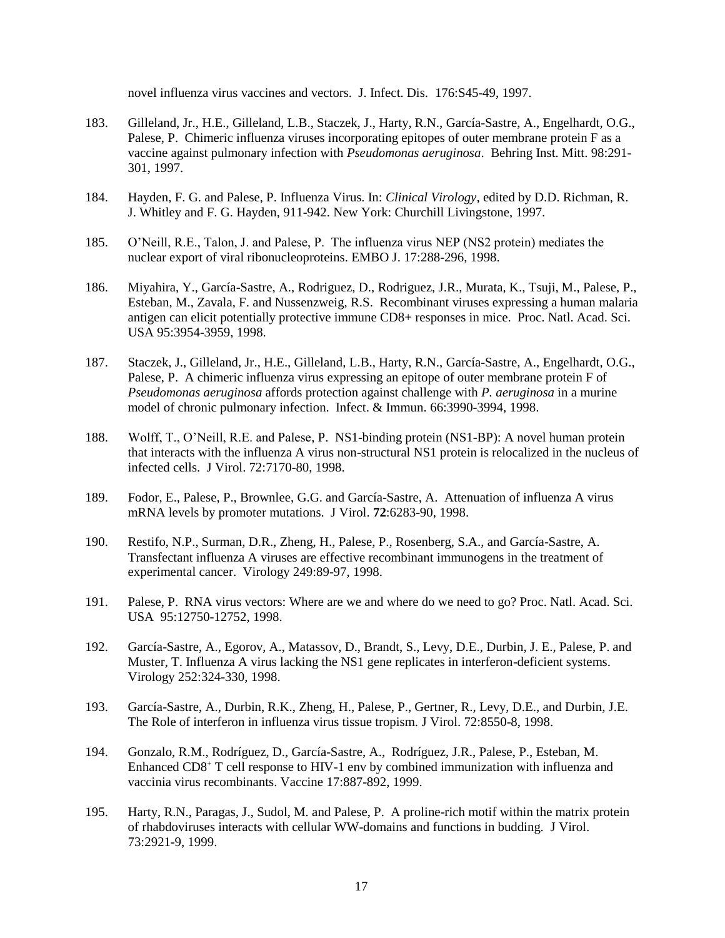novel influenza virus vaccines and vectors. J. Infect. Dis. 176:S45-49, 1997.

- 183. Gilleland, Jr., H.E., Gilleland, L.B., Staczek, J., Harty, R.N., García-Sastre, A., Engelhardt, O.G., Palese, P. Chimeric influenza viruses incorporating epitopes of outer membrane protein F as a vaccine against pulmonary infection with *Pseudomonas aeruginosa*. Behring Inst. Mitt. 98:291- 301, 1997.
- 184. Hayden, F. G. and Palese, P. Influenza Virus. In: *Clinical Virology*, edited by D.D. Richman, R. J. Whitley and F. G. Hayden, 911-942. New York: Churchill Livingstone, 1997.
- 185. O'Neill, R.E., Talon, J. and Palese, P. The influenza virus NEP (NS2 protein) mediates the nuclear export of viral ribonucleoproteins. EMBO J. 17:288-296, 1998.
- 186. Miyahira, Y., García-Sastre, A., Rodriguez, D., Rodriguez, J.R., Murata, K., Tsuji, M., Palese, P., Esteban, M., Zavala, F. and Nussenzweig, R.S. Recombinant viruses expressing a human malaria antigen can elicit potentially protective immune CD8+ responses in mice. Proc. Natl. Acad. Sci. USA 95:3954-3959, 1998.
- 187. Staczek, J., Gilleland, Jr., H.E., Gilleland, L.B., Harty, R.N., García-Sastre, A., Engelhardt, O.G., Palese, P. A chimeric influenza virus expressing an epitope of outer membrane protein F of *Pseudomonas aeruginosa* affords protection against challenge with *P. aeruginosa* in a murine model of chronic pulmonary infection. Infect. & Immun. 66:3990-3994, 1998.
- 188. Wolff, T., O'Neill, R.E. and Palese, P. NS1-binding protein (NS1-BP): A novel human protein that interacts with the influenza A virus non-structural NS1 protein is relocalized in the nucleus of infected cells. J Virol. 72:7170-80, 1998.
- 189. Fodor, E., Palese, P., Brownlee, G.G. and García-Sastre, A. Attenuation of influenza A virus mRNA levels by promoter mutations. J Virol. **72**:6283-90, 1998.
- 190. Restifo, N.P., Surman, D.R., Zheng, H., Palese, P., Rosenberg, S.A., and García-Sastre, A. Transfectant influenza A viruses are effective recombinant immunogens in the treatment of experimental cancer. Virology 249:89-97, 1998.
- 191. Palese, P. RNA virus vectors: Where are we and where do we need to go? Proc. Natl. Acad. Sci. USA 95:12750-12752, 1998.
- 192. García-Sastre, A., Egorov, A., Matassov, D., Brandt, S., Levy, D.E., Durbin, J. E., Palese, P. and Muster, T. Influenza A virus lacking the NS1 gene replicates in interferon-deficient systems. Virology 252:324-330, 1998.
- 193. García-Sastre, A., Durbin, R.K., Zheng, H., Palese, P., Gertner, R., Levy, D.E., and Durbin, J.E. The Role of interferon in influenza virus tissue tropism. J Virol. 72:8550-8, 1998.
- 194. Gonzalo, R.M., Rodríguez, D., García-Sastre, A., Rodríguez, J.R., Palese, P., Esteban, M. Enhanced CD8<sup>+</sup> T cell response to HIV-1 env by combined immunization with influenza and vaccinia virus recombinants. Vaccine 17:887-892, 1999.
- 195. Harty, R.N., Paragas, J., Sudol, M. and Palese, P. A proline-rich motif within the matrix protein of rhabdoviruses interacts with cellular WW-domains and functions in budding. J Virol. 73:2921-9, 1999.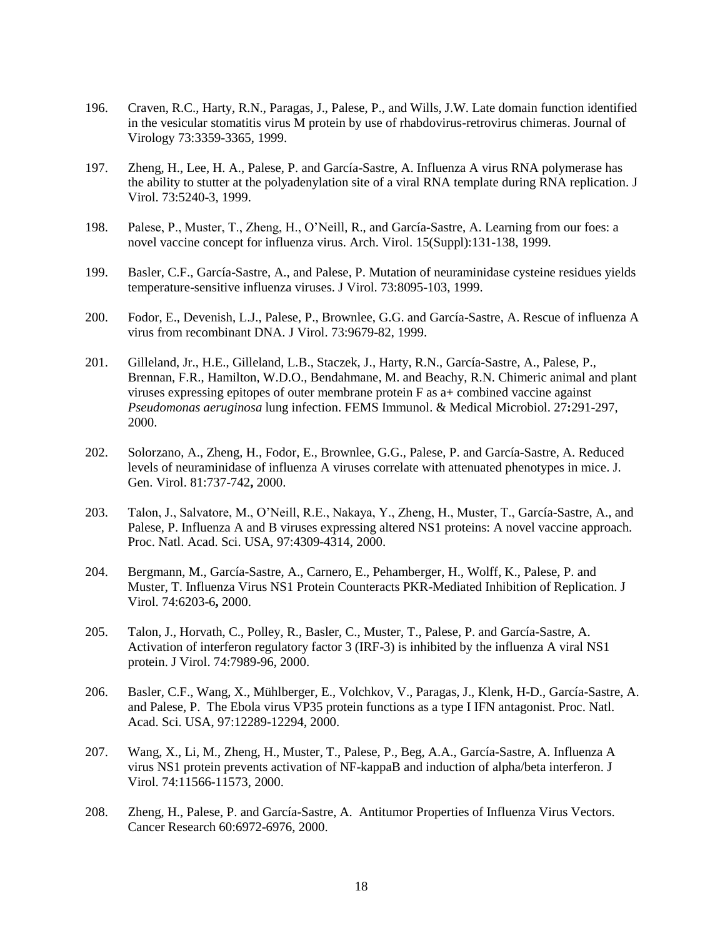- 196. Craven, R.C., Harty, R.N., Paragas, J., Palese, P., and Wills, J.W. Late domain function identified in the vesicular stomatitis virus M protein by use of rhabdovirus-retrovirus chimeras. Journal of Virology 73:3359-3365, 1999.
- 197. Zheng, H., Lee, H. A., Palese, P. and García-Sastre, A. Influenza A virus RNA polymerase has the ability to stutter at the polyadenylation site of a viral RNA template during RNA replication. J Virol. 73:5240-3, 1999.
- 198. Palese, P., Muster, T., Zheng, H., O'Neill, R., and García-Sastre, A. Learning from our foes: a novel vaccine concept for influenza virus. Arch. Virol. 15(Suppl):131-138, 1999.
- 199. Basler, C.F., García-Sastre, A., and Palese, P. Mutation of neuraminidase cysteine residues yields temperature-sensitive influenza viruses. J Virol. 73:8095-103, 1999.
- 200. Fodor, E., Devenish, L.J., Palese, P., Brownlee, G.G. and García-Sastre, A. Rescue of influenza A virus from recombinant DNA. J Virol. 73:9679-82, 1999.
- 201. Gilleland, Jr., H.E., Gilleland, L.B., Staczek, J., Harty, R.N., García-Sastre, A., Palese, P., Brennan, F.R., Hamilton, W.D.O., Bendahmane, M. and Beachy, R.N. Chimeric animal and plant viruses expressing epitopes of outer membrane protein F as a+ combined vaccine against *Pseudomonas aeruginosa* lung infection. FEMS Immunol. & Medical Microbiol. 27**:**291-297, 2000.
- 202. Solorzano, A., Zheng, H., Fodor, E., Brownlee, G.G., Palese, P. and García-Sastre, A. Reduced levels of neuraminidase of influenza A viruses correlate with attenuated phenotypes in mice. J. Gen. Virol. 81:737-742**,** 2000.
- 203. Talon, J., Salvatore, M., O'Neill, R.E., Nakaya, Y., Zheng, H., Muster, T., García-Sastre, A., and Palese, P. Influenza A and B viruses expressing altered NS1 proteins: A novel vaccine approach. Proc. Natl. Acad. Sci. USA, 97:4309-4314, 2000.
- 204. Bergmann, M., García-Sastre, A., Carnero, E., Pehamberger, H., Wolff, K., Palese, P. and Muster, T. Influenza Virus NS1 Protein Counteracts PKR-Mediated Inhibition of Replication. J Virol. 74:6203-6**,** 2000.
- 205. Talon, J., Horvath, C., Polley, R., Basler, C., Muster, T., Palese, P. and García-Sastre, A. Activation of interferon regulatory factor 3 (IRF-3) is inhibited by the influenza A viral NS1 protein. J Virol. 74:7989-96, 2000.
- 206. Basler, C.F., Wang, X., Mühlberger, E., Volchkov, V., Paragas, J., Klenk, H-D., García-Sastre, A. and Palese, P. The Ebola virus VP35 protein functions as a type I IFN antagonist. Proc. Natl. Acad. Sci. USA, 97:12289-12294, 2000.
- 207. Wang, X., Li, M., Zheng, H., Muster, T., Palese, P., Beg, A.A., García-Sastre, A. Influenza A virus NS1 protein prevents activation of NF-kappaB and induction of alpha/beta interferon. J Virol. 74:11566-11573, 2000.
- 208. Zheng, H., Palese, P. and García-Sastre, A. Antitumor Properties of Influenza Virus Vectors. Cancer Research 60:6972-6976, 2000.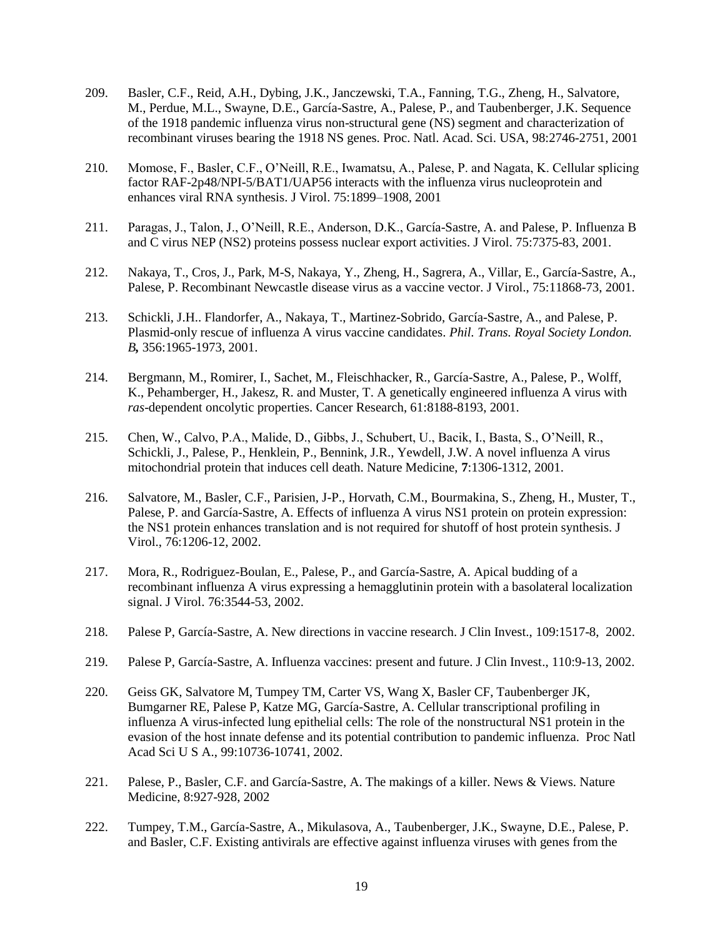- 209. Basler, C.F., Reid, A.H., Dybing, J.K., Janczewski, T.A., Fanning, T.G., Zheng, H., Salvatore, M., Perdue, M.L., Swayne, D.E., García-Sastre, A., Palese, P., and Taubenberger, J.K. Sequence of the 1918 pandemic influenza virus non-structural gene (NS) segment and characterization of recombinant viruses bearing the 1918 NS genes. Proc. Natl. Acad. Sci. USA, 98:2746-2751, 2001
- 210. Momose, F., Basler, C.F., O'Neill, R.E., Iwamatsu, A., Palese, P. and Nagata, K. Cellular splicing factor RAF-2p48/NPI-5/BAT1/UAP56 interacts with the influenza virus nucleoprotein and enhances viral RNA synthesis. J Virol. 75:1899–1908, 2001
- 211. Paragas, J., Talon, J., O'Neill, R.E., Anderson, D.K., García-Sastre, A. and Palese, P. Influenza B and C virus NEP (NS2) proteins possess nuclear export activities. J Virol. 75:7375-83, 2001.
- 212. Nakaya, T., Cros, J., Park, M-S, Nakaya, Y., Zheng, H., Sagrera, A., Villar, E., García-Sastre, A., Palese, P. Recombinant Newcastle disease virus as a vaccine vector. J Virol., 75:11868-73, 2001.
- 213. Schickli, J.H.. Flandorfer, A., Nakaya, T., Martinez-Sobrido, García-Sastre, A., and Palese, P. Plasmid-only rescue of influenza A virus vaccine candidates. *Phil. Trans. Royal Society London. B,* 356:1965-1973, 2001.
- 214. Bergmann, M., Romirer, I., Sachet, M., Fleischhacker, R., García-Sastre, A., Palese, P., Wolff, K., Pehamberger, H., Jakesz, R. and Muster, T. A genetically engineered influenza A virus with *ras*-dependent oncolytic properties. Cancer Research, 61:8188-8193, 2001.
- 215. Chen, W., Calvo, P.A., Malide, D., Gibbs, J., Schubert, U., Bacik, I., Basta, S., O'Neill, R., Schickli, J., Palese, P., Henklein, P., Bennink, J.R., Yewdell, J.W. A novel influenza A virus mitochondrial protein that induces cell death. Nature Medicine, **7**:1306-1312, 2001.
- 216. Salvatore, M., Basler, C.F., Parisien, J-P., Horvath, C.M., Bourmakina, S., Zheng, H., Muster, T., Palese, P. and García-Sastre, A. Effects of influenza A virus NS1 protein on protein expression: the NS1 protein enhances translation and is not required for shutoff of host protein synthesis. J Virol., 76:1206-12, 2002.
- 217. Mora, R., Rodriguez-Boulan, E., Palese, P., and García-Sastre, A. Apical budding of a recombinant influenza A virus expressing a hemagglutinin protein with a basolateral localization signal. J Virol. 76:3544-53, 2002.
- 218. Palese P, García-Sastre, A. New directions in vaccine research. J Clin Invest., 109:1517-8, 2002.
- 219. Palese P, García-Sastre, A. Influenza vaccines: present and future. J Clin Invest., 110:9-13, 2002.
- 220. Geiss GK, Salvatore M, Tumpey TM, Carter VS, Wang X, Basler CF, Taubenberger JK, Bumgarner RE, Palese P, Katze MG, García-Sastre, A. Cellular transcriptional profiling in influenza A virus-infected lung epithelial cells: The role of the nonstructural NS1 protein in the evasion of the host innate defense and its potential contribution to pandemic influenza. Proc Natl Acad Sci U S A., 99:10736-10741, 2002.
- 221. Palese, P., Basler, C.F. and García-Sastre, A. The makings of a killer. News & Views. Nature Medicine, 8:927-928, 2002
- 222. Tumpey, T.M., García-Sastre, A., Mikulasova, A., Taubenberger, J.K., Swayne, D.E., Palese, P. and Basler, C.F. Existing antivirals are effective against influenza viruses with genes from the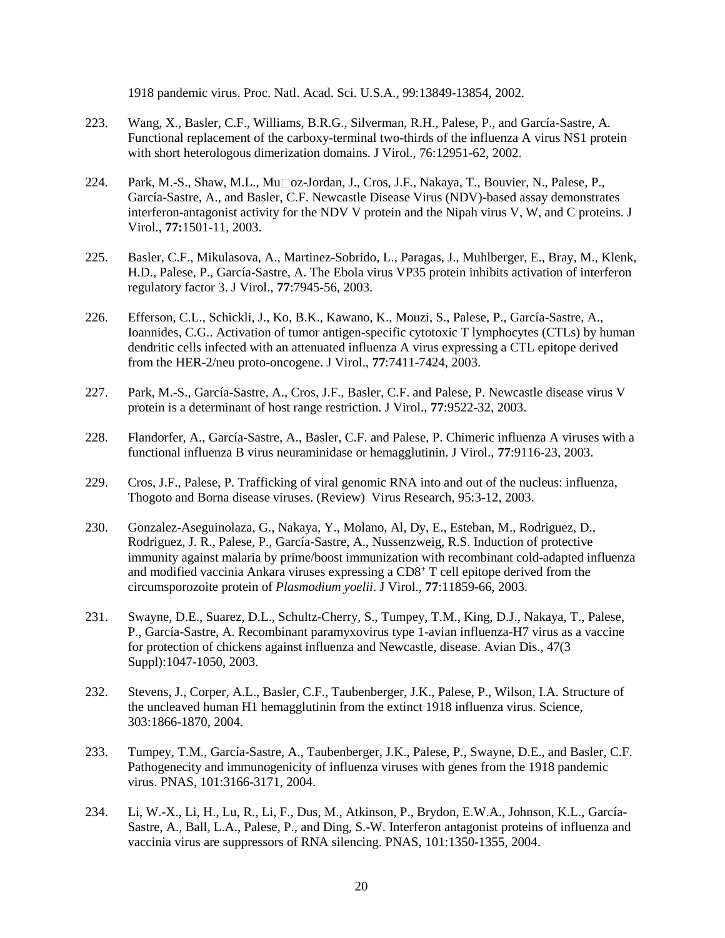1918 pandemic virus. Proc. Natl. Acad. Sci. U.S.A., 99:13849-13854, 2002.

- 223. Wang, X., Basler, C.F., Williams, B.R.G., Silverman, R.H., Palese, P., and García-Sastre, A. Functional replacement of the carboxy-terminal two-thirds of the influenza A virus NS1 protein with short heterologous dimerization domains. J Virol., 76:12951-62, 2002.
- 224. Park, M.-S., Shaw, M.L., Mu oz-Jordan, J., Cros, J.F., Nakaya, T., Bouvier, N., Palese, P., García-Sastre, A., and Basler, C.F. Newcastle Disease Virus (NDV)-based assay demonstrates interferon-antagonist activity for the NDV V protein and the Nipah virus V, W, and C proteins. J Virol., **77:**1501-11, 2003.
- 225. Basler, C.F., Mikulasova, A., Martinez-Sobrido, L., Paragas, J., Muhlberger, E., Bray, M., Klenk, H.D., Palese, P., García-Sastre, A. The Ebola virus VP35 protein inhibits activation of interferon regulatory factor 3. J Virol., **77**:7945-56, 2003.
- 226. Efferson, C.L., Schickli, J., Ko, B.K., Kawano, K., Mouzi, S., Palese, P., García-Sastre, A., Ioannides, C.G.. Activation of tumor antigen-specific cytotoxic T lymphocytes (CTLs) by human dendritic cells infected with an attenuated influenza A virus expressing a CTL epitope derived from the HER-2/neu proto-oncogene. J Virol., **77**:7411-7424, 2003.
- 227. Park, M.-S., García-Sastre, A., Cros, J.F., Basler, C.F. and Palese, P. Newcastle disease virus V protein is a determinant of host range restriction. J Virol., **77**:9522-32, 2003.
- 228. Flandorfer, A., García-Sastre, A., Basler, C.F. and Palese, P. Chimeric influenza A viruses with a functional influenza B virus neuraminidase or hemagglutinin. J Virol., **77**:9116-23, 2003.
- 229. Cros, J.F., Palese, P. Trafficking of viral genomic RNA into and out of the nucleus: influenza, Thogoto and Borna disease viruses. (Review) Virus Research, 95:3-12, 2003.
- 230. Gonzalez-Aseguinolaza, G., Nakaya, Y., Molano, Al, Dy, E., Esteban, M., Rodriguez, D., Rodriguez, J. R., Palese, P., García-Sastre, A., Nussenzweig, R.S. Induction of protective immunity against malaria by prime/boost immunization with recombinant cold-adapted influenza and modified vaccinia Ankara viruses expressing a  $CD8<sup>+</sup> T$  cell epitope derived from the circumsporozoite protein of *Plasmodium yoelii*. J Virol., **77**:11859-66, 2003.
- 231. Swayne, D.E., Suarez, D.L., Schultz-Cherry, S., Tumpey, T.M., King, D.J., Nakaya, T., Palese, P., García-Sastre, A. Recombinant paramyxovirus type 1-avian influenza-H7 virus as a vaccine for protection of chickens against influenza and Newcastle, disease. Avian Dis., 47(3 Suppl):1047-1050, 2003.
- 232. Stevens, J., Corper, A.L., Basler, C.F., Taubenberger, J.K., Palese, P., Wilson, I.A. Structure of the uncleaved human H1 hemagglutinin from the extinct 1918 influenza virus. Science, 303:1866-1870, 2004.
- 233. Tumpey, T.M., García-Sastre, A., Taubenberger, J.K., Palese, P., Swayne, D.E., and Basler, C.F. Pathogenecity and immunogenicity of influenza viruses with genes from the 1918 pandemic virus. PNAS, 101:3166-3171, 2004.
- 234. Li, W.-X., Li, H., Lu, R., Li, F., Dus, M., Atkinson, P., Brydon, E.W.A., Johnson, K.L., García-Sastre, A., Ball, L.A., Palese, P., and Ding, S.-W. Interferon antagonist proteins of influenza and vaccinia virus are suppressors of RNA silencing. PNAS, 101:1350-1355, 2004.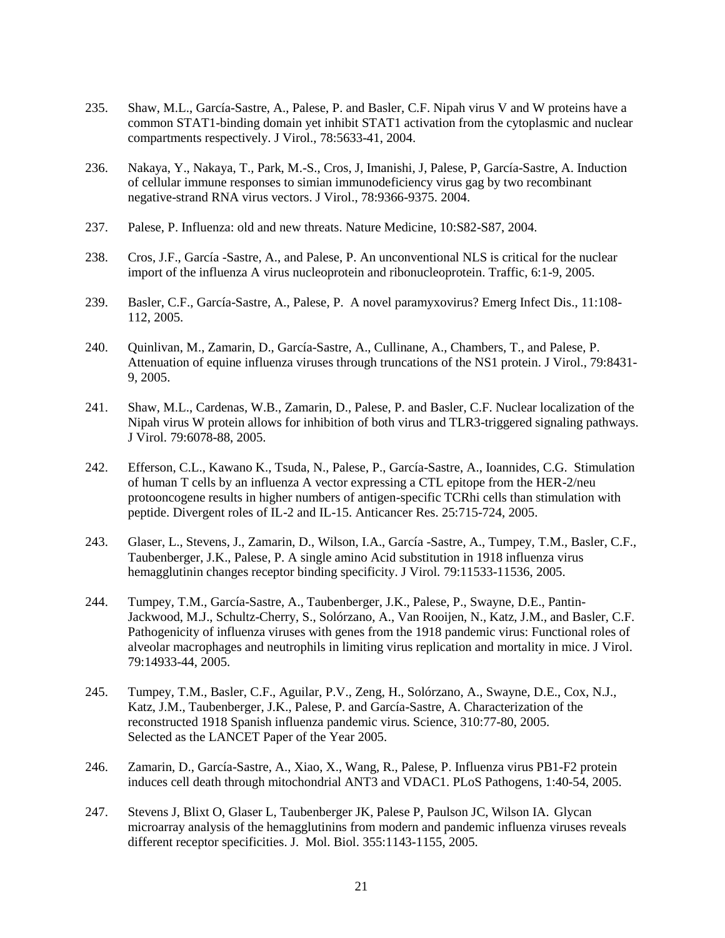- 235. Shaw, M.L., García-Sastre, A., Palese, P. and Basler, C.F. Nipah virus V and W proteins have a common STAT1-binding domain yet inhibit STAT1 activation from the cytoplasmic and nuclear compartments respectively. J Virol., 78:5633-41, 2004.
- 236. Nakaya, Y., Nakaya, T., Park, M.-S., Cros, J, Imanishi, J, Palese, P, García-Sastre, A. Induction of cellular immune responses to simian immunodeficiency virus gag by two recombinant negative-strand RNA virus vectors. J Virol., 78:9366-9375. 2004.
- 237. Palese, P. Influenza: old and new threats. Nature Medicine, 10:S82-S87, 2004.
- 238. Cros, J.F., García -Sastre, A., and Palese, P. An unconventional NLS is critical for the nuclear import of the influenza A virus nucleoprotein and ribonucleoprotein. Traffic, 6:1-9, 2005.
- 239. [Basler, C.F., García-Sastre,](http://www.ncbi.nlm.nih.gov/entrez/query.fcgi?cmd=Retrieve&db=pubmed&dopt=Abstract&list_uids=15705331) A., Palese, P. A novel paramyxovirus? Emerg Infect Dis., 11:108- 112, 2005.
- 240. Quinlivan, M., Zamarin, D., García-Sastre, A., Cullinane, A., Chambers, T., and Palese, P. Attenuation of equine influenza viruses through truncations of the NS1 protein. J Virol., 79:8431- 9, 2005.
- 241. Shaw, M.L., Cardenas, W.B., Zamarin, D., Palese, P. and Basler, C.F. Nuclear localization of the Nipah virus W protein allows for inhibition of both virus and TLR3-triggered signaling pathways. J Virol. 79:6078-88, 2005.
- 242. [Efferson, C.L., Kawano K., Tsuda, N., Palese,](http://www.ncbi.nlm.nih.gov/entrez/query.fcgi?cmd=Retrieve&db=pubmed&dopt=Abstract&list_uids=15868901) P., García-Sastre, A., Ioannides, C.G. Stimulation of human T cells by an influenza A vector expressing a CTL epitope from the HER-2/neu protooncogene results in higher numbers of antigen-specific TCRhi cells than stimulation with peptide. Divergent roles of IL-2 and IL-15. Anticancer Res. 25:715-724, 2005.
- 243. Glaser, L., Stevens, J., Zamarin, D., Wilson, [I.A., García -Sastre,](http://www.ncbi.nlm.nih.gov/entrez/query.fcgi?cmd=Retrieve&db=pubmed&dopt=Abstract&list_uids=16103207&query_hl=1) A., Tumpey, T.M., Basler, C.F., [Taubenberger,](http://www.ncbi.nlm.nih.gov/entrez/query.fcgi?cmd=Retrieve&db=pubmed&dopt=Abstract&list_uids=16103207&query_hl=1) J.K., Palese, P. A single amino Acid substitution in 1918 influenza virus hemagglutinin changes receptor binding specificity. J Virol. 79:11533-11536, 2005.
- 244. Tumpey, T.M., García-Sastre, A., Taubenberger, J.K., Palese, P., Swayne, D.E., Pantin-Jackwood, M.J., Schultz-Cherry, S., Solórzano, A., Van Rooijen, N., Katz, J.M., and Basler, C.F. Pathogenicity of influenza viruses with genes from the 1918 pandemic virus: Functional roles of alveolar macrophages and neutrophils in limiting virus replication and mortality in mice. J Virol. 79:14933-44, 2005.
- 245. Tumpey, T.M., Basler, C.F., Aguilar, P.V., Zeng, H., Solórzano, A., Swayne, D.E., Cox, N.J., Katz, J.M., Taubenberger, J.K., Palese, P. and García-Sastre, A. Characterization of the reconstructed 1918 Spanish influenza pandemic virus. Science, 310:77-80, 2005. Selected as the LANCET Paper of the Year 2005.
- 246. [Zamarin, D., García-Sastre, A., Xiao, X., Wang, R., Palese, P.](http://www.ncbi.nlm.nih.gov/entrez/query.fcgi?cmd=Retrieve&db=pubmed&dopt=Abstract&list_uids=16201016&query_hl=1) Influenza virus PB1-F2 protein induces cell death through mitochondrial ANT3 and VDAC1. PLoS Pathogens, 1:40-54, 2005.
- 247. [Stevens J, Blixt O, Glaser L, Taubenberger JK, Palese P, Paulson JC, Wilson IA.](http://www.ncbi.nlm.nih.gov/entrez/query.fcgi?cmd=Retrieve&db=pubmed&dopt=Abstract&list_uids=16343533&query_hl=1&itool=pubmed_docsum) Glycan microarray analysis of the hemagglutinins from modern and pandemic influenza viruses reveals different receptor specificities. J. Mol. Biol. 355:1143-1155, 2005.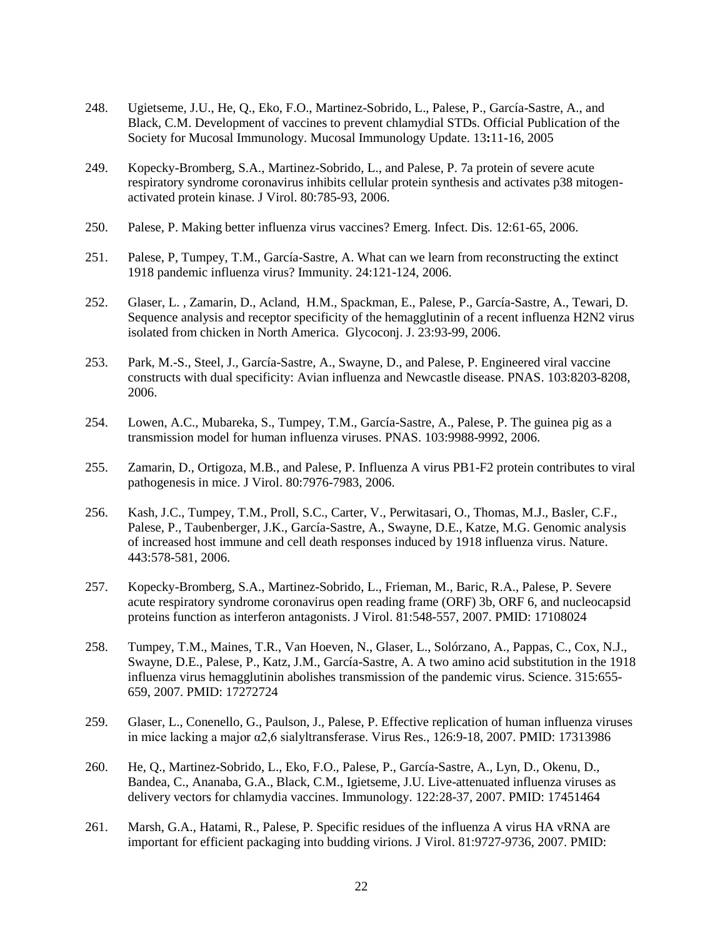- 248. Ugietseme, J.U., He, Q., Eko, F.O., Martinez-Sobrido, L., Palese, P., García-Sastre, A., and Black, C.M. Development of vaccines to prevent chlamydial STDs. Official Publication of the Society for Mucosal Immunology. Mucosal Immunology Update. 13**:**11-16, 2005
- 249. Kopecky-Bromberg, S.A., Martinez-Sobrido, L., and Palese, P. 7a protein of severe acute respiratory syndrome coronavirus inhibits cellular protein synthesis and activates p38 mitogenactivated protein kinase. J Virol. 80:785-93, 2006.
- 250. [Palese, P.](http://www.ncbi.nlm.nih.gov/entrez/query.fcgi?cmd=Retrieve&db=pubmed&dopt=Abstract&list_uids=16494719&query_hl=1&itool=pubmed_docsum) Making better influenza virus vaccines? Emerg. Infect. Dis. 12:61-65, 2006.
- 251. [Palese, P, Tumpey, T.M., García-Sastre, A.](http://www.ncbi.nlm.nih.gov/entrez/query.fcgi?cmd=Retrieve&db=pubmed&dopt=Abstract&list_uids=16473822&query_hl=1&itool=pubmed_docsum) What can we learn from reconstructing the extinct 1918 pandemic influenza virus? Immunity. 24:121-124, 2006.
- 252. [Glaser, L. , Zamarin, D., Acland, H.M., Spackman, E.,](http://www.ncbi.nlm.nih.gov/entrez/query.fcgi?cmd=Retrieve&db=pubmed&dopt=Abstract&list_uids=16575526&query_hl=1&itool=pubmed_docsum) Palese, P., García-Sastre, A., Tewari, D. Sequence analysis and receptor specificity of the hemagglutinin of a recent influenza H2N2 virus isolated from chicken in North America. Glycoconj. J. 23:93-99, 2006.
- 253. Park, M.-S., Steel, J., García-Sastre, A., Swayne, D., and Palese, P. Engineered viral vaccine constructs with dual specificity: Avian influenza and Newcastle disease. PNAS. 103:8203-8208, 2006.
- 254. Lowen, A.C., Mubareka, S., Tumpey, T.M., García-Sastre, A., Palese, P. The guinea pig as a transmission model for human influenza viruses. PNAS. 103:9988-9992, 2006.
- 255. Zamarin, D., Ortigoza, M.B., and Palese, P. Influenza A virus PB1-F2 protein contributes to viral pathogenesis in mice. J Virol. 80:7976-7983, 2006.
- 256. [Kash, J.C., Tumpey, T.M., Proll, S.C., Carter, V., Perwitasari, O., Thomas, M.J., Basler, C.F.,](http://www.ncbi.nlm.nih.gov/entrez/query.fcgi?db=pubmed&cmd=Retrieve&dopt=AbstractPlus&list_uids=17006449&query_hl=1&itool=pubmed_docsum) [Palese, P., Taubenberger, J.K., García-Sastre, A., Swayne, D.E., Katze, M.G.](http://www.ncbi.nlm.nih.gov/entrez/query.fcgi?db=pubmed&cmd=Retrieve&dopt=AbstractPlus&list_uids=17006449&query_hl=1&itool=pubmed_docsum) Genomic analysis of increased host immune and cell death responses induced by 1918 influenza virus. Nature. 443:578-581, 2006.
- 257. [Kopecky-Bromberg, S.A., Martinez-Sobrido, L., Frieman, M., Baric, R.A., Palese, P.](http://www.ncbi.nlm.nih.gov/entrez/query.fcgi?db=pubmed&cmd=Retrieve&dopt=AbstractPlus&list_uids=17108024&query_hl=1&itool=pubmed_docsum) Severe acute respiratory syndrome coronavirus open reading frame (ORF) 3b, ORF 6, and nucleocapsid proteins function as interferon antagonists. J Virol. 81:548-557, 2007. PMID: 17108024
- 258. Tumpey, T.M., Maines, T.R., Van Hoeven, N., Glaser, L., Solórzano, A., Pappas, C., Cox, N.J., Swayne, D.E., Palese, P., Katz, J.M., García-Sastre, A. A two amino acid substitution in the 1918 influenza virus hemagglutinin abolishes transmission of the pandemic virus. Science. 315:655- 659, 2007. PMID: 17272724
- 259. Glaser, L., Conenello, G., Paulson, J., Palese, P. Effective replication of human influenza viruses in mice lacking a major α2,6 sialyltransferase. Virus Res., 126:9-18, 2007. PMID: 17313986
- 260. [He, Q., Martinez-Sobrido, L., Eko, F.O., Palese, P., García-Sastre, A., Lyn, D., Okenu, D.,](http://www.ncbi.nlm.nih.gov/entrez/query.fcgi?db=pubmed&cmd=Retrieve&dopt=AbstractPlus&list_uids=17451464&query_hl=1&itool=pubmed_docsum)  [Bandea, C., Ananaba, G.A., Black, C.M., Igietseme, J.U.](http://www.ncbi.nlm.nih.gov/entrez/query.fcgi?db=pubmed&cmd=Retrieve&dopt=AbstractPlus&list_uids=17451464&query_hl=1&itool=pubmed_docsum) Live-attenuated influenza viruses as delivery vectors for chlamydia vaccines. Immunology. 122:28-37, 2007. PMID: 17451464
- 261. Marsh, G.A., Hatami, R., Palese, P. Specific residues of the influenza A virus HA vRNA are important for efficient packaging into budding virions. J Virol. 81:9727-9736, 2007. PMID: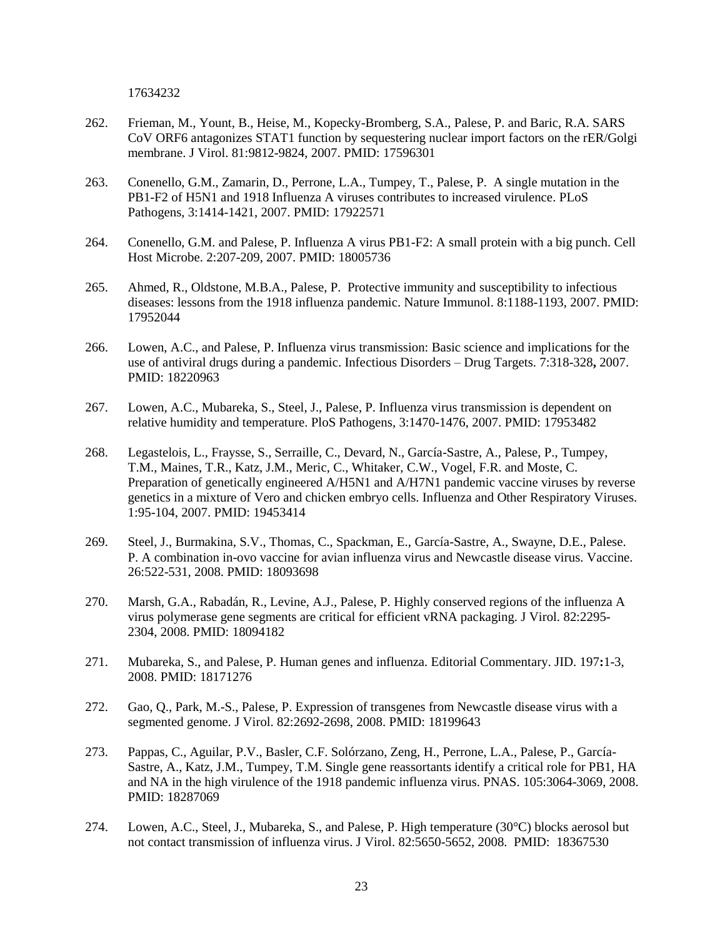17634232

- 262. Frieman, M., Yount, B., Heise, M., Kopecky-Bromberg, S.A., Palese, P. and Baric, R.A. SARS CoV ORF6 antagonizes STAT1 function by sequestering nuclear import factors on the rER/Golgi membrane. J Virol. 81:9812-9824, 2007. PMID: 17596301
- 263. Conenello, G.M., Zamarin, D., Perrone, L.A., Tumpey, T., Palese, P. A single mutation in the PB1-F2 of H5N1 and 1918 Influenza A viruses contributes to increased virulence. PLoS Pathogens, 3:1414-1421, 2007. PMID: 17922571
- 264. Conenello, G.M. and Palese, P. Influenza A virus PB1-F2: A small protein with a big punch. Cell Host Microbe. 2:207-209, 2007. PMID: 18005736
- 265. Ahmed, R., Oldstone, M.B.A., Palese, P. Protective immunity and susceptibility to infectious diseases: lessons from the 1918 influenza pandemic. Nature Immunol. 8:1188-1193, 2007. PMID: 17952044
- 266. Lowen, A.C., and Palese, P. Influenza virus transmission: Basic science and implications for the use of antiviral drugs during a pandemic. Infectious Disorders – Drug Targets. 7:318-328**,** 2007. PMID: 18220963
- 267. Lowen, A.C., Mubareka, S., Steel, J., Palese, P. Influenza virus transmission is dependent on relative humidity and temperature. PloS Pathogens, 3:1470-1476, 2007. PMID: 17953482
- 268. Legastelois, L., Fraysse, S., Serraille, C., Devard, N., García-Sastre, A., Palese, P., Tumpey, T.M., Maines, T.R., Katz, J.M., Meric, C., Whitaker, C.W., Vogel, F.R. and Moste, C. Preparation of genetically engineered A/H5N1 and A/H7N1 pandemic vaccine viruses by reverse genetics in a mixture of Vero and chicken embryo cells. Influenza and Other Respiratory Viruses. 1:95-104, 2007. PMID: 19453414
- 269. [Steel, J., Burmakina, S.V., Thomas, C., Spackman, E., García-Sastre, A., Swayne, D.E., Palese.](http://www.ncbi.nlm.nih.gov/sites/entrez?Db=pubmed&Cmd=ShowDetailView&TermToSearch=18093698&ordinalpos=2&itool=EntrezSystem2.PEntrez.Pubmed.Pubmed_ResultsPanel.Pubmed_RVDocSum)  [P.](http://www.ncbi.nlm.nih.gov/sites/entrez?Db=pubmed&Cmd=ShowDetailView&TermToSearch=18093698&ordinalpos=2&itool=EntrezSystem2.PEntrez.Pubmed.Pubmed_ResultsPanel.Pubmed_RVDocSum) A combination in-ovo vaccine for avian influenza virus and Newcastle disease virus. Vaccine. 26:522-531, 2008. PMID: 18093698
- 270. [Marsh, G.A., Rabadán, R., Levine, A.J., Palese, P.](http://www.ncbi.nlm.nih.gov/sites/entrez?Db=pubmed&Cmd=ShowDetailView&TermToSearch=18094182&ordinalpos=1&itool=EntrezSystem2.PEntrez.Pubmed.Pubmed_ResultsPanel.Pubmed_RVDocSum) Highly conserved regions of the influenza A virus polymerase gene segments are critical for efficient vRNA packaging. J Virol. 82:2295- 2304, 2008. PMID: 18094182
- 271. Mubareka, S., and Palese, P. Human genes and influenza. Editorial Commentary. JID. 197**:**1-3, 2008. PMID: 18171276
- 272. Gao, Q., Park, M.-S., Palese, P. Expression of transgenes from Newcastle disease virus with a segmented genome. J Virol. 82:2692-2698, 2008. PMID: 18199643
- 273. Pappas, C., Aguilar, P.V., Basler, C.F. Solórzano, Zeng, H., Perrone, L.A., Palese, P., García-Sastre, A., Katz, J.M., Tumpey, T.M. Single gene reassortants identify a critical role for PB1, HA and NA in the high virulence of the 1918 pandemic influenza virus. PNAS. 105:3064-3069, 2008. PMID: 18287069
- 274. Lowen, A.C., Steel, J., Mubareka, S., and Palese, P. High temperature (30°C) blocks aerosol but not contact transmission of influenza virus. J Virol. 82:5650-5652, 2008. PMID: 18367530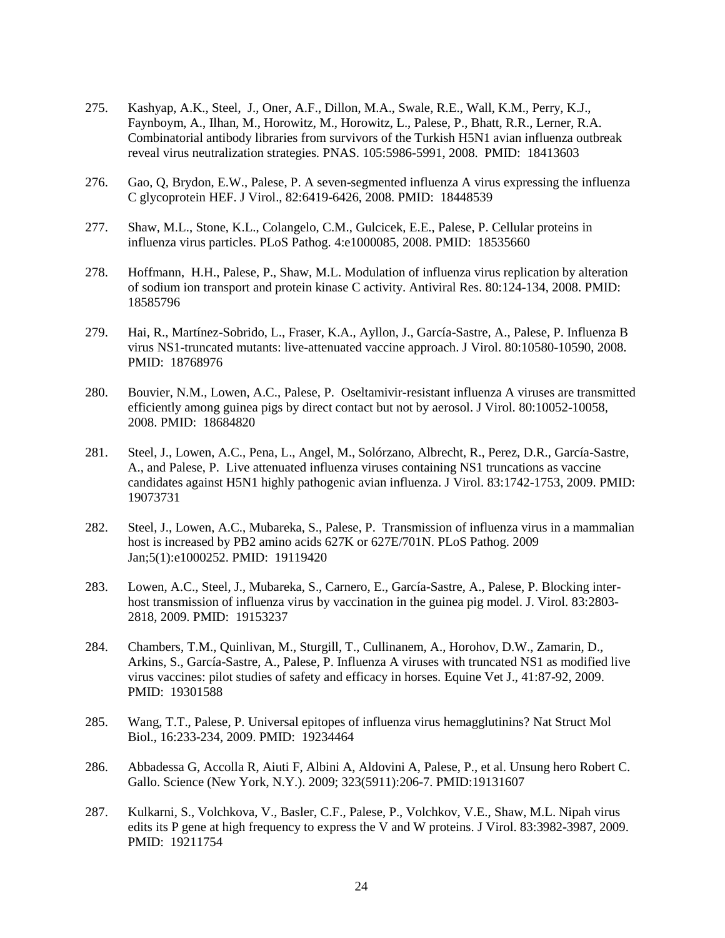- 275. [Kashyap, A.K., Steel, J., Oner, A.F., Dillon, M.A., Swale, R.E.,](http://www.ncbi.nlm.nih.gov/pubmed/18413603?ordinalpos=2&itool=EntrezSystem2.PEntrez.Pubmed.Pubmed_ResultsPanel.Pubmed_RVDocSum) Wall, K.M., Perry, K.J., [Faynboym, A., Ilhan, M., Horowitz, M., Horowitz, L., Palese, P., Bhatt, R.R., Lerner, R.A.](http://www.ncbi.nlm.nih.gov/pubmed/18413603?ordinalpos=2&itool=EntrezSystem2.PEntrez.Pubmed.Pubmed_ResultsPanel.Pubmed_RVDocSum) Combinatorial antibody libraries from survivors of the Turkish H5N1 avian influenza outbreak reveal virus neutralization strategies. PNAS. 105:5986-5991, 2008. PMID: 18413603
- 276. [Gao, Q, Brydon, E.W., Palese, P.](http://www.ncbi.nlm.nih.gov/pubmed/18448539?ordinalpos=1&itool=EntrezSystem2.PEntrez.Pubmed.Pubmed_ResultsPanel.Pubmed_RVDocSum) A seven-segmented influenza A virus expressing the influenza C glycoprotein HEF. J Virol., 82:6419-6426, 2008. PMID: 18448539
- 277. Shaw, M.L., Stone, K.L., [Colangelo, C.M., Gulcicek, E.E., Palese, P.](http://www.ncbi.nlm.nih.gov/pubmed/18535660?ordinalpos=1&itool=EntrezSystem2.PEntrez.Pubmed.Pubmed_ResultsPanel.Pubmed_RVDocSum) Cellular proteins in influenza virus particles. PLoS Pathog. 4:e1000085, 2008. PMID: 18535660
- 278. Hoffmann, H.H., Palese, P., Shaw, M.L. Modulation of influenza virus replication by alteration of sodium ion transport and protein kinase C activity. Antiviral Res. 80:124-134, 2008. PMID: 18585796
- 279. Hai, R., Martínez-Sobrido, L., Fraser, K.A., Ayllon, J., García-Sastre, A., Palese, P. Influenza B virus NS1-truncated mutants: live-attenuated vaccine approach. J Virol. 80:10580-10590, 2008. PMID: 18768976
- 280. Bouvier, N.M., Lowen, A.C., Palese, P. Oseltamivir-resistant influenza A viruses are transmitted efficiently among guinea pigs by direct contact but not by aerosol. J Virol. 80:10052-10058, 2008. PMID: 18684820
- 281. Steel, J., Lowen, A.C., Pena, L., Angel, M., Solórzano, Albrecht, R., Perez, D.R., García-Sastre, A., and Palese, P. Live attenuated influenza viruses containing NS1 truncations as vaccine candidates against H5N1 highly pathogenic avian influenza. J Virol. 83:1742-1753, 2009. PMID: 19073731
- 282. Steel, J., Lowen, A.C., Mubareka, S., Palese, P. Transmission of influenza virus in a mammalian host is increased by PB2 amino acids 627K or 627E/701N. PLoS Pathog. 2009 Jan;5(1):e1000252. PMID: 19119420
- 283. Lowen, A.C., Steel, J., Mubareka, S., Carnero, E., García-Sastre, A., Palese, P. Blocking interhost transmission of influenza virus by vaccination in the guinea pig model. J. Virol. 83:2803- 2818, 2009. PMID: 19153237
- 284. Chambers, T.M., Quinlivan, M., Sturgill, T., Cullinanem, A., Horohov, D.W., Zamarin, D., Arkins, S., García-Sastre, A., Palese, P. Influenza A viruses with truncated NS1 as modified live virus vaccines: pilot studies of safety and efficacy in horses. Equine Vet J., 41:87-92, 2009. PMID: 19301588
- 285. Wang, T.T., Palese, P. Universal epitopes of influenza virus hemagglutinins? Nat Struct Mol Biol., 16:233-234, 2009. PMID: 19234464
- 286. Abbadessa G, Accolla R, Aiuti F, Albini A, Aldovini A, Palese, P., et al. Unsung hero Robert C. Gallo. Science (New York, N.Y.). 2009; 323(5911):206-7. PMID:19131607
- 287. Kulkarni, S., Volchkova, V., Basler, C.F., Palese, P., Volchkov, V.E., Shaw, M.L. Nipah virus edits its P gene at high frequency to express the V and W proteins. J Virol. 83:3982-3987, 2009. PMID: 19211754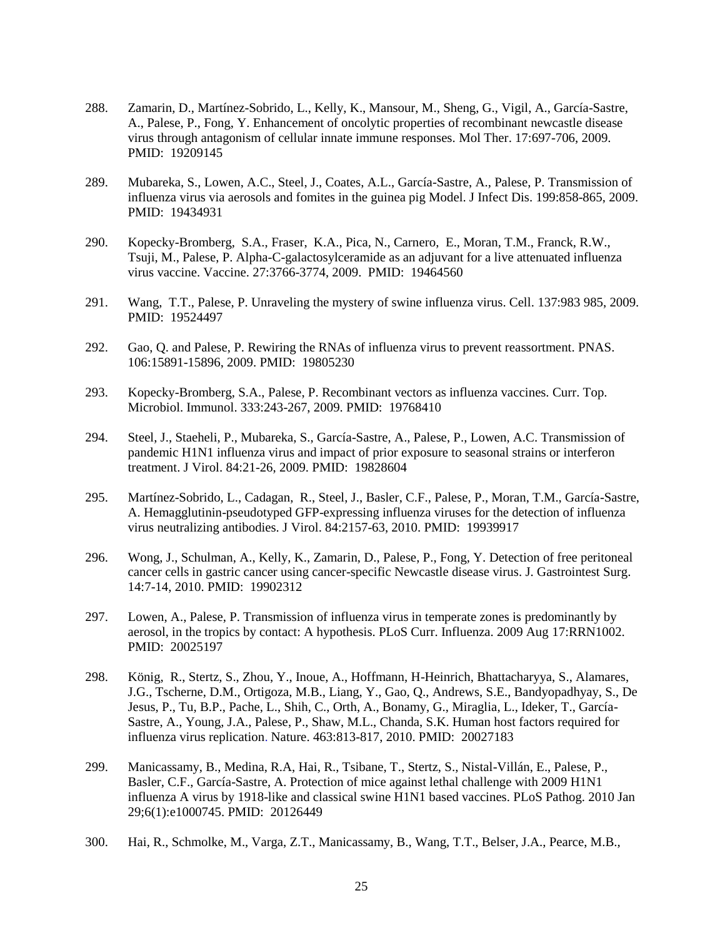- 288. Zamarin, D., Martínez-Sobrido, L., Kelly, K., Mansour, M., Sheng, G., Vigil, A., García-Sastre, A., Palese, P., Fong, Y. Enhancement of oncolytic properties of recombinant newcastle disease virus through antagonism of cellular innate immune responses. Mol Ther. 17:697-706, 2009. PMID: 19209145
- 289. Mubareka, S., Lowen, A.C., Steel, J., Coates, A.L., García-Sastre, A., Palese, P. Transmission of influenza virus via aerosols and fomites in the guinea pig Model. J Infect Dis. 199:858-865, 2009. PMID: 19434931
- 290. Kopecky-Bromberg, S.A., Fraser, K.A., Pica, N., Carnero, E., Moran, T.M., Franck, R.W., Tsuji, M., Palese, P. Alpha-C-galactosylceramide as an adjuvant for a live attenuated influenza virus vaccine. Vaccine. 27:3766-3774, 2009. PMID: 19464560
- 291. Wang, T.T., Palese, P. Unraveling the mystery of swine influenza virus. Cell. 137:983 985, 2009. PMID: 19524497
- 292. Gao, Q. and Palese, P. Rewiring the RNAs of influenza virus to prevent reassortment. PNAS. 106:15891-15896, 2009. PMID: 19805230
- 293. Kopecky-Bromberg, S.A., Palese, P. Recombinant vectors as influenza vaccines. Curr. Top. Microbiol. Immunol. 333:243-267, 2009. PMID: 19768410
- 294. Steel, J., Staeheli, P., Mubareka, S., García-Sastre, A., Palese, P., Lowen, A.C. Transmission of pandemic H1N1 influenza virus and impact of prior exposure to seasonal strains or interferon treatment. J Virol. 84:21-26, 2009. PMID: 19828604
- 295. Martínez-Sobrido, L., Cadagan, R., Steel, J., Basler, C.F., Palese, P., Moran, T.M., García-Sastre, A. Hemagglutinin-pseudotyped GFP-expressing influenza viruses for the detection of influenza virus neutralizing antibodies. J Virol. 84:2157-63, 2010. PMID: 19939917
- 296. Wong, J., Schulman, A., Kelly, K., Zamarin, D., Palese, P., Fong, Y. [Detection of free peritoneal](http://www.ncbi.nlm.nih.gov/pubmed/19902312?itool=EntrezSystem2.PEntrez.Pubmed.Pubmed_ResultsPanel.Pubmed_RVDocSum&ordinalpos=2)  [cancer cells in gastric cancer using cancer-specific Newcastle disease virus.](http://www.ncbi.nlm.nih.gov/pubmed/19902312?itool=EntrezSystem2.PEntrez.Pubmed.Pubmed_ResultsPanel.Pubmed_RVDocSum&ordinalpos=2) J. Gastrointest Surg. 14:7-14, 2010. PMID: 19902312
- 297. Lowen, A., Palese, P. Transmission of influenza virus in temperate zones is predominantly by aerosol, in the tropics by contact: A hypothesis. PLoS Curr. Influenza. 2009 Aug 17:RRN1002. PMID: 20025197
- 298. König, R., Stertz, S., Zhou, Y., Inoue, A., Hoffmann, H-Heinrich, Bhattacharyya, S., Alamares, J.G., Tscherne, D.M., Ortigoza, M.B., Liang, Y., Gao, Q., Andrews, S.E., Bandyopadhyay, S., De Jesus, P., Tu, B.P., Pache, L., Shih, C., Orth, A., Bonamy, G., Miraglia, L., Ideker, T., García-Sastre, A., Young, J.A., Palese, P., Shaw, M.L., Chanda, S.K. Human host factors required for influenza virus replication. Nature. 463:813-817, 2010. PMID: 20027183
- 299. Manicassamy, B., Medina, R.A, Hai, R., Tsibane, T., Stertz, S., Nistal-Villán, E., Palese, P., Basler, C.F., García-Sastre, A. Protection of mice against lethal challenge with 2009 H1N1 influenza A virus by 1918-like and classical swine H1N1 based vaccines. PLoS Pathog. 2010 Jan 29;6(1):e1000745. PMID: 20126449
- 300. Hai, R., Schmolke, M., Varga, Z.T., Manicassamy, B., Wang, T.T., Belser, J.A., Pearce, M.B.,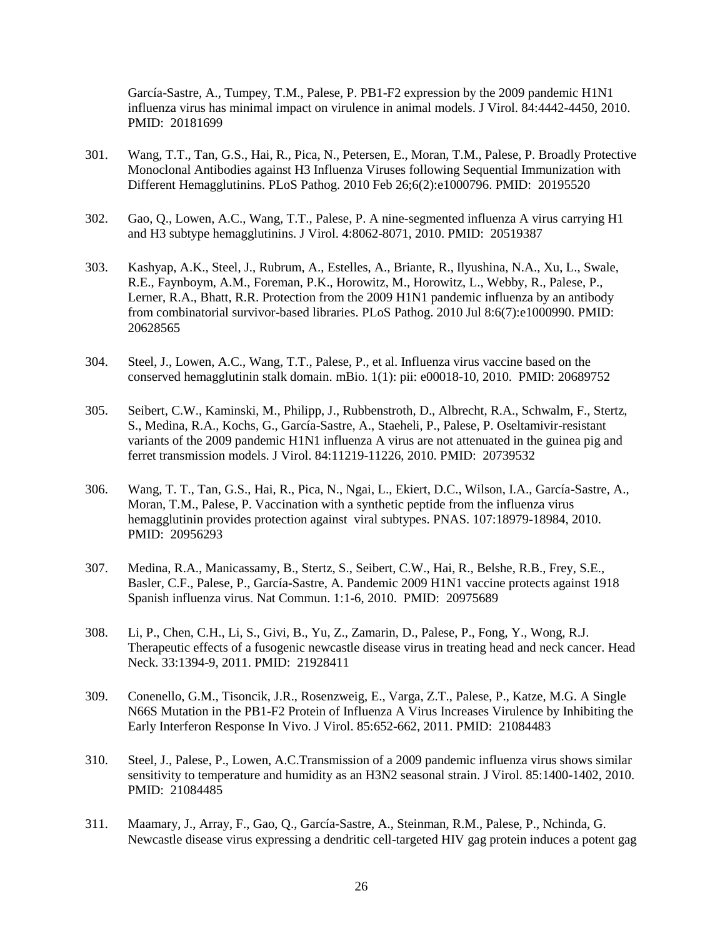García-Sastre, A., Tumpey, T.M., Palese, P. PB1-F2 expression by the 2009 pandemic H1N1 influenza virus has minimal impact on virulence in animal models. J Virol. 84:4442-4450, 2010. PMID: 20181699

- 301. Wang, T.T., Tan, G.S., Hai, R., Pica, N., Petersen, E., Moran, T.M., Palese, P. Broadly Protective Monoclonal Antibodies against H3 Influenza Viruses following Sequential Immunization with Different Hemagglutinins. PLoS Pathog. 2010 Feb 26;6(2):e1000796. PMID: 20195520
- 302. Gao, Q., Lowen, A.C., Wang, T.T., Palese, P. A nine-segmented influenza A virus carrying H1 and H3 subtype hemagglutinins. J Virol. 4:8062-8071, 2010. PMID: 20519387
- 303. Kashyap, A.K., Steel, J., Rubrum, A., Estelles, A., Briante, R., Ilyushina, N.A., Xu, L., Swale, R.E., Faynboym, A.M., Foreman, P.K., Horowitz, M., Horowitz, L., Webby, R., Palese, P., Lerner, R.A., Bhatt, R.R. [Protection from the 2009 H1N1 pandemic influenza by an antibody](http://www.ncbi.nlm.nih.gov/pubmed/20628565)  [from combinatorial survivor-based libraries.](http://www.ncbi.nlm.nih.gov/pubmed/20628565) PLoS Pathog. 2010 Jul 8:6(7):e1000990. PMID: 20628565
- 304. Steel, J., Lowen, A.C., Wang, T.T., Palese, P., et al. Influenza virus vaccine based on the conserved hemagglutinin stalk domain. mBio. 1(1): pii: e00018-10, 2010. PMID: 20689752
- 305. Seibert, C.W., Kaminski, M., Philipp, J., Rubbenstroth, D., Albrecht, R.A., Schwalm, F., Stertz, S., Medina, R.A., Kochs, G., García-Sastre, A., Staeheli, P., Palese, P. Oseltamivir-resistant variants of the 2009 pandemic H1N1 influenza A virus are not attenuated in the guinea pig and ferret transmission models. J Virol. 84:11219-11226, 2010. PMID: 20739532
- 306. Wang, T. T., Tan, G.S., Hai, R., Pica, N., Ngai, L., Ekiert, D.C., Wilson, I.A., García-Sastre, A., Moran, T.M., Palese, P. Vaccination with a synthetic peptide from the influenza virus hemagglutinin provides protection against viral subtypes. PNAS. 107:18979-18984, 2010. PMID: 20956293
- 307. Medina, R.A., Manicassamy, B., Stertz, S., Seibert, C.W., Hai, R., Belshe, R.B., Frey, S.E., Basler, C.F., Palese, P., García-Sastre, A. Pandemic 2009 H1N1 vaccine protects against 1918 Spanish influenza virus. Nat Commun. 1:1-6, 2010. PMID: 20975689
- 308. Li, P., Chen, C.H., Li, S., Givi, B., Yu, Z., Zamarin, D., Palese, P., Fong, Y., Wong, R.J. Therapeutic effects of a fusogenic newcastle disease virus in treating head and neck cancer. Head Neck. 33:1394-9, 2011. PMID: 21928411
- 309. Conenello, G.M., Tisoncik, J.R., Rosenzweig, E., Varga, Z.T., Palese, P., Katze, M.G. A Single N66S Mutation in the PB1-F2 Protein of Influenza A Virus Increases Virulence by Inhibiting the Early Interferon Response In Vivo. J Virol. 85:652-662, 2011. PMID: 21084483
- 310. Steel, J., Palese, P., Lowen, A.C.Transmission of a 2009 pandemic influenza virus shows similar sensitivity to temperature and humidity as an H3N2 seasonal strain. J Virol. 85:1400-1402, 2010. PMID: 21084485
- 311. Maamary, J., Array, F., Gao, Q., García-Sastre, A., Steinman, R.M., Palese, P., Nchinda, G. Newcastle disease virus expressing a dendritic cell-targeted HIV gag protein induces a potent gag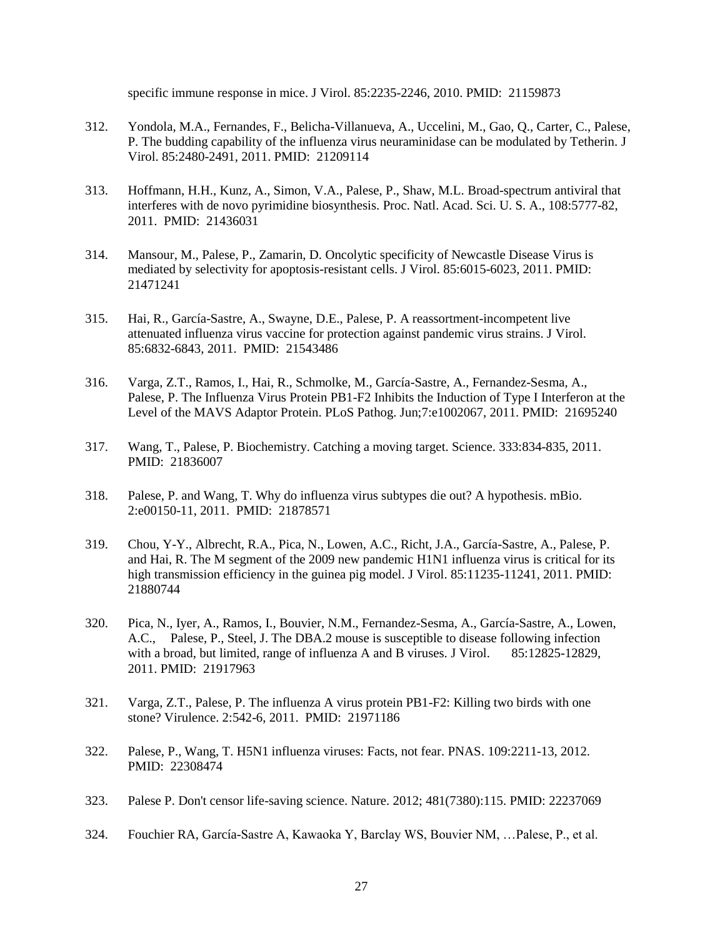specific immune response in mice. J Virol. 85:2235-2246, 2010. PMID: 21159873

- 312. Yondola, M.A., Fernandes, F., Belicha-Villanueva, A., Uccelini, M., Gao, Q., Carter, C., Palese, P. [The budding capability of the influenza virus neuraminidase can be modulated by Tetherin.](http://www.ncbi.nlm.nih.gov/pubmed/21209114) J Virol. 85:2480-2491, 2011. PMID: 21209114
- 313. Hoffmann, H.H., Kunz, A., Simon, V.A., Palese, P., Shaw, M.L. Broad-spectrum antiviral that interferes with de novo pyrimidine biosynthesis. Proc. Natl. Acad. Sci. U. S. A., 108:5777-82, 2011. PMID: 21436031
- 314. Mansour, M., Palese, P., Zamarin, D. Oncolytic specificity of Newcastle Disease Virus is mediated by selectivity for apoptosis-resistant cells. J Virol. 85:6015-6023, 2011. PMID: 21471241
- 315. Hai, R., García-Sastre, A., Swayne, D.E., Palese, P. A reassortment-incompetent live attenuated influenza virus vaccine for protection against pandemic virus strains. J Virol. 85:6832-6843, 2011. PMID: 21543486
- 316. Varga, Z.T., Ramos, I., Hai, R., Schmolke, M., García-Sastre, A., Fernandez-Sesma, A., Palese, P. [The Influenza Virus Protein PB1-F2 Inhibits the Induction of Type I Interferon at the](http://www.ncbi.nlm.nih.gov/pubmed/21695240)  [Level of the MAVS Adaptor Protein.](http://www.ncbi.nlm.nih.gov/pubmed/21695240) PLoS Pathog. Jun;7:e1002067, 2011. PMID: 21695240
- 317. Wang, T., Palese, P. [Biochemistry. Catching a moving target.](http://www.ncbi.nlm.nih.gov/pubmed/21836007) Science. 333:834-835, 2011. PMID: 21836007
- 318. Palese, P. and Wang, T. Why do influenza virus subtypes die out? A hypothesis. mBio. 2:e00150-11, 2011. PMID: 21878571
- 319. Chou, Y-Y., Albrecht, R.A., Pica, N., Lowen, A.C., Richt, J.A., García-Sastre, A., Palese, P. and Hai, R. The M segment of the 2009 new pandemic H1N1 influenza virus is critical for its high transmission efficiency in the guinea pig model. J Virol. 85:11235-11241, 2011. PMID: 21880744
- 320. Pica, N., Iyer, A., Ramos, I., Bouvier, N.M., Fernandez-Sesma, A., García-Sastre, A., Lowen, A.C., Palese, P., Steel, J. [The DBA.2 mouse is susceptible to disease following infection](http://www.ncbi.nlm.nih.gov/pubmed/21917963)  [with a broad, but limited, range of influenza A and B viruses.](http://www.ncbi.nlm.nih.gov/pubmed/21917963) J Virol. 85:12825-12829, 2011. PMID: 21917963
- 321. Varga, Z.T., Palese, P. [The influenza A virus protein PB1-F2: Killing two birds with one](http://www.ncbi.nlm.nih.gov/pubmed/21971186)  [stone?](http://www.ncbi.nlm.nih.gov/pubmed/21971186) Virulence. 2:542-6, 2011. PMID: 21971186
- 322. Palese, P., Wang, T. H5N1 influenza viruses: Facts, not fear. PNAS. 109:2211-13, 2012. PMID: 22308474
- 323. Palese P. Don't censor life-saving science. Nature. 2012; 481(7380):115. PMID: 22237069
- 324. Fouchier RA, García-Sastre A, Kawaoka Y, Barclay WS, Bouvier NM, …Palese, P., et al.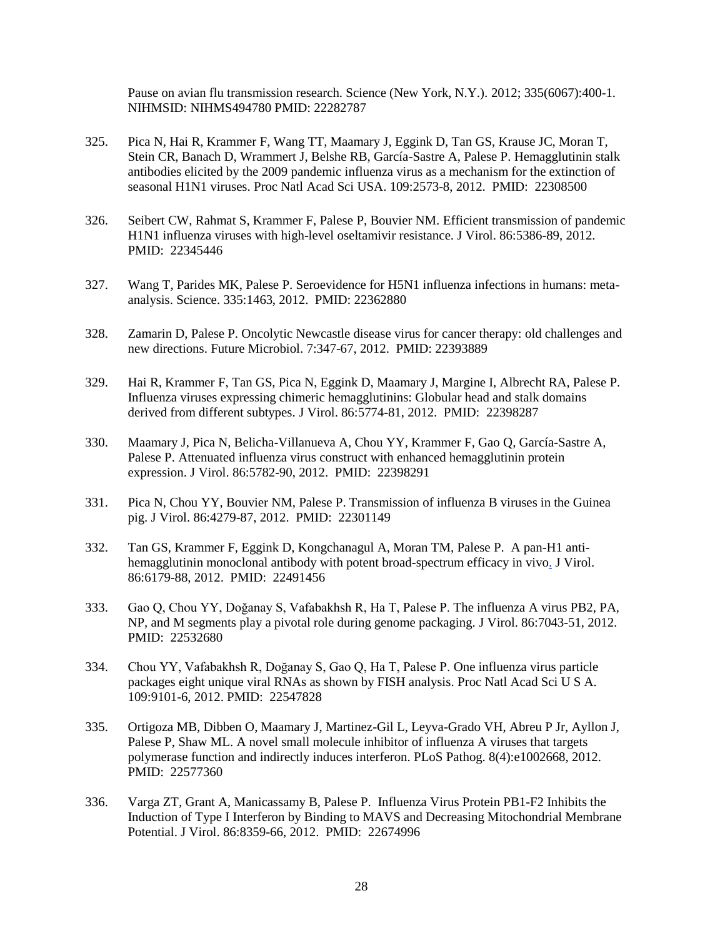Pause on avian flu transmission research. Science (New York, N.Y.). 2012; 335(6067):400-1. NIHMSID: NIHMS494780 PMID: 22282787

- 325. Pica N, Hai R, Krammer F, Wang TT, Maamary J, Eggink D, Tan GS, Krause JC, Moran T, Stein CR, Banach D, Wrammert J, Belshe RB, García-Sastre A, Palese P. [Hemagglutinin stalk](http://www.ncbi.nlm.nih.gov/pubmed/22308500)  [antibodies elicited by the 2009 pandemic influenza virus as a mechanism for the extinction of](http://www.ncbi.nlm.nih.gov/pubmed/22308500)  [seasonal H1N1 viruses.](http://www.ncbi.nlm.nih.gov/pubmed/22308500) Proc Natl Acad Sci USA. 109:2573-8, 2012. PMID: 22308500
- 326. Seibert CW, Rahmat S, Krammer F, Palese P, Bouvier NM. [Efficient transmission of pandemic](http://www.ncbi.nlm.nih.gov/pubmed/22345446)  [H1N1 influenza viruses with high-level oseltamivir resistance.](http://www.ncbi.nlm.nih.gov/pubmed/22345446) J Virol. 86:5386-89, 2012. PMID: 22345446
- 327. Wang T, Parides MK, Palese P. [Seroevidence for H5N1 influenza infections in humans: meta](http://www.ncbi.nlm.nih.gov/pubmed/22362880)[analysis.](http://www.ncbi.nlm.nih.gov/pubmed/22362880) Science. 335:1463, 2012. PMID: 22362880
- 328. Zamarin D, Palese P. [Oncolytic Newcastle disease virus for cancer therapy: old challenges and](http://www.ncbi.nlm.nih.gov/pubmed/22393889)  [new directions.](http://www.ncbi.nlm.nih.gov/pubmed/22393889) Future Microbiol. 7:347-67, 2012. PMID: 22393889
- 329. Hai R, Krammer F, Tan GS, Pica N, Eggink D, Maamary J, Margine I, Albrecht RA, Palese P. [Influenza viruses expressing chimeric hemagglutinins: Globular head and stalk domains](http://www.ncbi.nlm.nih.gov/pubmed/22398287)  [derived from different subtypes.](http://www.ncbi.nlm.nih.gov/pubmed/22398287) J Virol. 86:5774-81, 2012. PMID: 22398287
- 330. Maamary J, Pica N, Belicha-Villanueva A, Chou YY, Krammer F, Gao Q, García-Sastre A, Palese P. [Attenuated influenza virus construct with enhanced hemagglutinin protein](http://www.ncbi.nlm.nih.gov/pubmed/22398291)  [expression.](http://www.ncbi.nlm.nih.gov/pubmed/22398291) J Virol. 86:5782-90, 2012. PMID: 22398291
- 331. Pica N, Chou YY, Bouvier NM, Palese P. [Transmission of influenza B viruses in the Guinea](http://www.ncbi.nlm.nih.gov/pubmed/22301149)  [pig.](http://www.ncbi.nlm.nih.gov/pubmed/22301149) J Virol. 86:4279-87, 2012. PMID: 22301149
- 332. Tan GS, Krammer F, Eggink D, Kongchanagul A, Moran TM, Palese P. [A pan-H1 anti](http://www.ncbi.nlm.nih.gov/pubmed/22491456)[hemagglutinin monoclonal antibody with potent broad-spectrum efficacy in vivo.](http://www.ncbi.nlm.nih.gov/pubmed/22491456) J Virol. 86:6179-88, 2012. PMID: 22491456
- 333. Gao Q, Chou YY, Doğanay S, Vafabakhsh R, Ha T, Palese P. [The influenza A virus PB2, PA,](http://www.ncbi.nlm.nih.gov/pubmed/22532680)  [NP, and M segments play a pivotal role during genome packaging.](http://www.ncbi.nlm.nih.gov/pubmed/22532680) J Virol. 86:7043-51, 2012. PMID: 22532680
- 334. Chou YY, Vafabakhsh R, Doğanay S, Gao Q, Ha T, Palese P. [One influenza virus particle](http://www.ncbi.nlm.nih.gov/pubmed/22547828)  [packages eight unique viral RNAs as shown by FISH analysis.](http://www.ncbi.nlm.nih.gov/pubmed/22547828) Proc Natl Acad Sci U S A. 109:9101-6, 2012. PMID: 22547828
- 335. Ortigoza MB, Dibben O, Maamary J, Martinez-Gil L, Leyva-Grado VH, Abreu P Jr, Ayllon J, Palese P, Shaw ML[. A novel small molecule inhibitor of influenza A viruses that targets](http://www.ncbi.nlm.nih.gov/pubmed/22577360)  [polymerase function and indirectly induces interferon.](http://www.ncbi.nlm.nih.gov/pubmed/22577360) PLoS Pathog. 8(4):e1002668, 2012. PMID: 22577360
- 336. Varga ZT, Grant A, Manicassamy B, Palese P. [Influenza Virus Protein PB1-F2 Inhibits the](http://www.ncbi.nlm.nih.gov/pubmed/22674996)  [Induction of Type I Interferon by Binding to MAVS and Decreasing Mitochondrial Membrane](http://www.ncbi.nlm.nih.gov/pubmed/22674996)  [Potential.](http://www.ncbi.nlm.nih.gov/pubmed/22674996) J Virol. 86:8359-66, 2012. PMID: 22674996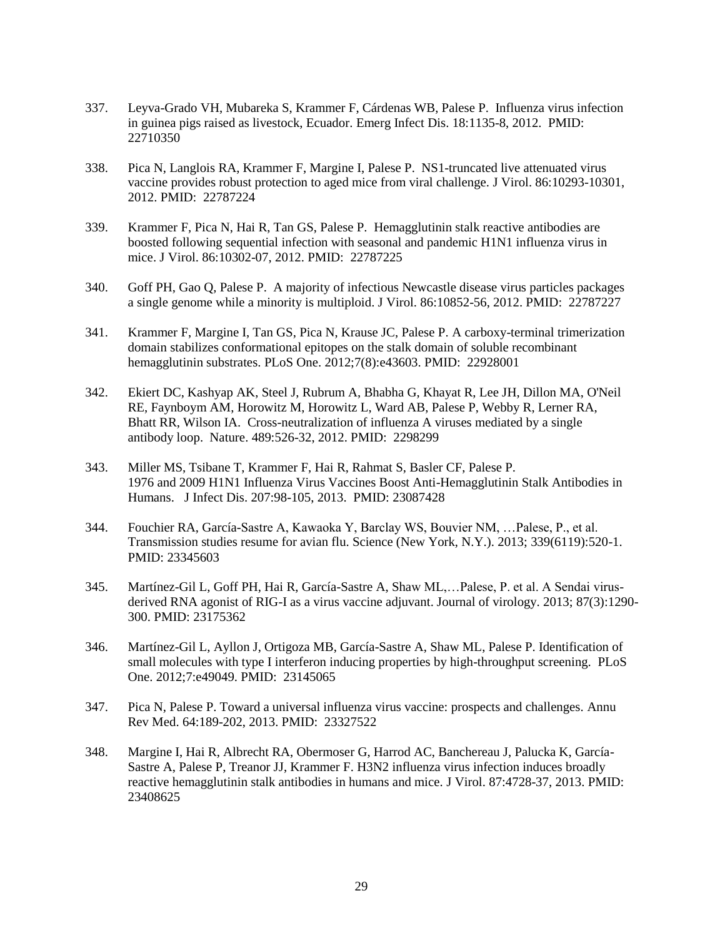- 337. Leyva-Grado VH, Mubareka S, Krammer F, Cárdenas WB, Palese P. [Influenza virus infection](http://www.ncbi.nlm.nih.gov/pubmed/22710350)  [in guinea pigs raised as livestock, Ecuador.](http://www.ncbi.nlm.nih.gov/pubmed/22710350) Emerg Infect Dis. 18:1135-8, 2012. PMID: 22710350
- 338. Pica N, Langlois RA, Krammer F, Margine I, Palese P. [NS1-truncated live attenuated virus](http://www.ncbi.nlm.nih.gov/pubmed/22787224)  [vaccine provides robust protection to aged mice from viral challenge.](http://www.ncbi.nlm.nih.gov/pubmed/22787224) J Virol. 86:10293-10301, 2012. PMID: 22787224
- 339. Krammer F, Pica N, Hai R, Tan GS, Palese P. [Hemagglutinin stalk reactive antibodies are](http://www.ncbi.nlm.nih.gov/pubmed/22787225)  [boosted following sequential infection with seasonal and pandemic H1N1 influenza virus in](http://www.ncbi.nlm.nih.gov/pubmed/22787225)  [mice.](http://www.ncbi.nlm.nih.gov/pubmed/22787225) J Virol. 86:10302-07, 2012. PMID: 22787225
- 340. Goff PH, Gao Q, Palese P. [A majority of infectious Newcastle disease virus particles packages](http://www.ncbi.nlm.nih.gov/pubmed/22787227)  [a single genome while a minority is multiploid.](http://www.ncbi.nlm.nih.gov/pubmed/22787227) J Virol. 86:10852-56, 2012. PMID: 22787227
- 341. Krammer F, Margine I, Tan GS, Pica N, Krause JC, Palese P. [A carboxy-terminal trimerization](http://www.ncbi.nlm.nih.gov/pubmed/22928001)  [domain stabilizes conformational epitopes on the stalk domain of soluble recombinant](http://www.ncbi.nlm.nih.gov/pubmed/22928001)  [hemagglutinin substrates.](http://www.ncbi.nlm.nih.gov/pubmed/22928001) PLoS One. 2012;7(8):e43603. PMID: 22928001
- 342. Ekiert DC, Kashyap AK, Steel J, Rubrum A, Bhabha G, Khayat R, Lee JH, Dillon MA, O'Neil RE, Faynboym AM, Horowitz M, Horowitz L, Ward AB, Palese P, Webby R, Lerner RA, Bhatt RR, Wilson IA. [Cross-neutralization of influenza A viruses mediated by a single](http://www.ncbi.nlm.nih.gov/pubmed/22982990)  [antibody loop.](http://www.ncbi.nlm.nih.gov/pubmed/22982990) Nature. 489:526-32, 2012. PMID: 2298299
- 343. Miller MS, Tsibane T, Krammer F, Hai R, Rahmat S, Basler CF, Palese P. [1976 and 2009 H1N1 Influenza Virus Vaccines Boost Anti-Hemagglutinin Stalk Antibodies in](http://www.ncbi.nlm.nih.gov/pubmed/23087428)  [Humans.](http://www.ncbi.nlm.nih.gov/pubmed/23087428) J Infect Dis. 207:98-105, 2013. PMID: 23087428
- 344. Fouchier RA, García-Sastre A, Kawaoka Y, Barclay WS, Bouvier NM, …Palese, P., et al. Transmission studies resume for avian flu. Science (New York, N.Y.). 2013; 339(6119):520-1. PMID: 23345603
- 345. Martínez-Gil L, Goff PH, Hai R, García-Sastre A, Shaw ML,…Palese, P. et al. A Sendai virusderived RNA agonist of RIG-I as a virus vaccine adjuvant. Journal of virology. 2013; 87(3):1290- 300. PMID: 23175362
- 346. Martínez-Gil L, Ayllon J, Ortigoza MB, García-Sastre A, Shaw ML, Palese P. [Identification of](http://www.ncbi.nlm.nih.gov/pubmed/23145065)  [small molecules with type I interferon inducing properties by high-throughput screening.](http://www.ncbi.nlm.nih.gov/pubmed/23145065) PLoS One. 2012;7:e49049. PMID: 23145065
- 347. Pica N, Palese P[. Toward a universal influenza virus vaccine: prospects and challenges.](http://www.ncbi.nlm.nih.gov/pubmed/23327522) Annu Rev Med. 64:189-202, 2013. PMID: 23327522
- 348. Margine I, Hai R, Albrecht RA, Obermoser G, Harrod AC, Banchereau J, Palucka K, García-Sastre A, Palese P, Treanor JJ, Krammer F. [H3N2 influenza virus infection induces broadly](http://www.ncbi.nlm.nih.gov/pubmed/23408625)  [reactive hemagglutinin stalk antibodies in humans and mice.](http://www.ncbi.nlm.nih.gov/pubmed/23408625) J Virol. 87:4728-37, 2013. PMID: 23408625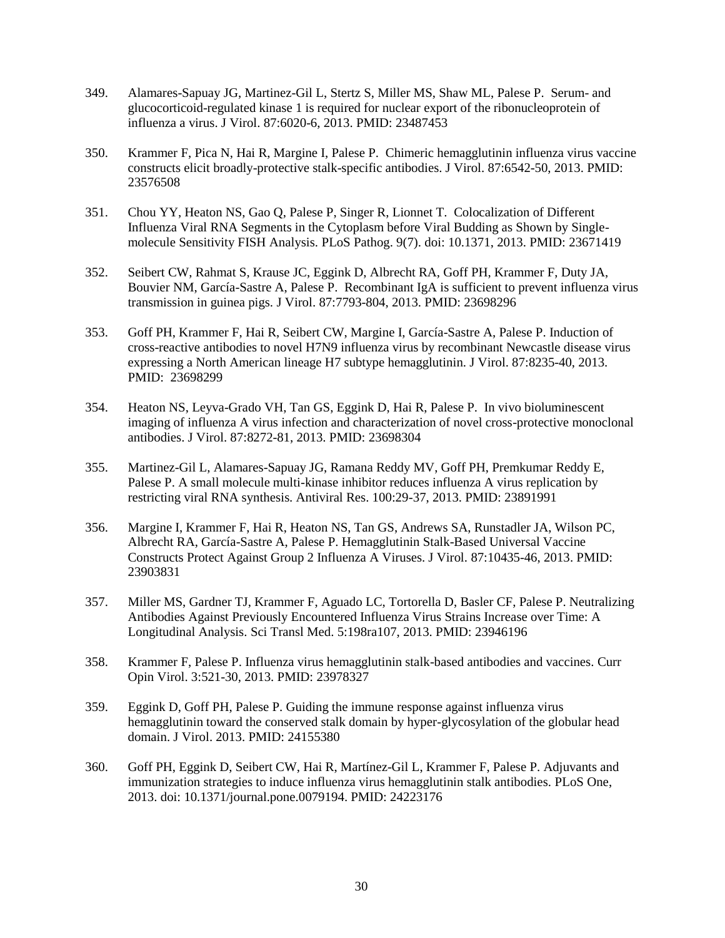- 349. Alamares-Sapuay JG, Martinez-Gil L, Stertz S, Miller MS, Shaw ML, Palese P. [Serum-](http://www.ncbi.nlm.nih.gov/pubmed/23487453) and [glucocorticoid-regulated kinase 1 is required for nuclear export of the ribonucleoprotein of](http://www.ncbi.nlm.nih.gov/pubmed/23487453)  [influenza a virus.](http://www.ncbi.nlm.nih.gov/pubmed/23487453) J Virol. 87:6020-6, 2013. PMID: 23487453
- 350. Krammer F, Pica N, Hai R, Margine I, Palese P. [Chimeric hemagglutinin influenza virus vaccine](http://www.ncbi.nlm.nih.gov/pubmed/23576508)  [constructs elicit broadly-protective stalk-specific antibodies.](http://www.ncbi.nlm.nih.gov/pubmed/23576508) J Virol. 87:6542-50, 2013. PMID: 23576508
- 351. Chou YY, Heaton NS, Gao Q, Palese P, Singer R, Lionnet T. [Colocalization of Different](http://www.ncbi.nlm.nih.gov/pubmed/23671419)  [Influenza Viral RNA Segments in the Cytoplasm before Viral Budding as Shown by Single](http://www.ncbi.nlm.nih.gov/pubmed/23671419)[molecule Sensitivity FISH Analysis.](http://www.ncbi.nlm.nih.gov/pubmed/23671419) PLoS Pathog. 9(7). doi: 10.1371, 2013. PMID: 23671419
- 352. Seibert CW, Rahmat S, Krause JC, Eggink D, Albrecht RA, Goff PH, Krammer F, Duty JA, Bouvier NM, García-Sastre A, Palese P. [Recombinant IgA is sufficient to prevent influenza virus](http://www.ncbi.nlm.nih.gov/pubmed/23698296)  [transmission in guinea pigs.](http://www.ncbi.nlm.nih.gov/pubmed/23698296) J Virol. 87:7793-804, 2013. PMID: 23698296
- 353. Goff PH, Krammer F, Hai R, Seibert CW, Margine I, García-Sastre A, Palese P. [Induction of](http://www.ncbi.nlm.nih.gov/pubmed/23698299)  [cross-reactive antibodies to novel H7N9 influenza virus by recombinant Newcastle disease virus](http://www.ncbi.nlm.nih.gov/pubmed/23698299)  [expressing a North American lineage H7 subtype hemagglutinin.](http://www.ncbi.nlm.nih.gov/pubmed/23698299) J Virol. 87:8235-40, 2013. PMID: 23698299
- 354. Heaton NS, Leyva-Grado VH, Tan GS, Eggink D, Hai R, Palese P. [In vivo bioluminescent](http://www.ncbi.nlm.nih.gov/pubmed/23698304)  [imaging of influenza A virus infection and characterization of novel cross-protective monoclonal](http://www.ncbi.nlm.nih.gov/pubmed/23698304)  [antibodies.](http://www.ncbi.nlm.nih.gov/pubmed/23698304) J Virol. 87:8272-81, 2013. PMID: 23698304
- 355. Martinez-Gil L, Alamares-Sapuay JG, Ramana Reddy MV, Goff PH, Premkumar Reddy E, Palese P. A small molecule multi-kinase inhibitor reduces influenza A virus replication by restricting viral RNA synthesis. Antiviral Res. 100:29-37, 2013. PMID: 23891991
- 356. Margine I, Krammer F, Hai R, Heaton NS, Tan GS, Andrews SA, Runstadler JA, Wilson PC, Albrecht RA, García-Sastre A, Palese P. Hemagglutinin Stalk-Based Universal Vaccine Constructs Protect Against Group 2 Influenza A Viruses. J Virol. 87:10435-46, 2013. PMID: 23903831
- 357. Miller MS, Gardner TJ, Krammer F, Aguado LC, Tortorella D, Basler CF, Palese P. Neutralizing Antibodies Against Previously Encountered Influenza Virus Strains Increase over Time: A Longitudinal Analysis. Sci Transl Med. 5:198ra107, 2013. PMID: 23946196
- 358. Krammer F, Palese P. [Influenza virus hemagglutinin stalk-based antibodies and vaccines.](http://www.ncbi.nlm.nih.gov/pubmed/23978327) Curr Opin Virol. 3:521-30, 2013. PMID: 23978327
- 359. Eggink D, Goff PH, Palese P. [Guiding the immune response against influenza virus](http://www.ncbi.nlm.nih.gov/pubmed/24155380)  [hemagglutinin toward the conserved stalk domain by hyper-glycosylation of the globular head](http://www.ncbi.nlm.nih.gov/pubmed/24155380)  [domain.](http://www.ncbi.nlm.nih.gov/pubmed/24155380) J Virol. 2013. PMID: 24155380
- 360. Goff PH, Eggink D, Seibert CW, Hai R, Martínez-Gil L, Krammer F, Palese P. [Adjuvants and](http://www.ncbi.nlm.nih.gov/pubmed/24223176)  [immunization strategies to induce influenza virus hemagglutinin stalk antibodies.](http://www.ncbi.nlm.nih.gov/pubmed/24223176) PLoS One, 2013. doi: 10.1371/journal.pone.0079194. PMID: 24223176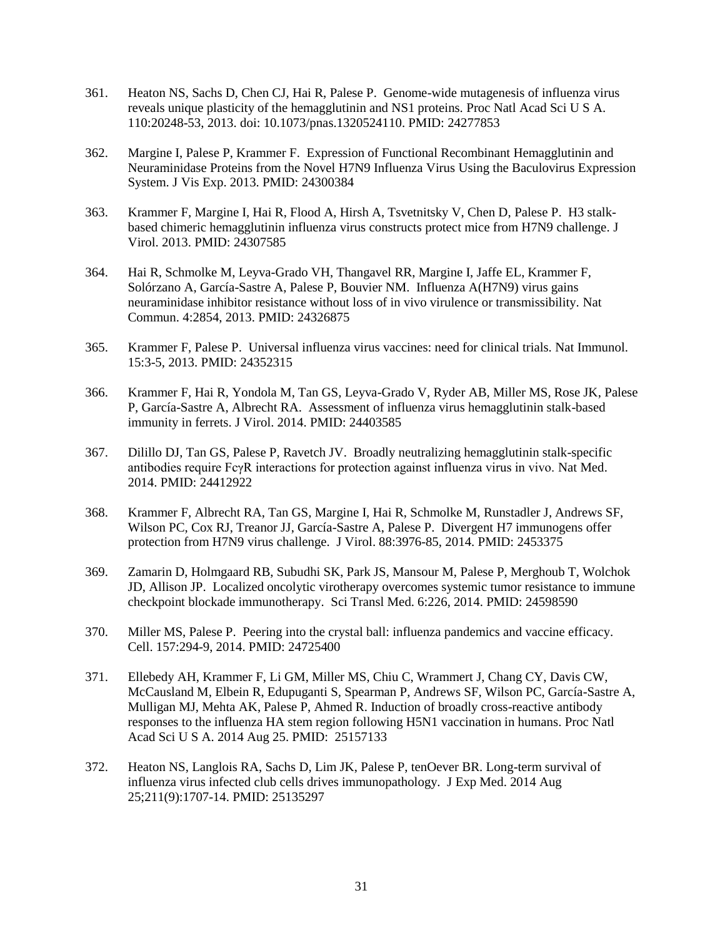- 361. Heaton NS, Sachs D, Chen CJ, Hai R, Palese P. [Genome-wide mutagenesis of influenza virus](http://www.ncbi.nlm.nih.gov/pubmed/24277853)  [reveals unique plasticity of the hemagglutinin and NS1 proteins.](http://www.ncbi.nlm.nih.gov/pubmed/24277853) Proc Natl Acad Sci U S A. 110:20248-53, 2013. doi: 10.1073/pnas.1320524110. PMID: 24277853
- 362. Margine I, Palese P, Krammer F. [Expression of Functional Recombinant Hemagglutinin and](http://www.ncbi.nlm.nih.gov/pubmed/24300384)  [Neuraminidase Proteins from the Novel H7N9 Influenza Virus Using the Baculovirus Expression](http://www.ncbi.nlm.nih.gov/pubmed/24300384)  [System.](http://www.ncbi.nlm.nih.gov/pubmed/24300384) J Vis Exp. 2013. PMID: 24300384
- 363. Krammer F, Margine I, Hai R, Flood A, Hirsh A, Tsvetnitsky V, Chen D, Palese P. [H3 stalk](http://www.ncbi.nlm.nih.gov/pubmed/24307585)[based chimeric hemagglutinin influenza virus constructs protect mice from H7N9 challenge.](http://www.ncbi.nlm.nih.gov/pubmed/24307585) J Virol. 2013. PMID: 24307585
- 364. Hai R, Schmolke M, Leyva-Grado VH, Thangavel RR, Margine I, Jaffe EL, Krammer F, Solórzano A, García-Sastre A, Palese P, Bouvier NM. [Influenza A\(H7N9\) virus gains](http://www.ncbi.nlm.nih.gov/pubmed/24326875)  [neuraminidase inhibitor resistance without loss of in vivo virulence or transmissibility.](http://www.ncbi.nlm.nih.gov/pubmed/24326875) Nat Commun. 4:2854, 2013. PMID: 24326875
- 365. Krammer F, Palese P. [Universal influenza virus vaccines: need for clinical trials.](http://www.ncbi.nlm.nih.gov/pubmed/24352315) Nat Immunol. 15:3-5, 2013. PMID: 24352315
- 366. Krammer F, Hai R, Yondola M, Tan GS, Leyva-Grado V, Ryder AB, Miller MS, Rose JK, Palese P, García-Sastre A, Albrecht RA. [Assessment of influenza virus hemagglutinin stalk-based](http://www.ncbi.nlm.nih.gov/pubmed/24403585)  [immunity in ferrets.](http://www.ncbi.nlm.nih.gov/pubmed/24403585) J Virol. 2014. PMID: 24403585
- 367. Dilillo DJ, Tan GS, Palese P, Ravetch JV. [Broadly neutralizing hemagglutinin stalk-specific](http://www.ncbi.nlm.nih.gov/pubmed/24412922)  [antibodies require FcγR interactions for protection against influenza virus in vivo.](http://www.ncbi.nlm.nih.gov/pubmed/24412922) Nat Med. 2014. PMID: 24412922
- 368. Krammer F, Albrecht RA, Tan GS, Margine I, Hai R, Schmolke M, Runstadler J, Andrews SF, Wilson PC, Cox RJ, Treanor JJ, García-Sastre A, Palese P. [Divergent H7 immunogens offer](http://www.ncbi.nlm.nih.gov/pubmed/24453375)  [protection from H7N9 virus challenge.](http://www.ncbi.nlm.nih.gov/pubmed/24453375) J Virol. 88:3976-85, 2014. PMID: 2453375
- 369. Zamarin D, Holmgaard RB, Subudhi SK, Park JS, Mansour M, Palese P, Merghoub T, Wolchok JD, Allison JP. [Localized oncolytic virotherapy overcomes systemic tumor resistance to immune](http://www.ncbi.nlm.nih.gov/pubmed/24598590)  [checkpoint blockade immunotherapy.](http://www.ncbi.nlm.nih.gov/pubmed/24598590) Sci Transl Med. 6:226, 2014. PMID: 24598590
- 370. Miller MS, Palese P. [Peering into the crystal ball: influenza pandemics and vaccine efficacy.](http://www.ncbi.nlm.nih.gov/pubmed/24725400)  Cell. 157:294-9, 2014. PMID: 24725400
- 371. Ellebedy AH, Krammer F, Li GM, Miller MS, Chiu C, Wrammert J, Chang CY, Davis CW, McCausland M, Elbein R, Edupuganti S, Spearman P, Andrews SF, Wilson PC, García-Sastre A, Mulligan MJ, Mehta AK, Palese P, Ahmed R. Induction of broadly cross-reactive antibody responses to the influenza HA stem region following H5N1 vaccination in humans. Proc Natl Acad Sci U S A. 2014 Aug 25. PMID: 25157133
- 372. Heaton NS, Langlois RA, Sachs D, Lim JK, Palese P, tenOever BR. Long-term survival of influenza virus infected club cells drives immunopathology. J Exp Med. 2014 Aug 25;211(9):1707-14. PMID: 25135297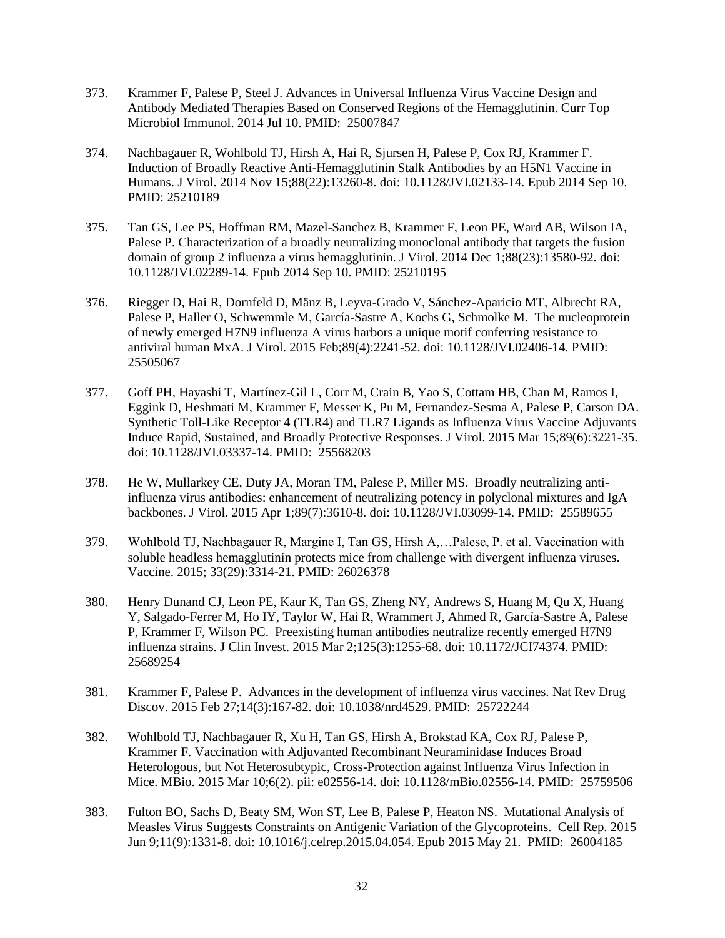- 373. Krammer F, Palese P, Steel J. Advances in Universal Influenza Virus Vaccine Design and Antibody Mediated Therapies Based on Conserved Regions of the Hemagglutinin. Curr Top Microbiol Immunol. 2014 Jul 10. PMID: 25007847
- 374. Nachbagauer R, Wohlbold TJ, Hirsh A, Hai R, Sjursen H, Palese P, Cox RJ, Krammer F. Induction of Broadly Reactive Anti-Hemagglutinin Stalk Antibodies by an H5N1 Vaccine in Humans. J Virol. 2014 Nov 15;88(22):13260-8. doi: 10.1128/JVI.02133-14. Epub 2014 Sep 10. PMID: 25210189
- 375. Tan GS, Lee PS, Hoffman RM, Mazel-Sanchez B, Krammer F, Leon PE, Ward AB, Wilson IA, Palese P. Characterization of a broadly neutralizing monoclonal antibody that targets the fusion domain of group 2 influenza a virus hemagglutinin. J Virol. 2014 Dec 1;88(23):13580-92. doi: 10.1128/JVI.02289-14. Epub 2014 Sep 10. PMID: 25210195
- 376. Riegger D, Hai R, Dornfeld D, Mänz B, Leyva-Grado V, Sánchez-Aparicio MT, Albrecht RA, Palese P, Haller O, Schwemmle M, García-Sastre A, Kochs G, Schmolke M. The nucleoprotein of newly emerged H7N9 influenza A virus harbors a unique motif conferring resistance to antiviral human MxA. J Virol. 2015 Feb;89(4):2241-52. doi: 10.1128/JVI.02406-14. PMID: 25505067
- 377. Goff PH, Hayashi T, Martínez-Gil L, Corr M, Crain B, Yao S, Cottam HB, Chan M, Ramos I, Eggink D, Heshmati M, Krammer F, Messer K, Pu M, Fernandez-Sesma A, Palese P, Carson DA. Synthetic Toll-Like Receptor 4 (TLR4) and TLR7 Ligands as Influenza Virus Vaccine Adjuvants Induce Rapid, Sustained, and Broadly Protective Responses. J Virol. 2015 Mar 15;89(6):3221-35. doi: 10.1128/JVI.03337-14. PMID: 25568203
- 378. He W, Mullarkey CE, Duty JA, Moran TM, Palese P, Miller MS. Broadly neutralizing antiinfluenza virus antibodies: enhancement of neutralizing potency in polyclonal mixtures and IgA backbones. J Virol. 2015 Apr 1;89(7):3610-8. doi: 10.1128/JVI.03099-14. PMID: 25589655
- 379. Wohlbold TJ, Nachbagauer R, Margine I, Tan GS, Hirsh A,…Palese, P. et al. Vaccination with soluble headless hemagglutinin protects mice from challenge with divergent influenza viruses. Vaccine. 2015; 33(29):3314-21. PMID: 26026378
- 380. Henry Dunand CJ, Leon PE, Kaur K, Tan GS, Zheng NY, Andrews S, Huang M, Qu X, Huang Y, Salgado-Ferrer M, Ho IY, Taylor W, Hai R, Wrammert J, Ahmed R, García-Sastre A, Palese P, Krammer F, Wilson PC. Preexisting human antibodies neutralize recently emerged H7N9 influenza strains. J Clin Invest. 2015 Mar 2;125(3):1255-68. doi: 10.1172/JCI74374. PMID: 25689254
- 381. Krammer F, Palese P. Advances in the development of influenza virus vaccines. Nat Rev Drug Discov. 2015 Feb 27;14(3):167-82. doi: 10.1038/nrd4529. PMID: 25722244
- 382. Wohlbold TJ, Nachbagauer R, Xu H, Tan GS, Hirsh A, Brokstad KA, Cox RJ, Palese P, Krammer F. Vaccination with Adjuvanted Recombinant Neuraminidase Induces Broad Heterologous, but Not Heterosubtypic, Cross-Protection against Influenza Virus Infection in Mice. MBio. 2015 Mar 10;6(2). pii: e02556-14. doi: 10.1128/mBio.02556-14. PMID: 25759506
- 383. Fulton BO, Sachs D, Beaty SM, Won ST, Lee B, Palese P, Heaton NS. Mutational Analysis of Measles Virus Suggests Constraints on Antigenic Variation of the Glycoproteins. Cell Rep. 2015 Jun 9;11(9):1331-8. doi: 10.1016/j.celrep.2015.04.054. Epub 2015 May 21. PMID: 26004185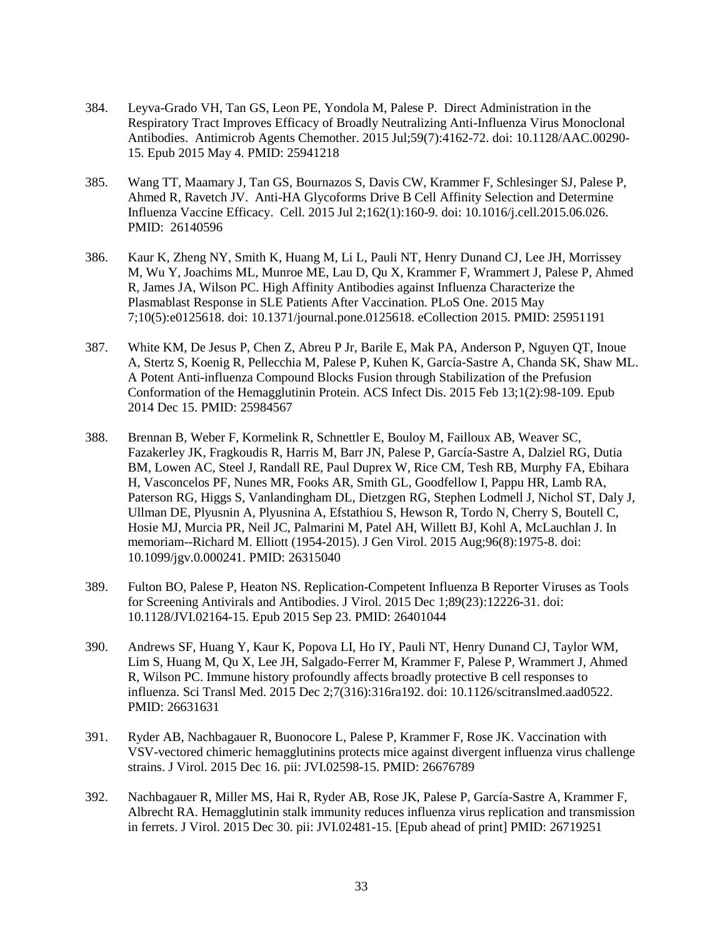- 384. Leyva-Grado VH, Tan GS, Leon PE, Yondola M, Palese P. Direct Administration in the Respiratory Tract Improves Efficacy of Broadly Neutralizing Anti-Influenza Virus Monoclonal Antibodies. Antimicrob Agents Chemother. 2015 Jul;59(7):4162-72. doi: 10.1128/AAC.00290- 15. Epub 2015 May 4. PMID: 25941218
- 385. Wang TT, Maamary J, Tan GS, Bournazos S, Davis CW, Krammer F, Schlesinger SJ, Palese P, Ahmed R, Ravetch JV. Anti-HA Glycoforms Drive B Cell Affinity Selection and Determine Influenza Vaccine Efficacy. Cell. 2015 Jul 2;162(1):160-9. doi: 10.1016/j.cell.2015.06.026. PMID: 26140596
- 386. Kaur K, Zheng NY, Smith K, Huang M, Li L, Pauli NT, Henry Dunand CJ, Lee JH, Morrissey M, Wu Y, Joachims ML, Munroe ME, Lau D, Qu X, Krammer F, Wrammert J, Palese P, Ahmed R, James JA, Wilson PC. High Affinity Antibodies against Influenza Characterize the Plasmablast Response in SLE Patients After Vaccination. PLoS One. 2015 May 7;10(5):e0125618. doi: 10.1371/journal.pone.0125618. eCollection 2015. PMID: 25951191
- 387. White KM, De Jesus P, Chen Z, Abreu P Jr, Barile E, Mak PA, Anderson P, Nguyen QT, Inoue A, Stertz S, Koenig R, Pellecchia M, Palese P, Kuhen K, García-Sastre A, Chanda SK, Shaw ML. A Potent Anti-influenza Compound Blocks Fusion through Stabilization of the Prefusion Conformation of the Hemagglutinin Protein. ACS Infect Dis. 2015 Feb 13;1(2):98-109. Epub 2014 Dec 15. PMID: 25984567
- 388. Brennan B, Weber F, Kormelink R, Schnettler E, Bouloy M, Failloux AB, Weaver SC, Fazakerley JK, Fragkoudis R, Harris M, Barr JN, Palese P, García-Sastre A, Dalziel RG, Dutia BM, Lowen AC, Steel J, Randall RE, Paul Duprex W, Rice CM, Tesh RB, Murphy FA, Ebihara H, Vasconcelos PF, Nunes MR, Fooks AR, Smith GL, Goodfellow I, Pappu HR, Lamb RA, Paterson RG, Higgs S, Vanlandingham DL, Dietzgen RG, Stephen Lodmell J, Nichol ST, Daly J, Ullman DE, Plyusnin A, Plyusnina A, Efstathiou S, Hewson R, Tordo N, Cherry S, Boutell C, Hosie MJ, Murcia PR, Neil JC, Palmarini M, Patel AH, Willett BJ, Kohl A, McLauchlan J. In memoriam--Richard M. Elliott (1954-2015). J Gen Virol. 2015 Aug;96(8):1975-8. doi: 10.1099/jgv.0.000241. PMID: 26315040
- 389. Fulton BO, Palese P, Heaton NS. Replication-Competent Influenza B Reporter Viruses as Tools for Screening Antivirals and Antibodies. J Virol. 2015 Dec 1;89(23):12226-31. doi: 10.1128/JVI.02164-15. Epub 2015 Sep 23. PMID: 26401044
- 390. Andrews SF, Huang Y, Kaur K, Popova LI, Ho IY, Pauli NT, Henry Dunand CJ, Taylor WM, Lim S, Huang M, Qu X, Lee JH, Salgado-Ferrer M, Krammer F, Palese P, Wrammert J, Ahmed R, Wilson PC. Immune history profoundly affects broadly protective B cell responses to influenza. Sci Transl Med. 2015 Dec 2;7(316):316ra192. doi: 10.1126/scitranslmed.aad0522. PMID: 26631631
- 391. Ryder AB, Nachbagauer R, Buonocore L, Palese P, Krammer F, Rose JK. Vaccination with VSV-vectored chimeric hemagglutinins protects mice against divergent influenza virus challenge strains. J Virol. 2015 Dec 16. pii: JVI.02598-15. PMID: 26676789
- 392. Nachbagauer R, Miller MS, Hai R, Ryder AB, Rose JK, Palese P, García-Sastre A, Krammer F, Albrecht RA. Hemagglutinin stalk immunity reduces influenza virus replication and transmission in ferrets. J Virol. 2015 Dec 30. pii: JVI.02481-15. [Epub ahead of print] PMID: 26719251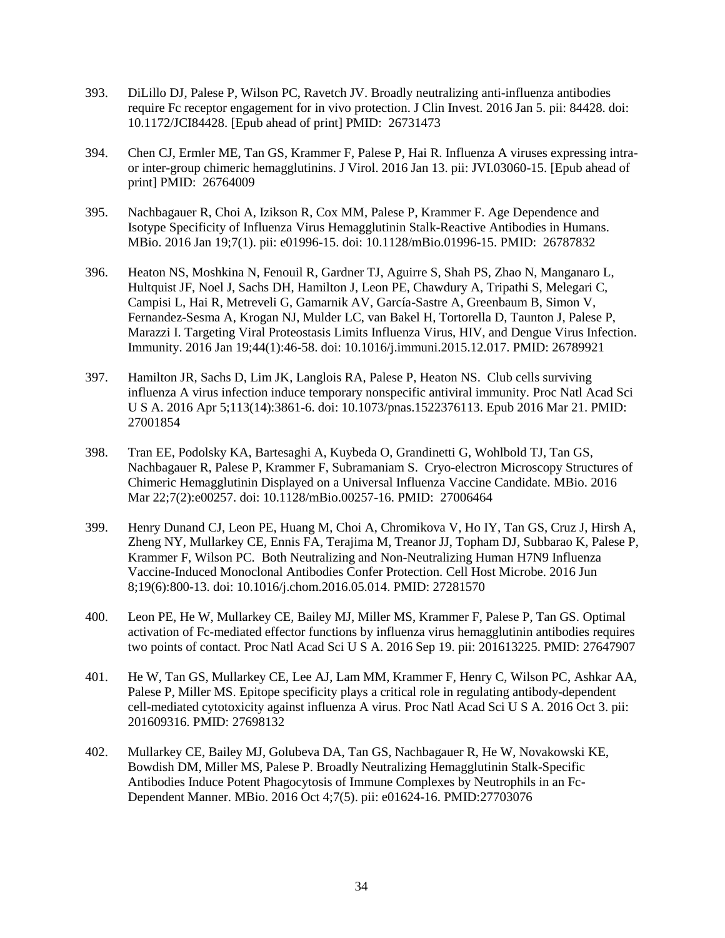- 393. DiLillo DJ, Palese P, Wilson PC, Ravetch JV. Broadly neutralizing anti-influenza antibodies require Fc receptor engagement for in vivo protection. J Clin Invest. 2016 Jan 5. pii: 84428. doi: 10.1172/JCI84428. [Epub ahead of print] PMID: 26731473
- 394. Chen CJ, Ermler ME, Tan GS, Krammer F, Palese P, Hai R. Influenza A viruses expressing intraor inter-group chimeric hemagglutinins. J Virol. 2016 Jan 13. pii: JVI.03060-15. [Epub ahead of print] PMID: 26764009
- 395. Nachbagauer R, Choi A, Izikson R, Cox MM, Palese P, Krammer F. Age Dependence and Isotype Specificity of Influenza Virus Hemagglutinin Stalk-Reactive Antibodies in Humans. MBio. 2016 Jan 19;7(1). pii: e01996-15. doi: 10.1128/mBio.01996-15. PMID: 26787832
- 396. Heaton NS, Moshkina N, Fenouil R, Gardner TJ, Aguirre S, Shah PS, Zhao N, Manganaro L, Hultquist JF, Noel J, Sachs DH, Hamilton J, Leon PE, Chawdury A, Tripathi S, Melegari C, Campisi L, Hai R, Metreveli G, Gamarnik AV, García-Sastre A, Greenbaum B, Simon V, Fernandez-Sesma A, Krogan NJ, Mulder LC, van Bakel H, Tortorella D, Taunton J, Palese P, Marazzi I. Targeting Viral Proteostasis Limits Influenza Virus, HIV, and Dengue Virus Infection. Immunity. 2016 Jan 19;44(1):46-58. doi: 10.1016/j.immuni.2015.12.017. PMID: 26789921
- 397. Hamilton JR, Sachs D, Lim JK, Langlois RA, Palese P, Heaton NS. Club cells surviving influenza A virus infection induce temporary nonspecific antiviral immunity. Proc Natl Acad Sci U S A. 2016 Apr 5;113(14):3861-6. doi: 10.1073/pnas.1522376113. Epub 2016 Mar 21. PMID: 27001854
- 398. Tran EE, Podolsky KA, Bartesaghi A, Kuybeda O, Grandinetti G, Wohlbold TJ, Tan GS, Nachbagauer R, Palese P, Krammer F, Subramaniam S. Cryo-electron Microscopy Structures of Chimeric Hemagglutinin Displayed on a Universal Influenza Vaccine Candidate. MBio. 2016 Mar 22;7(2):e00257. doi: 10.1128/mBio.00257-16. PMID: 27006464
- 399. Henry Dunand CJ, Leon PE, Huang M, Choi A, Chromikova V, Ho IY, Tan GS, Cruz J, Hirsh A, Zheng NY, Mullarkey CE, Ennis FA, Terajima M, Treanor JJ, Topham DJ, Subbarao K, Palese P, Krammer F, Wilson PC. Both Neutralizing and Non-Neutralizing Human H7N9 Influenza Vaccine-Induced Monoclonal Antibodies Confer Protection. Cell Host Microbe. 2016 Jun 8;19(6):800-13. doi: 10.1016/j.chom.2016.05.014. PMID: 27281570
- 400. Leon PE, He W, Mullarkey CE, Bailey MJ, Miller MS, Krammer F, Palese P, Tan GS. Optimal activation of Fc-mediated effector functions by influenza virus hemagglutinin antibodies requires two points of contact. Proc Natl Acad Sci U S A. 2016 Sep 19. pii: 201613225. PMID: 27647907
- 401. He W, Tan GS, Mullarkey CE, Lee AJ, Lam MM, Krammer F, Henry C, Wilson PC, Ashkar AA, Palese P, Miller MS. Epitope specificity plays a critical role in regulating antibody-dependent cell-mediated cytotoxicity against influenza A virus. Proc Natl Acad Sci U S A. 2016 Oct 3. pii: 201609316. PMID: 27698132
- 402. Mullarkey CE, Bailey MJ, Golubeva DA, Tan GS, Nachbagauer R, He W, Novakowski KE, Bowdish DM, Miller MS, Palese P. Broadly Neutralizing Hemagglutinin Stalk-Specific Antibodies Induce Potent Phagocytosis of Immune Complexes by Neutrophils in an Fc-Dependent Manner. MBio. 2016 Oct 4;7(5). pii: e01624-16. PMID:27703076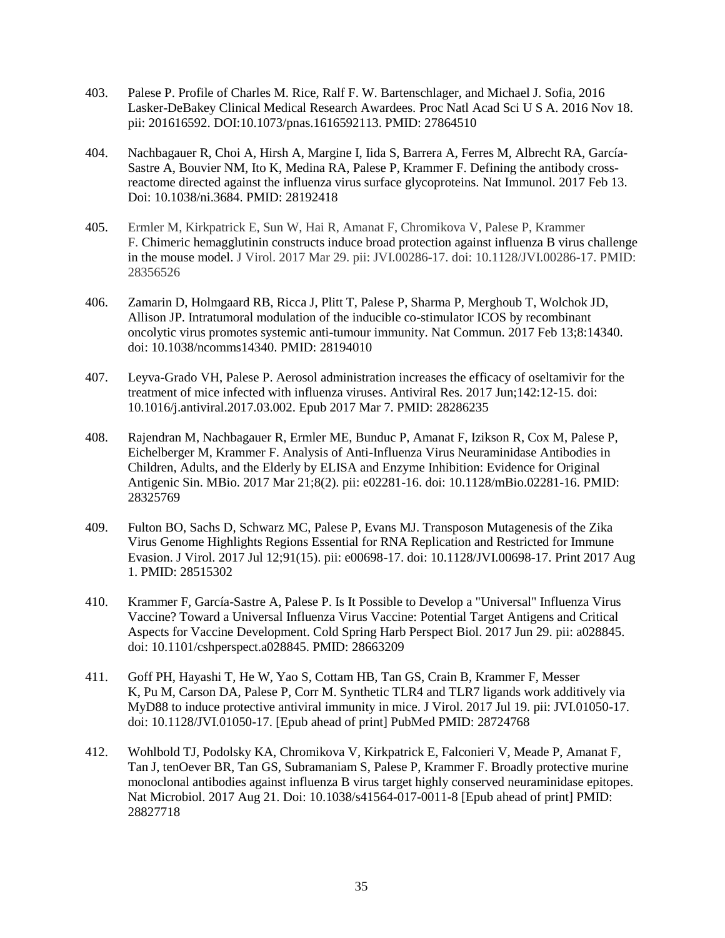- 403. Palese P. Profile of Charles M. Rice, Ralf F. W. Bartenschlager, and Michael J. Sofia, 2016 Lasker-DeBakey Clinical Medical Research Awardees. [Proc Natl Acad Sci U S A.](https://www.ncbi.nlm.nih.gov/pubmed/27864510) 2016 Nov 18. pii: 201616592. DOI[:10.1073/pnas.1616592113.](https://dx.doi.org/10.1073/pnas.1616592113) PMID: 27864510
- 404. Nachbagauer R, Choi A, Hirsh A, Margine I, Iida S, Barrera A, Ferres M, Albrecht RA, García-Sastre A, Bouvier NM, Ito K, Medina RA, Palese P, Krammer F. Defining the antibody crossreactome directed against the influenza virus surface glycoproteins. Nat Immunol. 2017 Feb 13. Doi: 10.1038/ni.3684. PMID: 28192418
- 405. Ermler M, Kirkpatrick E, Sun W, Hai R, Amanat F, Chromikova V, Palese P, Krammer F. Chimeric hemagglutinin constructs induce broad protection against influenza B virus challenge in the mouse model. J Virol. 2017 Mar 29. pii: JVI.00286-17. doi: 10.1128/JVI.00286-17. PMID: 28356526
- 406. Zamarin D, Holmgaard RB, Ricca J, Plitt T, Palese P, Sharma P, Merghoub T, Wolchok JD, Allison JP. Intratumoral modulation of the inducible co-stimulator ICOS by recombinant oncolytic virus promotes systemic anti-tumour immunity. Nat Commun. 2017 Feb 13;8:14340. doi: 10.1038/ncomms14340. PMID: 28194010
- 407. Leyva-Grado VH, Palese P. Aerosol administration increases the efficacy of oseltamivir for the treatment of mice infected with influenza viruses. Antiviral Res. 2017 Jun;142:12-15. doi: 10.1016/j.antiviral.2017.03.002. Epub 2017 Mar 7. PMID: 28286235
- 408. Rajendran M, Nachbagauer R, Ermler ME, Bunduc P, Amanat F, Izikson R, Cox M, Palese P, Eichelberger M, Krammer F. Analysis of Anti-Influenza Virus Neuraminidase Antibodies in Children, Adults, and the Elderly by ELISA and Enzyme Inhibition: Evidence for Original Antigenic Sin. MBio. 2017 Mar 21;8(2). pii: e02281-16. doi: 10.1128/mBio.02281-16. PMID: 28325769
- 409. Fulton BO, Sachs D, Schwarz MC, Palese P, Evans MJ. Transposon Mutagenesis of the Zika Virus Genome Highlights Regions Essential for RNA Replication and Restricted for Immune Evasion. J Virol. 2017 Jul 12;91(15). pii: e00698-17. doi: 10.1128/JVI.00698-17. Print 2017 Aug 1. PMID: 28515302
- 410. Krammer F, García-Sastre A, Palese P. Is It Possible to Develop a "Universal" Influenza Virus Vaccine? Toward a Universal Influenza Virus Vaccine: Potential Target Antigens and Critical Aspects for Vaccine Development. Cold Spring Harb Perspect Biol. 2017 Jun 29. pii: a028845. doi: 10.1101/cshperspect.a028845. PMID: 28663209
- 411. Goff PH, Hayashi T, He W, Yao S, Cottam HB, Tan GS, Crain B, Krammer F, Messer K, Pu M, Carson DA, Palese P, Corr M. Synthetic TLR4 and TLR7 ligands work additively via MyD88 to induce protective antiviral immunity in mice. J Virol. 2017 Jul 19. pii: JVI.01050-17. doi: 10.1128/JVI.01050-17. [Epub ahead of print] PubMed PMID: 28724768
- 412. Wohlbold TJ, Podolsky KA, Chromikova V, Kirkpatrick E, Falconieri V, Meade P, Amanat F, Tan J, tenOever BR, Tan GS, Subramaniam S, Palese P, Krammer F. Broadly protective murine monoclonal antibodies against influenza B virus target highly conserved neuraminidase epitopes. Nat Microbiol. 2017 Aug 21. Doi: 10.1038/s41564-017-0011-8 [Epub ahead of print] PMID: 28827718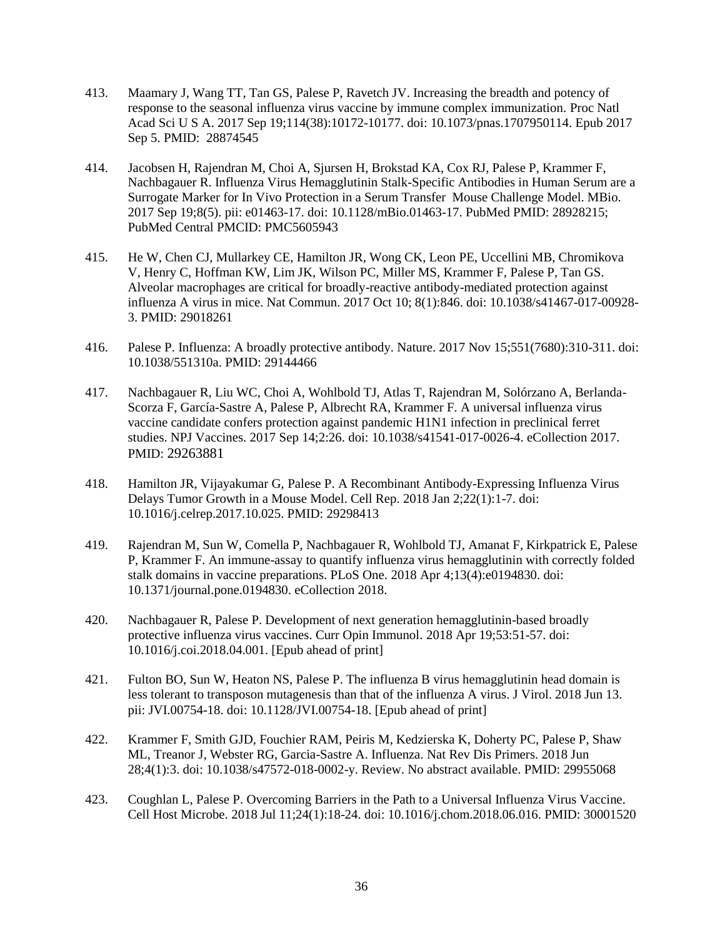- 413. Maamary J, Wang TT, Tan GS, Palese P, Ravetch JV. Increasing the breadth and potency of response to the seasonal influenza virus vaccine by immune complex immunization. Proc Natl Acad Sci U S A. 2017 Sep 19;114(38):10172-10177. doi: 10.1073/pnas.1707950114. Epub 2017 Sep 5. PMID: 28874545
- 414. Jacobsen H, Rajendran M, Choi A, Sjursen H, Brokstad KA, Cox RJ, Palese P, Krammer F, Nachbagauer R. Influenza Virus Hemagglutinin Stalk-Specific Antibodies in Human Serum are a Surrogate Marker for In Vivo Protection in a Serum Transfer Mouse Challenge Model. MBio. 2017 Sep 19;8(5). pii: e01463-17. doi: 10.1128/mBio.01463-17. PubMed PMID: 28928215; PubMed Central PMCID: PMC5605943
- 415. He W, Chen CJ, Mullarkey CE, Hamilton JR, Wong CK, Leon PE, Uccellini MB, Chromikova V, Henry C, Hoffman KW, Lim JK, Wilson PC, Miller MS, Krammer F, Palese P, Tan GS. Alveolar macrophages are critical for broadly-reactive antibody-mediated protection against influenza A virus in mice. Nat Commun. 2017 Oct 10; 8(1):846. doi: 10.1038/s41467-017-00928- 3. PMID: 29018261
- 416. Palese P. Influenza: A broadly protective antibody. Nature. 2017 Nov 15;551(7680):310-311. doi: 10.1038/551310a. PMID: 29144466
- 417. Nachbagauer R, Liu WC, Choi A, Wohlbold TJ, Atlas T, Rajendran M, Solórzano A, Berlanda-Scorza F, García-Sastre A, Palese P, Albrecht RA, Krammer F. A universal influenza virus vaccine candidate confers protection against pandemic H1N1 infection in preclinical ferret studies. NPJ Vaccines. 2017 Sep 14;2:26. doi: 10.1038/s41541-017-0026-4. eCollection 2017. PMID: 29263881
- 418. Hamilton JR, Vijayakumar G, Palese P. A Recombinant Antibody-Expressing Influenza Virus Delays Tumor Growth in a Mouse Model. Cell Rep. 2018 Jan 2;22(1):1-7. doi: 10.1016/j.celrep.2017.10.025. PMID: 29298413
- 419. Rajendran M, Sun W, Comella P, Nachbagauer R, Wohlbold TJ, Amanat F, Kirkpatrick E, Palese P, Krammer F. An immune-assay to quantify influenza virus hemagglutinin with correctly folded stalk domains in vaccine preparations. PLoS One. 2018 Apr 4;13(4):e0194830. doi: 10.1371/journal.pone.0194830. eCollection 2018.
- 420. Nachbagauer R, Palese P. Development of next generation hemagglutinin-based broadly protective influenza virus vaccines. Curr Opin Immunol. 2018 Apr 19;53:51-57. doi: 10.1016/j.coi.2018.04.001. [Epub ahead of print]
- 421. Fulton BO, Sun W, Heaton NS, Palese P. The influenza B virus hemagglutinin head domain is less tolerant to transposon mutagenesis than that of the influenza A virus. J Virol. 2018 Jun 13. pii: JVI.00754-18. doi: 10.1128/JVI.00754-18. [Epub ahead of print]
- 422. Krammer F, Smith GJD, Fouchier RAM, Peiris M, Kedzierska K, Doherty PC, Palese P, Shaw ML, Treanor J, Webster RG, Garcia-Sastre A. Influenza. Nat Rev Dis Primers. 2018 Jun 28;4(1):3. doi: 10.1038/s47572-018-0002-y. Review. No abstract available. PMID: 29955068
- 423. Coughlan L, Palese P. Overcoming Barriers in the Path to a Universal Influenza Virus Vaccine. Cell Host Microbe. 2018 Jul 11;24(1):18-24. doi: 10.1016/j.chom.2018.06.016. PMID: 30001520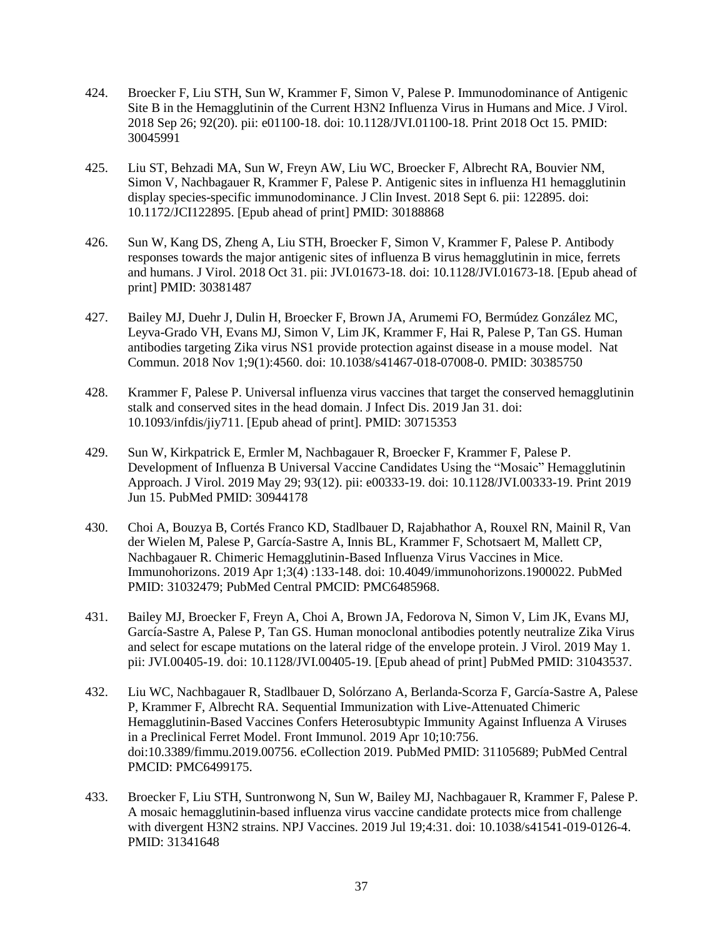- 424. Broecker F, Liu STH, Sun W, Krammer F, Simon V, Palese P. Immunodominance of Antigenic Site B in the Hemagglutinin of the Current H3N2 Influenza Virus in Humans and Mice. J Virol. 2018 Sep 26; 92(20). pii: e01100-18. doi: 10.1128/JVI.01100-18. Print 2018 Oct 15. PMID: 30045991
- 425. Liu ST, Behzadi MA, Sun W, Freyn AW, Liu WC, Broecker F, Albrecht RA, Bouvier NM, Simon V, Nachbagauer R, Krammer F, Palese P. Antigenic sites in influenza H1 hemagglutinin display species-specific immunodominance. J Clin Invest. 2018 Sept 6. pii: 122895. doi: 10.1172/JCI122895. [Epub ahead of print] PMID: 30188868
- 426. Sun W, Kang DS, Zheng A, Liu STH, Broecker F, Simon V, Krammer F, Palese P. Antibody responses towards the major antigenic sites of influenza B virus hemagglutinin in mice, ferrets and humans. J Virol. 2018 Oct 31. pii: JVI.01673-18. doi: 10.1128/JVI.01673-18. [Epub ahead of print] PMID: 30381487
- 427. Bailey MJ, Duehr J, Dulin H, Broecker F, Brown JA, Arumemi FO, Bermúdez González MC, Leyva-Grado VH, Evans MJ, Simon V, Lim JK, Krammer F, Hai R, Palese P, Tan GS. Human antibodies targeting Zika virus NS1 provide protection against disease in a mouse model. Nat Commun. 2018 Nov 1;9(1):4560. doi: 10.1038/s41467-018-07008-0. PMID: 30385750
- 428. Krammer F, Palese P. Universal influenza virus vaccines that target the conserved hemagglutinin stalk and conserved sites in the head domain. J Infect Dis. 2019 Jan 31. doi: 10.1093/infdis/jiy711. [Epub ahead of print]. PMID: 30715353
- 429. Sun W, Kirkpatrick E, Ermler M, Nachbagauer R, Broecker F, Krammer F, Palese P. Development of Influenza B Universal Vaccine Candidates Using the "Mosaic" Hemagglutinin Approach. J Virol. 2019 May 29; 93(12). pii: e00333-19. doi: 10.1128/JVI.00333-19. Print 2019 Jun 15. PubMed PMID: 30944178
- 430. Choi A, Bouzya B, Cortés Franco KD, Stadlbauer D, Rajabhathor A, Rouxel RN, Mainil R, Van der Wielen M, Palese P, García-Sastre A, Innis BL, Krammer F, Schotsaert M, Mallett CP, Nachbagauer R. Chimeric Hemagglutinin-Based Influenza Virus Vaccines in Mice. Immunohorizons. 2019 Apr 1;3(4) :133-148. doi: 10.4049/immunohorizons.1900022. PubMed PMID: 31032479; PubMed Central PMCID: PMC6485968.
- 431. Bailey MJ, Broecker F, Freyn A, Choi A, Brown JA, Fedorova N, Simon V, Lim JK, Evans MJ, García-Sastre A, Palese P, Tan GS. Human monoclonal antibodies potently neutralize Zika Virus and select for escape mutations on the lateral ridge of the envelope protein. J Virol. 2019 May 1. pii: JVI.00405-19. doi: 10.1128/JVI.00405-19. [Epub ahead of print] PubMed PMID: 31043537.
- 432. Liu WC, Nachbagauer R, Stadlbauer D, Solórzano A, Berlanda-Scorza F, García-Sastre A, Palese P, Krammer F, Albrecht RA. Sequential Immunization with Live-Attenuated Chimeric Hemagglutinin-Based Vaccines Confers Heterosubtypic Immunity Against Influenza A Viruses in a Preclinical Ferret Model. Front Immunol. 2019 Apr 10;10:756. doi:10.3389/fimmu.2019.00756. eCollection 2019. PubMed PMID: 31105689; PubMed Central PMCID: PMC6499175.
- 433. Broecker F, Liu STH, Suntronwong N, Sun W, Bailey MJ, Nachbagauer R, Krammer F, Palese P. A mosaic hemagglutinin-based influenza virus vaccine candidate protects mice from challenge with divergent H3N2 strains. NPJ Vaccines. 2019 Jul 19;4:31. doi: 10.1038/s41541-019-0126-4. PMID: 31341648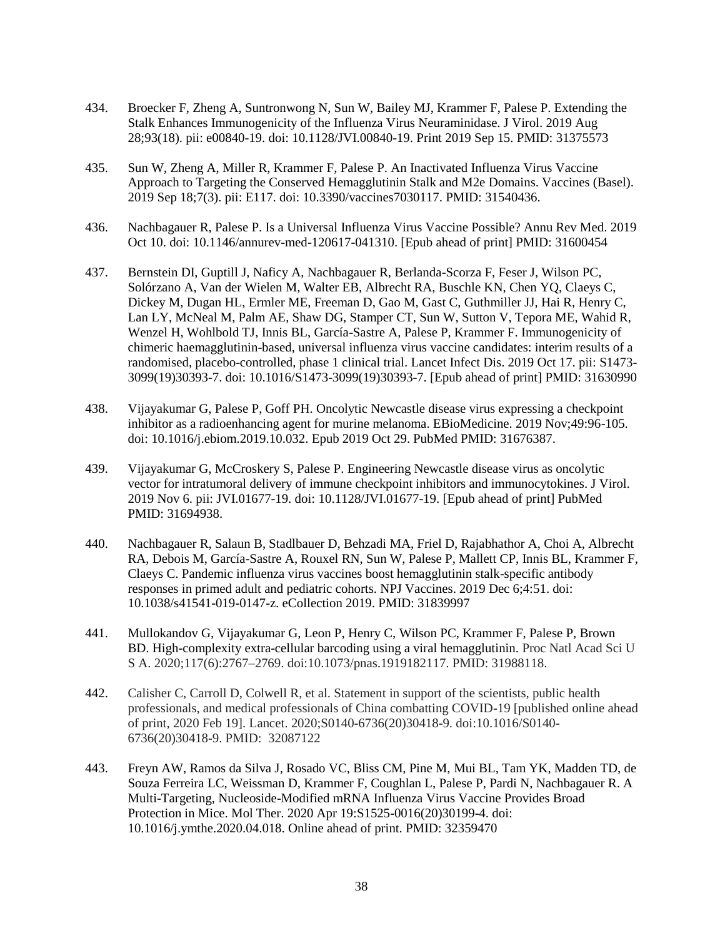- 434. Broecker F, Zheng A, Suntronwong N, Sun W, Bailey MJ, Krammer F, Palese P. Extending the Stalk Enhances Immunogenicity of the Influenza Virus Neuraminidase. J Virol. 2019 Aug 28;93(18). pii: e00840-19. doi: 10.1128/JVI.00840-19. Print 2019 Sep 15. PMID: 31375573
- 435. Sun W, Zheng A, Miller R, Krammer F, Palese P. An Inactivated Influenza Virus Vaccine Approach to Targeting the Conserved Hemagglutinin Stalk and M2e Domains. Vaccines (Basel). 2019 Sep 18;7(3). pii: E117. doi: 10.3390/vaccines7030117. PMID: 31540436.
- 436. Nachbagauer R, Palese P. Is a Universal Influenza Virus Vaccine Possible? Annu Rev Med. 2019 Oct 10. doi: 10.1146/annurev-med-120617-041310. [Epub ahead of print] PMID: 31600454
- 437. Bernstein DI, Guptill J, Naficy A, Nachbagauer R, Berlanda-Scorza F, Feser J, Wilson PC, Solórzano A, Van der Wielen M, Walter EB, Albrecht RA, Buschle KN, Chen YQ, Claeys C, Dickey M, Dugan HL, Ermler ME, Freeman D, Gao M, Gast C, Guthmiller JJ, Hai R, Henry C, Lan LY, McNeal M, Palm AE, Shaw DG, Stamper CT, Sun W, Sutton V, Tepora ME, Wahid R, Wenzel H, Wohlbold TJ, Innis BL, García-Sastre A, Palese P, Krammer F. Immunogenicity of chimeric haemagglutinin-based, universal influenza virus vaccine candidates: interim results of a randomised, placebo-controlled, phase 1 clinical trial. Lancet Infect Dis. 2019 Oct 17. pii: S1473- 3099(19)30393-7. doi: 10.1016/S1473-3099(19)30393-7. [Epub ahead of print] PMID: 31630990
- 438. Vijayakumar G, Palese P, Goff PH. Oncolytic Newcastle disease virus expressing a checkpoint inhibitor as a radioenhancing agent for murine melanoma. EBioMedicine. 2019 Nov;49:96-105. doi: 10.1016/j.ebiom.2019.10.032. Epub 2019 Oct 29. PubMed PMID: 31676387.
- 439. Vijayakumar G, McCroskery S, Palese P. Engineering Newcastle disease virus as oncolytic vector for intratumoral delivery of immune checkpoint inhibitors and immunocytokines. J Virol. 2019 Nov 6. pii: JVI.01677-19. doi: 10.1128/JVI.01677-19. [Epub ahead of print] PubMed PMID: 31694938.
- 440. Nachbagauer R, Salaun B, Stadlbauer D, Behzadi MA, Friel D, Rajabhathor A, Choi A, Albrecht RA, Debois M, García-Sastre A, Rouxel RN, Sun W, Palese P, Mallett CP, Innis BL, Krammer F, Claeys C. Pandemic influenza virus vaccines boost hemagglutinin stalk-specific antibody responses in primed adult and pediatric cohorts. NPJ Vaccines. 2019 Dec 6;4:51. doi: 10.1038/s41541-019-0147-z. eCollection 2019. PMID: 31839997
- 441. Mullokandov G, Vijayakumar G, Leon P, Henry C, Wilson PC, Krammer F, Palese P, Brown BD. High-complexity extra-cellular barcoding using a viral hemagglutinin. Proc Natl Acad Sci U S A. 2020;117(6):2767–2769. doi:10.1073/pnas.1919182117. PMID: 31988118.
- 442. Calisher C, Carroll D, Colwell R, et al. Statement in support of the scientists, public health professionals, and medical professionals of China combatting COVID-19 [published online ahead of print, 2020 Feb 19]. Lancet. 2020;S0140-6736(20)30418-9. doi:10.1016/S0140- 6736(20)30418-9. PMID: 32087122
- 443. Freyn AW, Ramos da Silva J, Rosado VC, Bliss CM, Pine M, Mui BL, Tam YK, Madden TD, de Souza Ferreira LC, Weissman D, Krammer F, Coughlan L, Palese P, Pardi N, Nachbagauer R. A Multi-Targeting, Nucleoside-Modified mRNA Influenza Virus Vaccine Provides Broad Protection in Mice. Mol Ther. 2020 Apr 19:S1525-0016(20)30199-4. doi: 10.1016/j.ymthe.2020.04.018. Online ahead of print. PMID: 32359470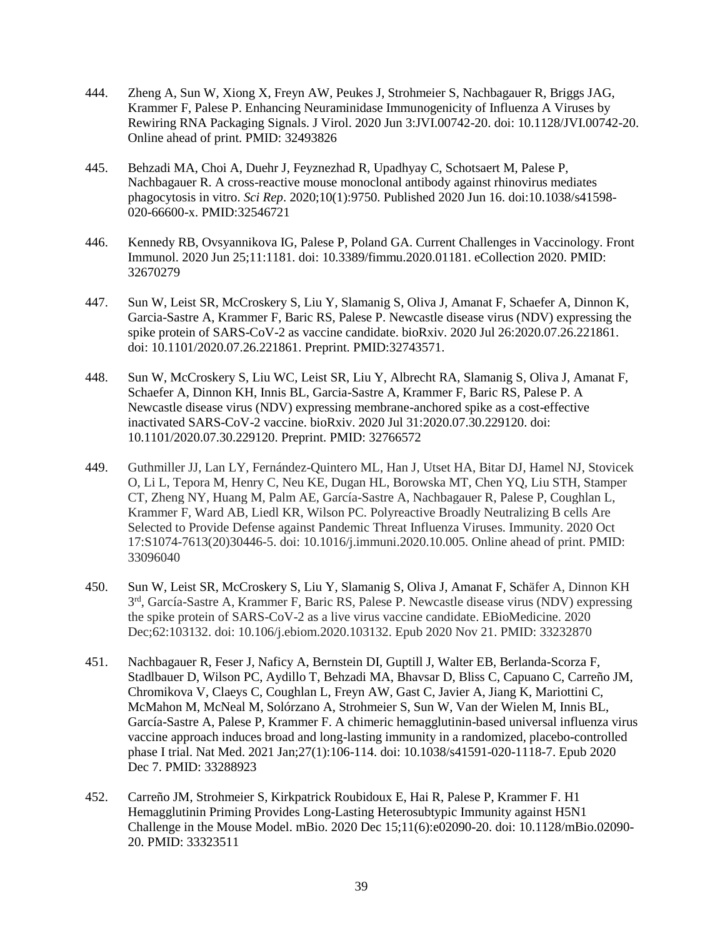- 444. Zheng A, Sun W, Xiong X, Freyn AW, Peukes J, Strohmeier S, Nachbagauer R, Briggs JAG, Krammer F, Palese P. Enhancing Neuraminidase Immunogenicity of Influenza A Viruses by Rewiring RNA Packaging Signals. J Virol. 2020 Jun 3:JVI.00742-20. doi: 10.1128/JVI.00742-20. Online ahead of print. PMID: 32493826
- 445. Behzadi MA, Choi A, Duehr J, Feyznezhad R, Upadhyay C, Schotsaert M, Palese P, Nachbagauer R. A cross-reactive mouse monoclonal antibody against rhinovirus mediates phagocytosis in vitro. *Sci Rep*. 2020;10(1):9750. Published 2020 Jun 16. doi:10.1038/s41598- 020-66600-x. PMID:32546721
- 446. Kennedy RB, Ovsyannikova IG, Palese P, Poland GA. Current Challenges in Vaccinology. Front Immunol. 2020 Jun 25;11:1181. doi: 10.3389/fimmu.2020.01181. eCollection 2020. PMID: 32670279
- 447. Sun W, Leist SR, McCroskery S, Liu Y, Slamanig S, Oliva J, Amanat F, Schaefer A, Dinnon K, Garcia-Sastre A, Krammer F, Baric RS, Palese P. Newcastle disease virus (NDV) expressing the spike protein of SARS-CoV-2 as vaccine candidate. bioRxiv. 2020 Jul 26:2020.07.26.221861. doi: 10.1101/2020.07.26.221861. Preprint. PMID:32743571.
- 448. Sun W, McCroskery S, Liu WC, Leist SR, Liu Y, Albrecht RA, Slamanig S, Oliva J, Amanat F, Schaefer A, Dinnon KH, Innis BL, Garcia-Sastre A, Krammer F, Baric RS, Palese P. A Newcastle disease virus (NDV) expressing membrane-anchored spike as a cost-effective inactivated SARS-CoV-2 vaccine. bioRxiv. 2020 Jul 31:2020.07.30.229120. doi: 10.1101/2020.07.30.229120. Preprint. PMID: 32766572
- 449. Guthmiller JJ, Lan LY, Fernández-Quintero ML, Han J, Utset HA, Bitar DJ, Hamel NJ, Stovicek O, Li L, Tepora M, Henry C, Neu KE, Dugan HL, Borowska MT, Chen YQ, Liu STH, Stamper CT, Zheng NY, Huang M, Palm AE, García-Sastre A, Nachbagauer R, Palese P, Coughlan L, Krammer F, Ward AB, Liedl KR, Wilson PC. Polyreactive Broadly Neutralizing B cells Are Selected to Provide Defense against Pandemic Threat Influenza Viruses. Immunity. 2020 Oct 17:S1074-7613(20)30446-5. doi: 10.1016/j.immuni.2020.10.005. Online ahead of print. PMID: 33096040
- 450. Sun W, Leist SR, McCroskery S, Liu Y, Slamanig S, Oliva J, Amanat F, Schäfer A, Dinnon KH 3<sup>rd</sup>, García-Sastre A, Krammer F, Baric RS, Palese P. Newcastle disease virus (NDV) expressing the spike protein of SARS-CoV-2 as a live virus vaccine candidate. EBioMedicine. 2020 Dec;62:103132. doi: 10.106/j.ebiom.2020.103132. Epub 2020 Nov 21. PMID: 33232870
- 451. Nachbagauer R, Feser J, Naficy A, Bernstein DI, Guptill J, Walter EB, Berlanda-Scorza F, Stadlbauer D, Wilson PC, Aydillo T, Behzadi MA, Bhavsar D, Bliss C, Capuano C, Carreño JM, Chromikova V, Claeys C, Coughlan L, Freyn AW, Gast C, Javier A, Jiang K, Mariottini C, McMahon M, McNeal M, Solórzano A, Strohmeier S, Sun W, Van der Wielen M, Innis BL, García-Sastre A, Palese P, Krammer F. A chimeric hemagglutinin-based universal influenza virus vaccine approach induces broad and long-lasting immunity in a randomized, placebo-controlled phase I trial. Nat Med. 2021 Jan;27(1):106-114. doi: 10.1038/s41591-020-1118-7. Epub 2020 Dec 7. PMID: 33288923
- 452. Carreño JM, Strohmeier S, Kirkpatrick Roubidoux E, Hai R, Palese P, Krammer F. H1 Hemagglutinin Priming Provides Long-Lasting Heterosubtypic Immunity against H5N1 Challenge in the Mouse Model. mBio. 2020 Dec 15;11(6):e02090-20. doi: 10.1128/mBio.02090- 20. PMID: 33323511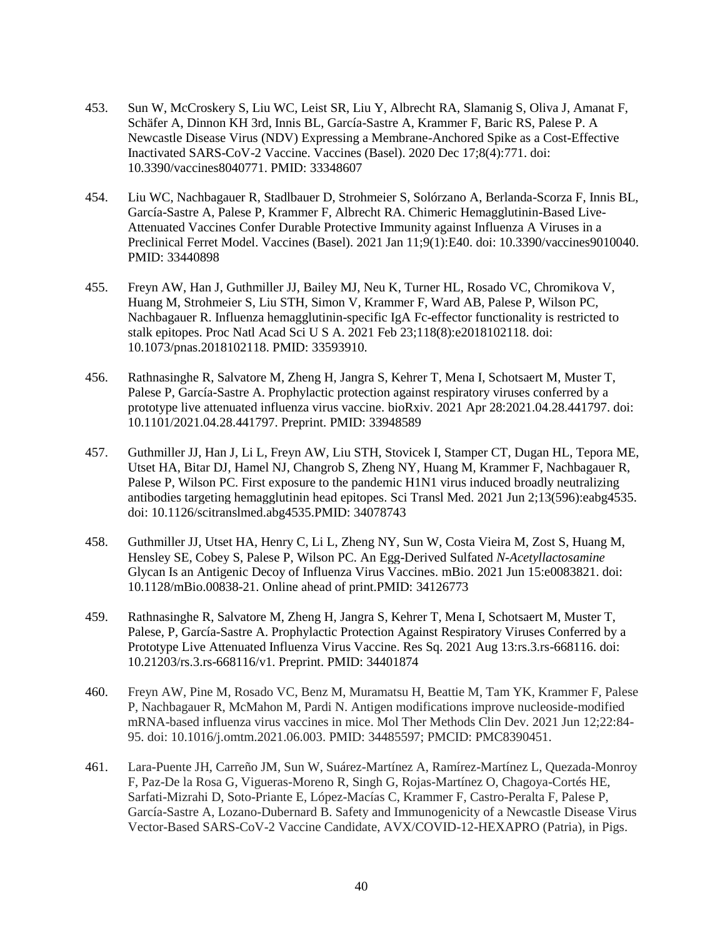- 453. Sun W, McCroskery S, Liu WC, Leist SR, Liu Y, Albrecht RA, Slamanig S, Oliva J, Amanat F, Schäfer A, Dinnon KH 3rd, Innis BL, García-Sastre A, Krammer F, Baric RS, Palese P. A Newcastle Disease Virus (NDV) Expressing a Membrane-Anchored Spike as a Cost-Effective Inactivated SARS-CoV-2 Vaccine. Vaccines (Basel). 2020 Dec 17;8(4):771. doi: 10.3390/vaccines8040771. PMID: 33348607
- 454. Liu WC, Nachbagauer R, Stadlbauer D, Strohmeier S, Solórzano A, Berlanda-Scorza F, Innis BL, García-Sastre A, Palese P, Krammer F, Albrecht RA. Chimeric Hemagglutinin-Based Live-Attenuated Vaccines Confer Durable Protective Immunity against Influenza A Viruses in a Preclinical Ferret Model. Vaccines (Basel). 2021 Jan 11;9(1):E40. doi: 10.3390/vaccines9010040. PMID: 33440898
- 455. Freyn AW, Han J, Guthmiller JJ, Bailey MJ, Neu K, Turner HL, Rosado VC, Chromikova V, Huang M, Strohmeier S, Liu STH, Simon V, Krammer F, Ward AB, Palese P, Wilson PC, Nachbagauer R. Influenza hemagglutinin-specific IgA Fc-effector functionality is restricted to stalk epitopes. Proc Natl Acad Sci U S A. 2021 Feb 23;118(8):e2018102118. doi: 10.1073/pnas.2018102118. PMID: 33593910.
- 456. Rathnasinghe R, Salvatore M, Zheng H, Jangra S, Kehrer T, Mena I, Schotsaert M, Muster T, Palese P, García-Sastre A. Prophylactic protection against respiratory viruses conferred by a prototype live attenuated influenza virus vaccine. bioRxiv. 2021 Apr 28:2021.04.28.441797. doi: 10.1101/2021.04.28.441797. Preprint. PMID: 33948589
- 457. Guthmiller JJ, Han J, Li L, Freyn AW, Liu STH, Stovicek I, Stamper CT, Dugan HL, Tepora ME, Utset HA, Bitar DJ, Hamel NJ, Changrob S, Zheng NY, Huang M, Krammer F, Nachbagauer R, Palese P, Wilson PC. First exposure to the pandemic H1N1 virus induced broadly neutralizing antibodies targeting hemagglutinin head epitopes. Sci Transl Med. 2021 Jun 2;13(596):eabg4535. doi: 10.1126/scitranslmed.abg4535.PMID: 34078743
- 458. Guthmiller JJ, Utset HA, Henry C, Li L, Zheng NY, Sun W, Costa Vieira M, Zost S, Huang M, Hensley SE, Cobey S, Palese P, Wilson PC. An Egg-Derived Sulfated *N-Acetyllactosamine*  Glycan Is an Antigenic Decoy of Influenza Virus Vaccines. mBio. 2021 Jun 15:e0083821. doi: 10.1128/mBio.00838-21. Online ahead of print.PMID: 34126773
- 459. Rathnasinghe R, Salvatore M, Zheng H, Jangra S, Kehrer T, Mena I, Schotsaert M, Muster T, Palese, P, García-Sastre A. Prophylactic Protection Against Respiratory Viruses Conferred by a Prototype Live Attenuated Influenza Virus Vaccine. Res Sq. 2021 Aug 13:rs.3.rs-668116. doi: 10.21203/rs.3.rs-668116/v1. Preprint. PMID: 34401874
- 460. Freyn AW, Pine M, Rosado VC, Benz M, Muramatsu H, Beattie M, Tam YK, Krammer F, Palese P, Nachbagauer R, McMahon M, Pardi N. Antigen modifications improve nucleoside-modified mRNA-based influenza virus vaccines in mice. Mol Ther Methods Clin Dev. 2021 Jun 12;22:84- 95. doi: 10.1016/j.omtm.2021.06.003. PMID: 34485597; PMCID: PMC8390451.
- 461. Lara-Puente JH, Carreño JM, Sun W, Suárez-Martínez A, Ramírez-Martínez L, Quezada-Monroy F, Paz-De la Rosa G, Vigueras-Moreno R, Singh G, Rojas-Martínez O, Chagoya-Cortés HE, Sarfati-Mizrahi D, Soto-Priante E, López-Macías C, Krammer F, Castro-Peralta F, Palese P, García-Sastre A, Lozano-Dubernard B. Safety and Immunogenicity of a Newcastle Disease Virus Vector-Based SARS-CoV-2 Vaccine Candidate, AVX/COVID-12-HEXAPRO (Patria), in Pigs.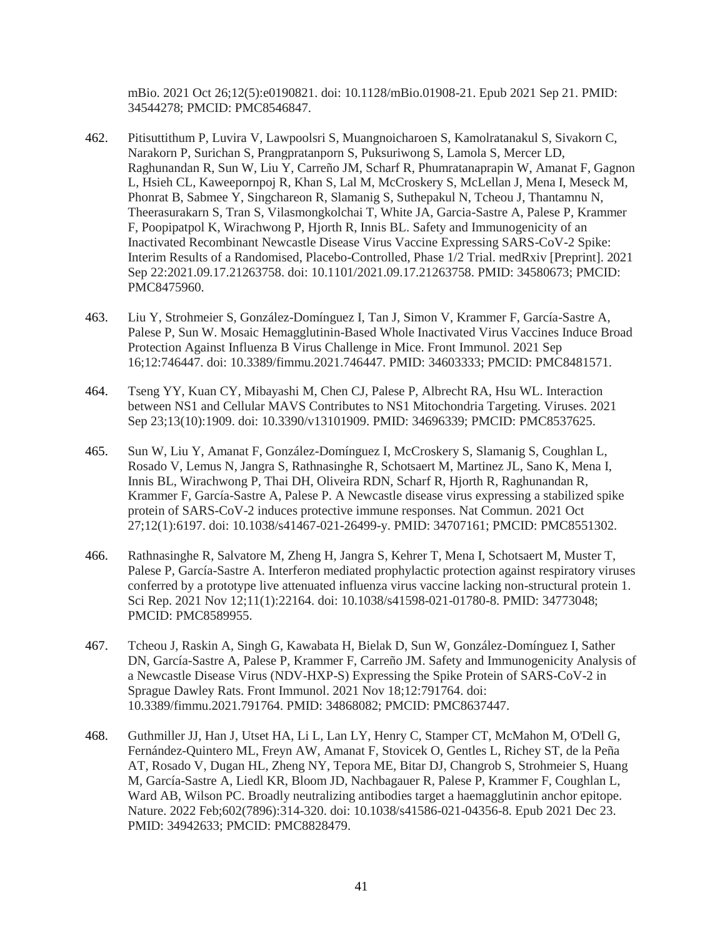mBio. 2021 Oct 26;12(5):e0190821. doi: 10.1128/mBio.01908-21. Epub 2021 Sep 21. PMID: 34544278; PMCID: PMC8546847.

- 462. Pitisuttithum P, Luvira V, Lawpoolsri S, Muangnoicharoen S, Kamolratanakul S, Sivakorn C, Narakorn P, Surichan S, Prangpratanporn S, Puksuriwong S, Lamola S, Mercer LD, Raghunandan R, Sun W, Liu Y, Carreño JM, Scharf R, Phumratanaprapin W, Amanat F, Gagnon L, Hsieh CL, Kaweepornpoj R, Khan S, Lal M, McCroskery S, McLellan J, Mena I, Meseck M, Phonrat B, Sabmee Y, Singchareon R, Slamanig S, Suthepakul N, Tcheou J, Thantamnu N, Theerasurakarn S, Tran S, Vilasmongkolchai T, White JA, Garcia-Sastre A, Palese P, Krammer F, Poopipatpol K, Wirachwong P, Hjorth R, Innis BL. Safety and Immunogenicity of an Inactivated Recombinant Newcastle Disease Virus Vaccine Expressing SARS-CoV-2 Spike: Interim Results of a Randomised, Placebo-Controlled, Phase 1/2 Trial. medRxiv [Preprint]. 2021 Sep 22:2021.09.17.21263758. doi: 10.1101/2021.09.17.21263758. PMID: 34580673; PMCID: PMC8475960.
- 463. Liu Y, Strohmeier S, González-Domínguez I, Tan J, Simon V, Krammer F, García-Sastre A, Palese P, Sun W. Mosaic Hemagglutinin-Based Whole Inactivated Virus Vaccines Induce Broad Protection Against Influenza B Virus Challenge in Mice. Front Immunol. 2021 Sep 16;12:746447. doi: 10.3389/fimmu.2021.746447. PMID: 34603333; PMCID: PMC8481571.
- 464. Tseng YY, Kuan CY, Mibayashi M, Chen CJ, Palese P, Albrecht RA, Hsu WL. Interaction between NS1 and Cellular MAVS Contributes to NS1 Mitochondria Targeting. Viruses. 2021 Sep 23;13(10):1909. doi: 10.3390/v13101909. PMID: 34696339; PMCID: PMC8537625.
- 465. Sun W, Liu Y, Amanat F, González-Domínguez I, McCroskery S, Slamanig S, Coughlan L, Rosado V, Lemus N, Jangra S, Rathnasinghe R, Schotsaert M, Martinez JL, Sano K, Mena I, Innis BL, Wirachwong P, Thai DH, Oliveira RDN, Scharf R, Hjorth R, Raghunandan R, Krammer F, García-Sastre A, Palese P. A Newcastle disease virus expressing a stabilized spike protein of SARS-CoV-2 induces protective immune responses. Nat Commun. 2021 Oct 27;12(1):6197. doi: 10.1038/s41467-021-26499-y. PMID: 34707161; PMCID: PMC8551302.
- 466. Rathnasinghe R, Salvatore M, Zheng H, Jangra S, Kehrer T, Mena I, Schotsaert M, Muster T, Palese P, García-Sastre A. Interferon mediated prophylactic protection against respiratory viruses conferred by a prototype live attenuated influenza virus vaccine lacking non-structural protein 1. Sci Rep. 2021 Nov 12;11(1):22164. doi: 10.1038/s41598-021-01780-8. PMID: 34773048; PMCID: PMC8589955.
- 467. Tcheou J, Raskin A, Singh G, Kawabata H, Bielak D, Sun W, González-Domínguez I, Sather DN, García-Sastre A, Palese P, Krammer F, Carreño JM. Safety and Immunogenicity Analysis of a Newcastle Disease Virus (NDV-HXP-S) Expressing the Spike Protein of SARS-CoV-2 in Sprague Dawley Rats. Front Immunol. 2021 Nov 18;12:791764. doi: 10.3389/fimmu.2021.791764. PMID: 34868082; PMCID: PMC8637447.
- 468. Guthmiller JJ, Han J, Utset HA, Li L, Lan LY, Henry C, Stamper CT, McMahon M, O'Dell G, Fernández-Quintero ML, Freyn AW, Amanat F, Stovicek O, Gentles L, Richey ST, de la Peña AT, Rosado V, Dugan HL, Zheng NY, Tepora ME, Bitar DJ, Changrob S, Strohmeier S, Huang M, García-Sastre A, Liedl KR, Bloom JD, Nachbagauer R, Palese P, Krammer F, Coughlan L, Ward AB, Wilson PC. Broadly neutralizing antibodies target a haemagglutinin anchor epitope. Nature. 2022 Feb;602(7896):314-320. doi: 10.1038/s41586-021-04356-8. Epub 2021 Dec 23. PMID: 34942633; PMCID: PMC8828479.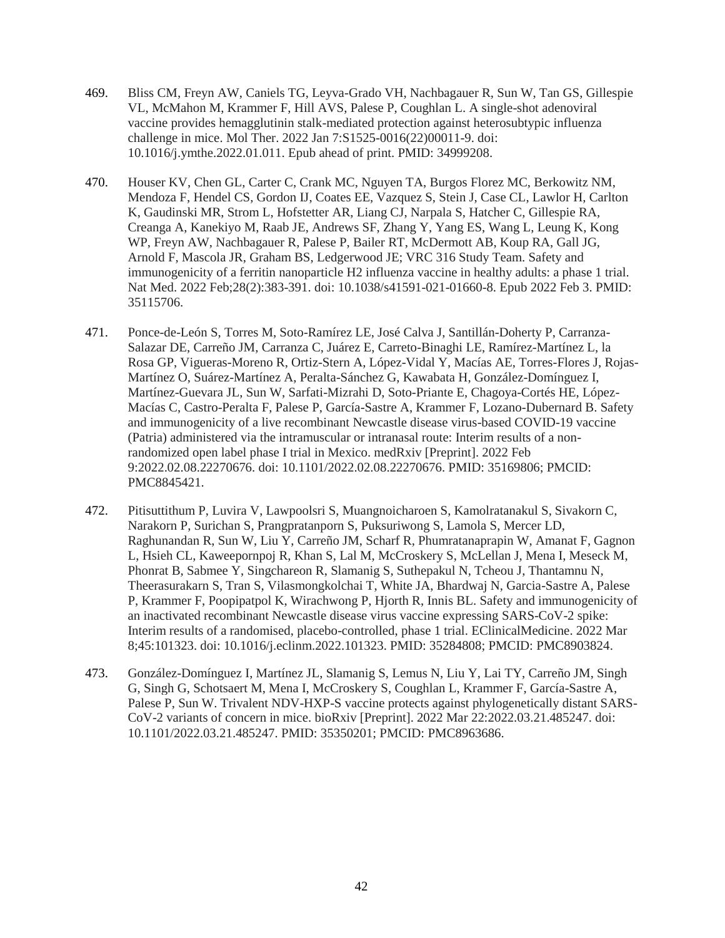- 469. Bliss CM, Freyn AW, Caniels TG, Leyva-Grado VH, Nachbagauer R, Sun W, Tan GS, Gillespie VL, McMahon M, Krammer F, Hill AVS, Palese P, Coughlan L. A single-shot adenoviral vaccine provides hemagglutinin stalk-mediated protection against heterosubtypic influenza challenge in mice. Mol Ther. 2022 Jan 7:S1525-0016(22)00011-9. doi: 10.1016/j.ymthe.2022.01.011. Epub ahead of print. PMID: 34999208.
- 470. Houser KV, Chen GL, Carter C, Crank MC, Nguyen TA, Burgos Florez MC, Berkowitz NM, Mendoza F, Hendel CS, Gordon IJ, Coates EE, Vazquez S, Stein J, Case CL, Lawlor H, Carlton K, Gaudinski MR, Strom L, Hofstetter AR, Liang CJ, Narpala S, Hatcher C, Gillespie RA, Creanga A, Kanekiyo M, Raab JE, Andrews SF, Zhang Y, Yang ES, Wang L, Leung K, Kong WP, Freyn AW, Nachbagauer R, Palese P, Bailer RT, McDermott AB, Koup RA, Gall JG, Arnold F, Mascola JR, Graham BS, Ledgerwood JE; VRC 316 Study Team. Safety and immunogenicity of a ferritin nanoparticle H2 influenza vaccine in healthy adults: a phase 1 trial. Nat Med. 2022 Feb;28(2):383-391. doi: 10.1038/s41591-021-01660-8. Epub 2022 Feb 3. PMID: 35115706.
- 471. Ponce-de-León S, Torres M, Soto-Ramírez LE, José Calva J, Santillán-Doherty P, Carranza-Salazar DE, Carreño JM, Carranza C, Juárez E, Carreto-Binaghi LE, Ramírez-Martínez L, la Rosa GP, Vigueras-Moreno R, Ortiz-Stern A, López-Vidal Y, Macías AE, Torres-Flores J, Rojas-Martínez O, Suárez-Martínez A, Peralta-Sánchez G, Kawabata H, González-Domínguez I, Martínez-Guevara JL, Sun W, Sarfati-Mizrahi D, Soto-Priante E, Chagoya-Cortés HE, López-Macías C, Castro-Peralta F, Palese P, García-Sastre A, Krammer F, Lozano-Dubernard B. Safety and immunogenicity of a live recombinant Newcastle disease virus-based COVID-19 vaccine (Patria) administered via the intramuscular or intranasal route: Interim results of a nonrandomized open label phase I trial in Mexico. medRxiv [Preprint]. 2022 Feb 9:2022.02.08.22270676. doi: 10.1101/2022.02.08.22270676. PMID: 35169806; PMCID: PMC8845421.
- 472. Pitisuttithum P, Luvira V, Lawpoolsri S, Muangnoicharoen S, Kamolratanakul S, Sivakorn C, Narakorn P, Surichan S, Prangpratanporn S, Puksuriwong S, Lamola S, Mercer LD, Raghunandan R, Sun W, Liu Y, Carreño JM, Scharf R, Phumratanaprapin W, Amanat F, Gagnon L, Hsieh CL, Kaweepornpoj R, Khan S, Lal M, McCroskery S, McLellan J, Mena I, Meseck M, Phonrat B, Sabmee Y, Singchareon R, Slamanig S, Suthepakul N, Tcheou J, Thantamnu N, Theerasurakarn S, Tran S, Vilasmongkolchai T, White JA, Bhardwaj N, Garcia-Sastre A, Palese P, Krammer F, Poopipatpol K, Wirachwong P, Hjorth R, Innis BL. Safety and immunogenicity of an inactivated recombinant Newcastle disease virus vaccine expressing SARS-CoV-2 spike: Interim results of a randomised, placebo-controlled, phase 1 trial. EClinicalMedicine. 2022 Mar 8;45:101323. doi: 10.1016/j.eclinm.2022.101323. PMID: 35284808; PMCID: PMC8903824.
- 473. González-Domínguez I, Martínez JL, Slamanig S, Lemus N, Liu Y, Lai TY, Carreño JM, Singh G, Singh G, Schotsaert M, Mena I, McCroskery S, Coughlan L, Krammer F, García-Sastre A, Palese P, Sun W. Trivalent NDV-HXP-S vaccine protects against phylogenetically distant SARS-CoV-2 variants of concern in mice. bioRxiv [Preprint]. 2022 Mar 22:2022.03.21.485247. doi: 10.1101/2022.03.21.485247. PMID: 35350201; PMCID: PMC8963686.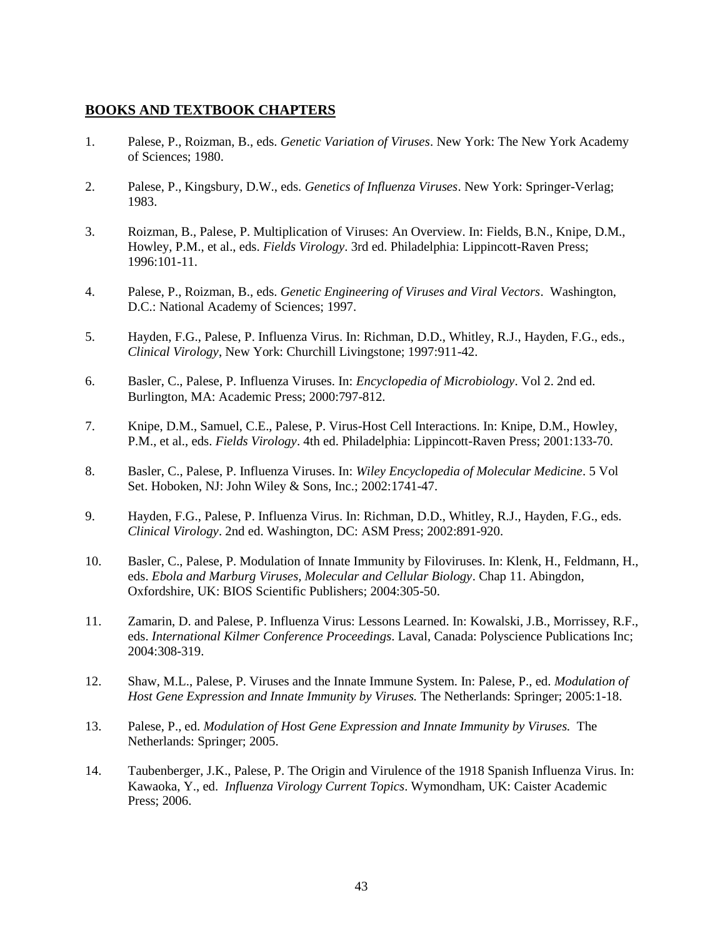# **BOOKS AND TEXTBOOK CHAPTERS**

- 1. Palese, P., Roizman, B., eds. *Genetic Variation of Viruses*. New York: The New York Academy of Sciences; 1980.
- 2. Palese, P., Kingsbury, D.W., eds. *Genetics of Influenza Viruses*. New York: Springer-Verlag; 1983.
- 3. Roizman, B., Palese, P. Multiplication of Viruses: An Overview. In: Fields, B.N., Knipe, D.M., Howley, P.M., et al., eds. *Fields Virology*. 3rd ed. Philadelphia: Lippincott-Raven Press; 1996:101-11.
- 4. Palese, P., Roizman, B., eds. *Genetic Engineering of Viruses and Viral Vectors*. Washington, D.C.: National Academy of Sciences; 1997.
- 5. Hayden, F.G., Palese, P. Influenza Virus. In: Richman, D.D., Whitley, R.J., Hayden, F.G., eds., *Clinical Virology*, New York: Churchill Livingstone; 1997:911-42.
- 6. Basler, C., Palese, P. Influenza Viruses. In: *Encyclopedia of Microbiology*. Vol 2. 2nd ed. Burlington, MA: Academic Press; 2000:797-812.
- 7. Knipe, D.M., Samuel, C.E., Palese, P. Virus-Host Cell Interactions. In: Knipe, D.M., Howley, P.M., et al., eds. *Fields Virology*. 4th ed. Philadelphia: Lippincott-Raven Press; 2001:133-70.
- 8. Basler, C., Palese, P. Influenza Viruses. In: *Wiley Encyclopedia of Molecular Medicine*. 5 Vol Set. Hoboken, NJ: John Wiley & Sons, Inc.; 2002:1741-47.
- 9. Hayden, F.G., Palese, P. Influenza Virus. In: Richman, D.D., Whitley, R.J., Hayden, F.G., eds. *Clinical Virology*. 2nd ed. Washington, DC: ASM Press; 2002:891-920.
- 10. Basler, C., Palese, P. Modulation of Innate Immunity by Filoviruses. In: Klenk, H., Feldmann, H., eds. *Ebola and Marburg Viruses, Molecular and Cellular Biology*. Chap 11. Abingdon, Oxfordshire, UK: BIOS Scientific Publishers; 2004:305-50.
- 11. Zamarin, D. and Palese, P. Influenza Virus: Lessons Learned. In: Kowalski, J.B., Morrissey, R.F., eds. *International Kilmer Conference Proceedings*. Laval, Canada: Polyscience Publications Inc; 2004:308-319.
- 12. Shaw, M.L., Palese, P. Viruses and the Innate Immune System. In: Palese, P., ed. *Modulation of Host Gene Expression and Innate Immunity by Viruses.* The Netherlands: Springer; 2005:1-18.
- 13. Palese, P., ed. *Modulation of Host Gene Expression and Innate Immunity by Viruses.* The Netherlands: Springer; 2005.
- 14. Taubenberger, J.K., Palese, P. The Origin and Virulence of the 1918 Spanish Influenza Virus. In: Kawaoka, Y., ed. *Influenza Virology Current Topics*. Wymondham, UK: Caister Academic Press; 2006.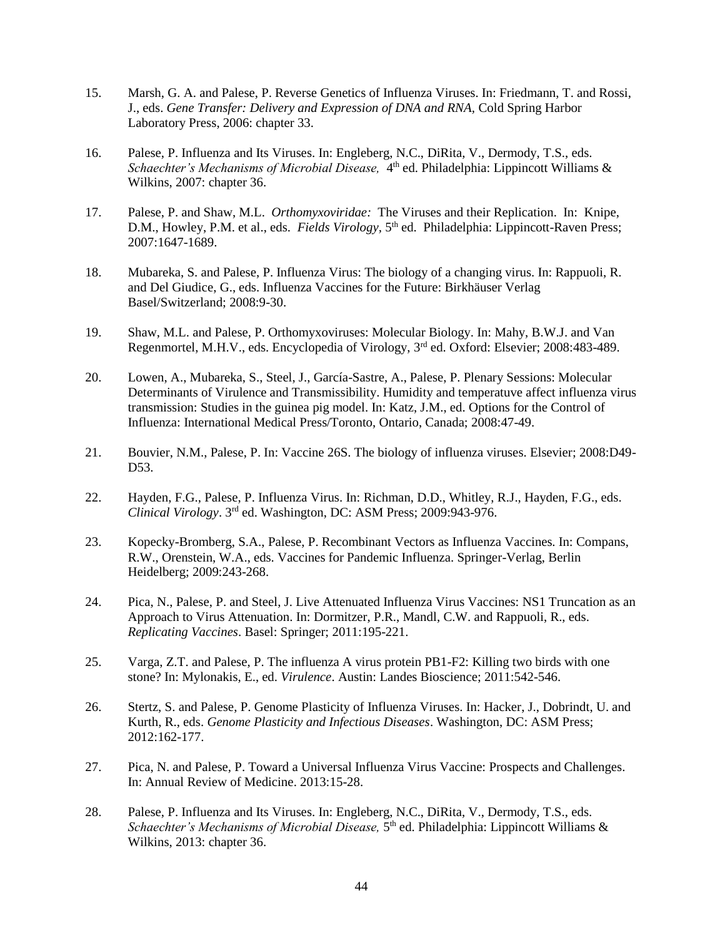- 15. Marsh, G. A. and Palese, P. Reverse Genetics of Influenza Viruses. In: Friedmann, T. and Rossi, J., eds. *Gene Transfer: Delivery and Expression of DNA and RNA,* Cold Spring Harbor Laboratory Press, 2006: chapter 33.
- 16. Palese, P. Influenza and Its Viruses. In: Engleberg, N.C., DiRita, V., Dermody, T.S., eds. Schaechter's Mechanisms of Microbial Disease, 4<sup>th</sup> ed. Philadelphia: Lippincott Williams & Wilkins, 2007: chapter 36.
- 17. Palese, P. and Shaw, M.L. *Orthomyxoviridae:* The Viruses and their Replication. In: Knipe, D.M., Howley, P.M. et al., eds. *Fields Virology*, 5<sup>th</sup> ed. Philadelphia: Lippincott-Raven Press; 2007:1647-1689.
- 18. Mubareka, S. and Palese, P. Influenza Virus: The biology of a changing virus. In: Rappuoli, R. and Del Giudice, G., eds. Influenza Vaccines for the Future: Birkhäuser Verlag Basel/Switzerland; 2008:9-30.
- 19. Shaw, M.L. and Palese, P. Orthomyxoviruses: Molecular Biology. In: Mahy, B.W.J. and Van Regenmortel, M.H.V., eds. Encyclopedia of Virology,  $3<sup>rd</sup>$  ed. Oxford: Elsevier; 2008:483-489.
- 20. Lowen, A., Mubareka, S., Steel, J., García-Sastre, A., Palese, P. Plenary Sessions: Molecular Determinants of Virulence and Transmissibility. Humidity and temperatuve affect influenza virus transmission: Studies in the guinea pig model. In: Katz, J.M., ed. Options for the Control of Influenza: International Medical Press/Toronto, Ontario, Canada; 2008:47-49.
- 21. Bouvier, N.M., Palese, P. In: Vaccine 26S. The biology of influenza viruses. Elsevier; 2008:D49- D53.
- 22. Hayden, F.G., Palese, P. Influenza Virus. In: Richman, D.D., Whitley, R.J., Hayden, F.G., eds. *Clinical Virology*. 3rd ed. Washington, DC: ASM Press; 2009:943-976.
- 23. Kopecky-Bromberg, S.A., Palese, P. Recombinant Vectors as Influenza Vaccines. In: Compans, R.W., Orenstein, W.A., eds. Vaccines for Pandemic Influenza. Springer-Verlag, Berlin Heidelberg; 2009:243-268.
- 24. Pica, N., Palese, P. and Steel, J. Live Attenuated Influenza Virus Vaccines: NS1 Truncation as an Approach to Virus Attenuation. In: Dormitzer, P.R., Mandl, C.W. and Rappuoli, R., eds. *Replicating Vaccines*. Basel: Springer; 2011:195-221.
- 25. Varga, Z.T. and Palese, P. The influenza A virus protein PB1-F2: Killing two birds with one stone? In: Mylonakis, E., ed. *Virulence*. Austin: Landes Bioscience; 2011:542-546.
- 26. Stertz, S. and Palese, P. Genome Plasticity of Influenza Viruses. In: Hacker, J., Dobrindt, U. and Kurth, R., eds. *Genome Plasticity and Infectious Diseases*. Washington, DC: ASM Press; 2012:162-177.
- 27. Pica, N. and Palese, P. Toward a Universal Influenza Virus Vaccine: Prospects and Challenges. In: Annual Review of Medicine. 2013:15-28.
- 28. Palese, P. Influenza and Its Viruses. In: Engleberg, N.C., DiRita, V., Dermody, T.S., eds. Schaechter's Mechanisms of Microbial Disease, 5<sup>th</sup> ed. Philadelphia: Lippincott Williams & Wilkins, 2013: chapter 36.